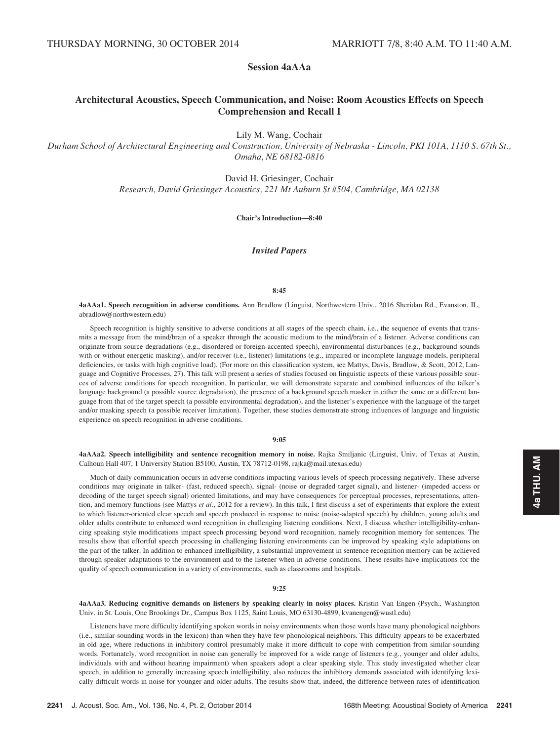Session 4aAAa

# Architectural Acoustics, Speech Communication, and Noise: Room Acoustics Effects on Speech Comprehension and Recall I

Lily M. Wang, Cochair

Durham School of Architectural Engineering and Construction, University of Nebraska - Lincoln, PKI 101A, 1110 S. 67th St., Omaha, NE 68182-0816

> David H. Griesinger, Cochair Research, David Griesinger Acoustics, 221 Mt Auburn St #504, Cambridge, MA 02138

> > Chair's Introduction—8:40

## Invited Papers

#### 8:45

4aAAa1. Speech recognition in adverse conditions. Ann Bradlow (Linguist, Northwestern Univ., 2016 Sheridan Rd., Evanston, IL, abradlow@northwestern.edu)

Speech recognition is highly sensitive to adverse conditions at all stages of the speech chain, i.e., the sequence of events that transmits a message from the mind/brain of a speaker through the acoustic medium to the mind/brain of a listener. Adverse conditions can originate from source degradations (e.g., disordered or foreign-accented speech), environmental disturbances (e.g., background sounds with or without energetic masking), and/or receiver (i.e., listener) limitations (e.g., impaired or incomplete language models, peripheral deficiencies, or tasks with high cognitive load). (For more on this classification system, see Mattys, Davis, Bradlow, & Scott, 2012, Language and Cognitive Processes, 27). This talk will present a series of studies focused on linguistic aspects of these various possible sources of adverse conditions for speech recognition. In particular, we will demonstrate separate and combined influences of the talker's language background (a possible source degradation), the presence of a background speech masker in either the same or a different language from that of the target speech (a possible environmental degradation), and the listener's experience with the language of the target and/or masking speech (a possible receiver limitation). Together, these studies demonstrate strong influences of language and linguistic experience on speech recognition in adverse conditions.

#### 9:05

4aAAa2. Speech intelligibility and sentence recognition memory in noise. Rajka Smiljanic (Linguist, Univ. of Texas at Austin, Calhoun Hall 407, 1 University Station B5100, Austin, TX 78712-0198, rajka@mail.utexas.edu)

Much of daily communication occurs in adverse conditions impacting various levels of speech processing negatively. These adverse conditions may originate in talker- (fast, reduced speech), signal- (noise or degraded target signal), and listener- (impeded access or decoding of the target speech signal) oriented limitations, and may have consequences for perceptual processes, representations, attention, and memory functions (see Mattys et al., 2012 for a review). In this talk, I first discuss a set of experiments that explore the extent to which listener-oriented clear speech and speech produced in response to noise (noise-adapted speech) by children, young adults and older adults contribute to enhanced word recognition in challenging listening conditions. Next, I discuss whether intelligibility-enhancing speaking style modifications impact speech processing beyond word recognition, namely recognition memory for sentences. The results show that effortful speech processing in challenging listening environments can be improved by speaking style adaptations on the part of the talker. In addition to enhanced intelligibility, a substantial improvement in sentence recognition memory can be achieved through speaker adaptations to the environment and to the listener when in adverse conditions. These results have implications for the quality of speech communication in a variety of environments, such as classrooms and hospitals.

#### 9:25

4aAAa3. Reducing cognitive demands on listeners by speaking clearly in noisy places. Kristin Van Engen (Psych., Washington Univ. in St. Louis, One Brookings Dr., Campus Box 1125, Saint Louis, MO 63130-4899, kvanengen@wustl.edu)

Listeners have more difficulty identifying spoken words in noisy environments when those words have many phonological neighbors (i.e., similar-sounding words in the lexicon) than when they have few phonological neighbors. This difficulty appears to be exacerbated in old age, where reductions in inhibitory control presumably make it more difficult to cope with competition from similar-sounding words. Fortunately, word recognition in noise can generally be improved for a wide range of listeners (e.g., younger and older adults, individuals with and without hearing impairment) when speakers adopt a clear speaking style. This study investigated whether clear speech, in addition to generally increasing speech intelligibility, also reduces the inhibitory demands associated with identifying lexically difficult words in noise for younger and older adults. The results show that, indeed, the difference between rates of identification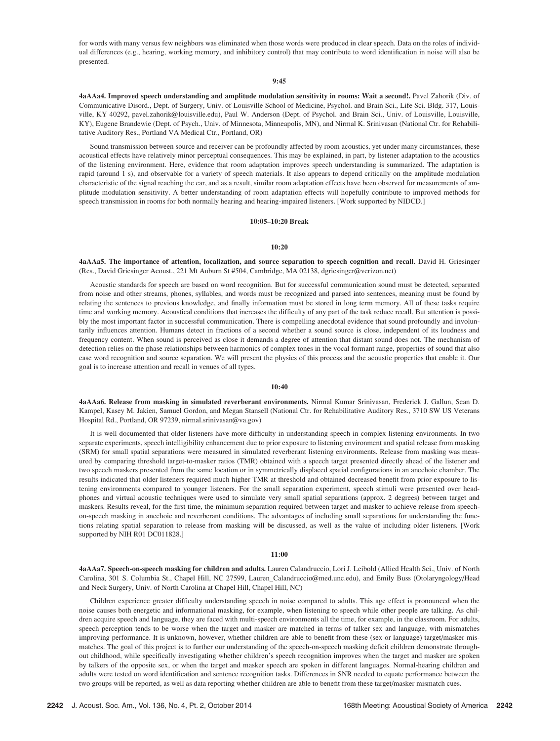for words with many versus few neighbors was eliminated when those words were produced in clear speech. Data on the roles of individual differences (e.g., hearing, working memory, and inhibitory control) that may contribute to word identification in noise will also be presented.

#### 9:45

4aAAa4. Improved speech understanding and amplitude modulation sensitivity in rooms: Wait a second!. Pavel Zahorik (Div. of Communicative Disord., Dept. of Surgery, Univ. of Louisville School of Medicine, Psychol. and Brain Sci., Life Sci. Bldg. 317, Louisville, KY 40292, pavel.zahorik@louisville.edu), Paul W. Anderson (Dept. of Psychol. and Brain Sci., Univ. of Louisville, Louisville, KY), Eugene Brandewie (Dept. of Psych., Univ. of Minnesota, Minneapolis, MN), and Nirmal K. Srinivasan (National Ctr. for Rehabilitative Auditory Res., Portland VA Medical Ctr., Portland, OR)

Sound transmission between source and receiver can be profoundly affected by room acoustics, yet under many circumstances, these acoustical effects have relatively minor perceptual consequences. This may be explained, in part, by listener adaptation to the acoustics of the listening environment. Here, evidence that room adaptation improves speech understanding is summarized. The adaptation is rapid (around 1 s), and observable for a variety of speech materials. It also appears to depend critically on the amplitude modulation characteristic of the signal reaching the ear, and as a result, similar room adaptation effects have been observed for measurements of amplitude modulation sensitivity. A better understanding of room adaptation effects will hopefully contribute to improved methods for speech transmission in rooms for both normally hearing and hearing-impaired listeners. [Work supported by NIDCD.]

## 10:05–10:20 Break

#### 10:20

4aAAa5. The importance of attention, localization, and source separation to speech cognition and recall. David H. Griesinger (Res., David Griesinger Acoust., 221 Mt Auburn St #504, Cambridge, MA 02138, dgriesinger@verizon.net)

Acoustic standards for speech are based on word recognition. But for successful communication sound must be detected, separated from noise and other streams, phones, syllables, and words must be recognized and parsed into sentences, meaning must be found by relating the sentences to previous knowledge, and finally information must be stored in long term memory. All of these tasks require time and working memory. Acoustical conditions that increases the difficulty of any part of the task reduce recall. But attention is possibly the most important factor in successful communication. There is compelling anecdotal evidence that sound profoundly and involuntarily influences attention. Humans detect in fractions of a second whether a sound source is close, independent of its loudness and frequency content. When sound is perceived as close it demands a degree of attention that distant sound does not. The mechanism of detection relies on the phase relationships between harmonics of complex tones in the vocal formant range, properties of sound that also ease word recognition and source separation. We will present the physics of this process and the acoustic properties that enable it. Our goal is to increase attention and recall in venues of all types.

#### 10:40

4aAAa6. Release from masking in simulated reverberant environments. Nirmal Kumar Srinivasan, Frederick J. Gallun, Sean D. Kampel, Kasey M. Jakien, Samuel Gordon, and Megan Stansell (National Ctr. for Rehabilitative Auditory Res., 3710 SW US Veterans Hospital Rd., Portland, OR 97239, nirmal.srinivasan@va.gov)

It is well documented that older listeners have more difficulty in understanding speech in complex listening environments. In two separate experiments, speech intelligibility enhancement due to prior exposure to listening environment and spatial release from masking (SRM) for small spatial separations were measured in simulated reverberant listening environments. Release from masking was measured by comparing threshold target-to-masker ratios (TMR) obtained with a speech target presented directly ahead of the listener and two speech maskers presented from the same location or in symmetrically displaced spatial configurations in an anechoic chamber. The results indicated that older listeners required much higher TMR at threshold and obtained decreased benefit from prior exposure to listening environments compared to younger listeners. For the small separation experiment, speech stimuli were presented over headphones and virtual acoustic techniques were used to simulate very small spatial separations (approx. 2 degrees) between target and maskers. Results reveal, for the first time, the minimum separation required between target and masker to achieve release from speechon-speech masking in anechoic and reverberant conditions. The advantages of including small separations for understanding the functions relating spatial separation to release from masking will be discussed, as well as the value of including older listeners. [Work supported by NIH R01 DC011828.]

## 11:00

4aAAa7. Speech-on-speech masking for children and adults. Lauren Calandruccio, Lori J. Leibold (Allied Health Sci., Univ. of North Carolina, 301 S. Columbia St., Chapel Hill, NC 27599, Lauren\_Calandruccio@med.unc.edu), and Emily Buss (Otolaryngology/Head and Neck Surgery, Univ. of North Carolina at Chapel Hill, Chapel Hill, NC)

Children experience greater difficulty understanding speech in noise compared to adults. This age effect is pronounced when the noise causes both energetic and informational masking, for example, when listening to speech while other people are talking. As children acquire speech and language, they are faced with multi-speech environments all the time, for example, in the classroom. For adults, speech perception tends to be worse when the target and masker are matched in terms of talker sex and language, with mismatches improving performance. It is unknown, however, whether children are able to benefit from these (sex or language) target/masker mismatches. The goal of this project is to further our understanding of the speech-on-speech masking deficit children demonstrate throughout childhood, while specifically investigating whether children's speech recognition improves when the target and masker are spoken by talkers of the opposite sex, or when the target and masker speech are spoken in different languages. Normal-hearing children and adults were tested on word identification and sentence recognition tasks. Differences in SNR needed to equate performance between the two groups will be reported, as well as data reporting whether children are able to benefit from these target/masker mismatch cues.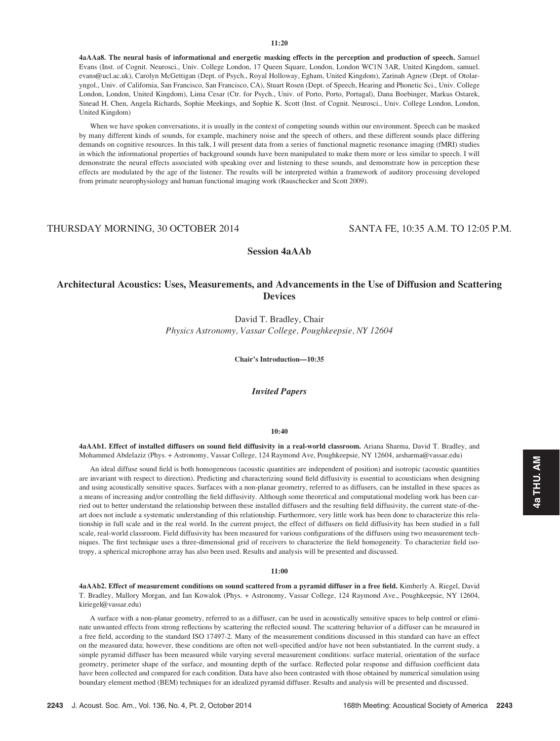## 11:20

4aAAa8. The neural basis of informational and energetic masking effects in the perception and production of speech. Samuel Evans (Inst. of Cognit. Neurosci., Univ. College London, 17 Queen Square, London, London WC1N 3AR, United Kingdom, samuel. evans@ucl.ac.uk), Carolyn McGettigan (Dept. of Psych., Royal Holloway, Egham, United Kingdom), Zarinah Agnew (Dept. of Otolaryngol., Univ. of California, San Francisco, San Francisco, CA), Stuart Rosen (Dept. of Speech, Hearing and Phonetic Sci., Univ. College London, London, United Kingdom), Lima Cesar (Ctr. for Psych., Univ. of Porto, Porto, Portugal), Dana Boebinger, Markus Ostarek, Sinead H. Chen, Angela Richards, Sophie Meekings, and Sophie K. Scott (Inst. of Cognit. Neurosci., Univ. College London, London, United Kingdom)

When we have spoken conversations, it is usually in the context of competing sounds within our environment. Speech can be masked by many different kinds of sounds, for example, machinery noise and the speech of others, and these different sounds place differing demands on cognitive resources. In this talk, I will present data from a series of functional magnetic resonance imaging (fMRI) studies in which the informational properties of background sounds have been manipulated to make them more or less similar to speech. I will demonstrate the neural effects associated with speaking over and listening to these sounds, and demonstrate how in perception these effects are modulated by the age of the listener. The results will be interpreted within a framework of auditory processing developed from primate neurophysiology and human functional imaging work (Rauschecker and Scott 2009).

## THURSDAY MORNING, 30 OCTOBER 2014 SANTA FE, 10:35 A.M. TO 12:05 P.M.

Session 4aAAb

# Architectural Acoustics: Uses, Measurements, and Advancements in the Use of Diffusion and Scattering Devices

David T. Bradley, Chair Physics Astronomy, Vassar College, Poughkeepsie, NY 12604

Chair's Introduction—10:35

Invited Papers

#### 10:40

4aAAb1. Effect of installed diffusers on sound field diffusivity in a real-world classroom. Ariana Sharma, David T. Bradley, and Mohammed Abdelaziz (Phys. + Astronomy, Vassar College, 124 Raymond Ave, Poughkeepsie, NY 12604, arsharma@vassar.edu)

An ideal diffuse sound field is both homogeneous (acoustic quantities are independent of position) and isotropic (acoustic quantities are invariant with respect to direction). Predicting and characterizing sound field diffusivity is essential to acousticians when designing and using acoustically sensitive spaces. Surfaces with a non-planar geometry, referred to as diffusers, can be installed in these spaces as a means of increasing and/or controlling the field diffusivity. Although some theoretical and computational modeling work has been carried out to better understand the relationship between these installed diffusers and the resulting field diffusivity, the current state-of-theart does not include a systematic understanding of this relationship. Furthermore, very little work has been done to characterize this relationship in full scale and in the real world. In the current project, the effect of diffusers on field diffusivity has been studied in a full scale, real-world classroom. Field diffusivity has been measured for various configurations of the diffusers using two measurement techniques. The first technique uses a three-dimensional grid of receivers to characterize the field homogeneity. To characterize field isotropy, a spherical microphone array has also been used. Results and analysis will be presented and discussed.

#### 11:00

4aAAb2. Effect of measurement conditions on sound scattered from a pyramid diffuser in a free field. Kimberly A. Riegel, David T. Bradley, Mallory Morgan, and Ian Kowalok (Phys. + Astronomy, Vassar College, 124 Raymond Ave., Poughkeepsie, NY 12604, kiriegel@vassar.edu)

A surface with a non-planar geometry, referred to as a diffuser, can be used in acoustically sensitive spaces to help control or eliminate unwanted effects from strong reflections by scattering the reflected sound. The scattering behavior of a diffuser can be measured in a free field, according to the standard ISO 17497-2. Many of the measurement conditions discussed in this standard can have an effect on the measured data; however, these conditions are often not well-specified and/or have not been substantiated. In the current study, a simple pyramid diffuser has been measured while varying several measurement conditions: surface material, orientation of the surface geometry, perimeter shape of the surface, and mounting depth of the surface. Reflected polar response and diffusion coefficient data have been collected and compared for each condition. Data have also been contrasted with those obtained by numerical simulation using boundary element method (BEM) techniques for an idealized pyramid diffuser. Results and analysis will be presented and discussed.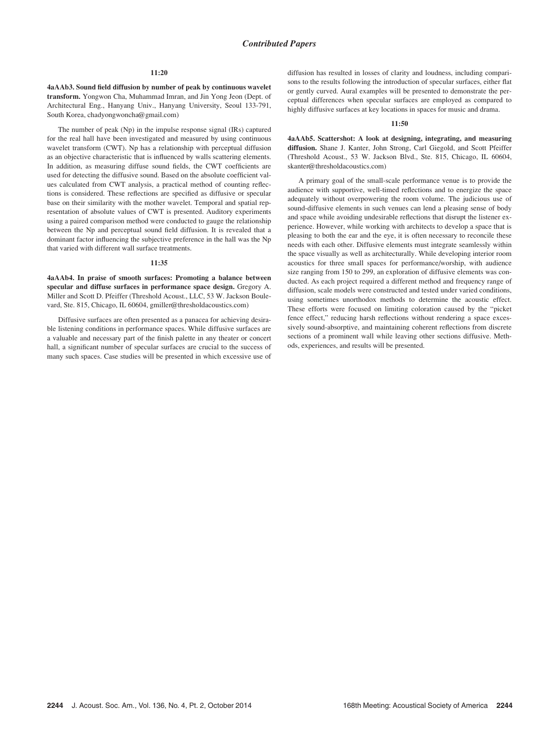#### 11:20

4aAAb3. Sound field diffusion by number of peak by continuous wavelet transform. Yongwon Cha, Muhammad Imran, and Jin Yong Jeon (Dept. of Architectural Eng., Hanyang Univ., Hanyang University, Seoul 133-791, South Korea, chadyongwoncha@gmail.com)

The number of peak (Np) in the impulse response signal (IRs) captured for the real hall have been investigated and measured by using continuous wavelet transform (CWT). Np has a relationship with perceptual diffusion as an objective characteristic that is influenced by walls scattering elements. In addition, as measuring diffuse sound fields, the CWT coefficients are used for detecting the diffusive sound. Based on the absolute coefficient values calculated from CWT analysis, a practical method of counting reflections is considered. These reflections are specified as diffusive or specular base on their similarity with the mother wavelet. Temporal and spatial representation of absolute values of CWT is presented. Auditory experiments using a paired comparison method were conducted to gauge the relationship between the Np and perceptual sound field diffusion. It is revealed that a dominant factor influencing the subjective preference in the hall was the Np that varied with different wall surface treatments.

### 11:35

4aAAb4. In praise of smooth surfaces: Promoting a balance between specular and diffuse surfaces in performance space design. Gregory A. Miller and Scott D. Pfeiffer (Threshold Acoust., LLC, 53 W. Jackson Boulevard, Ste. 815, Chicago, IL 60604, gmiller@thresholdacoustics.com)

Diffusive surfaces are often presented as a panacea for achieving desirable listening conditions in performance spaces. While diffusive surfaces are a valuable and necessary part of the finish palette in any theater or concert hall, a significant number of specular surfaces are crucial to the success of many such spaces. Case studies will be presented in which excessive use of diffusion has resulted in losses of clarity and loudness, including comparisons to the results following the introduction of specular surfaces, either flat or gently curved. Aural examples will be presented to demonstrate the perceptual differences when specular surfaces are employed as compared to highly diffusive surfaces at key locations in spaces for music and drama.

#### $11:50$

4aAAb5. Scattershot: A look at designing, integrating, and measuring diffusion. Shane J. Kanter, John Strong, Carl Giegold, and Scott Pfeiffer (Threshold Acoust., 53 W. Jackson Blvd., Ste. 815, Chicago, IL 60604, skanter@thresholdacoustics.com)

A primary goal of the small-scale performance venue is to provide the audience with supportive, well-timed reflections and to energize the space adequately without overpowering the room volume. The judicious use of sound-diffusive elements in such venues can lend a pleasing sense of body and space while avoiding undesirable reflections that disrupt the listener experience. However, while working with architects to develop a space that is pleasing to both the ear and the eye, it is often necessary to reconcile these needs with each other. Diffusive elements must integrate seamlessly within the space visually as well as architecturally. While developing interior room acoustics for three small spaces for performance/worship, with audience size ranging from 150 to 299, an exploration of diffusive elements was conducted. As each project required a different method and frequency range of diffusion, scale models were constructed and tested under varied conditions, using sometimes unorthodox methods to determine the acoustic effect. These efforts were focused on limiting coloration caused by the "picket fence effect," reducing harsh reflections without rendering a space excessively sound-absorptive, and maintaining coherent reflections from discrete sections of a prominent wall while leaving other sections diffusive. Methods, experiences, and results will be presented.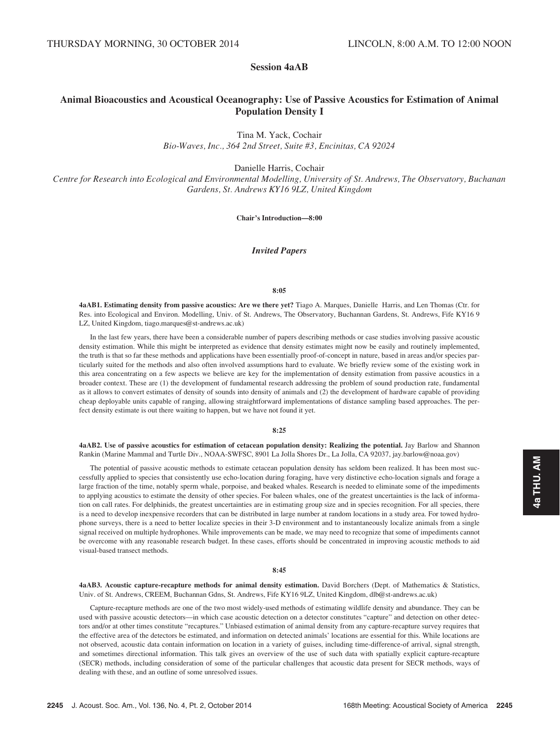# Session 4aAB

# Animal Bioacoustics and Acoustical Oceanography: Use of Passive Acoustics for Estimation of Animal Population Density I

Tina M. Yack, Cochair

Bio-Waves, Inc., 364 2nd Street, Suite #3, Encinitas, CA 92024

Danielle Harris, Cochair

Centre for Research into Ecological and Environmental Modelling, University of St. Andrews, The Observatory, Buchanan Gardens, St. Andrews KY16 9LZ, United Kingdom

Chair's Introduction—8:00

## Invited Papers

#### 8:05

4aAB1. Estimating density from passive acoustics: Are we there yet? Tiago A. Marques, Danielle Harris, and Len Thomas (Ctr. for Res. into Ecological and Environ. Modelling, Univ. of St. Andrews, The Observatory, Buchannan Gardens, St. Andrews, Fife KY16 9 LZ, United Kingdom, tiago.marques@st-andrews.ac.uk)

In the last few years, there have been a considerable number of papers describing methods or case studies involving passive acoustic density estimation. While this might be interpreted as evidence that density estimates might now be easily and routinely implemented, the truth is that so far these methods and applications have been essentially proof-of-concept in nature, based in areas and/or species particularly suited for the methods and also often involved assumptions hard to evaluate. We briefly review some of the existing work in this area concentrating on a few aspects we believe are key for the implementation of density estimation from passive acoustics in a broader context. These are (1) the development of fundamental research addressing the problem of sound production rate, fundamental as it allows to convert estimates of density of sounds into density of animals and (2) the development of hardware capable of providing cheap deployable units capable of ranging, allowing straightforward implementations of distance sampling based approaches. The perfect density estimate is out there waiting to happen, but we have not found it yet.

## 8:25

4aAB2. Use of passive acoustics for estimation of cetacean population density: Realizing the potential. Jay Barlow and Shannon Rankin (Marine Mammal and Turtle Div., NOAA-SWFSC, 8901 La Jolla Shores Dr., La Jolla, CA 92037, jay.barlow@noaa.gov)

The potential of passive acoustic methods to estimate cetacean population density has seldom been realized. It has been most successfully applied to species that consistently use echo-location during foraging, have very distinctive echo-location signals and forage a large fraction of the time, notably sperm whale, porpoise, and beaked whales. Research is needed to eliminate some of the impediments to applying acoustics to estimate the density of other species. For baleen whales, one of the greatest uncertainties is the lack of information on call rates. For delphinids, the greatest uncertainties are in estimating group size and in species recognition. For all species, there is a need to develop inexpensive recorders that can be distributed in large number at random locations in a study area. For towed hydrophone surveys, there is a need to better localize species in their 3-D environment and to instantaneously localize animals from a single signal received on multiple hydrophones. While improvements can be made, we may need to recognize that some of impediments cannot be overcome with any reasonable research budget. In these cases, efforts should be concentrated in improving acoustic methods to aid visual-based transect methods.

#### 8:45

4aAB3. Acoustic capture-recapture methods for animal density estimation. David Borchers (Dept. of Mathematics & Statistics, Univ. of St. Andrews, CREEM, Buchannan Gdns, St. Andrews, Fife KY16 9LZ, United Kingdom, dlb@st-andrews.ac.uk)

Capture-recapture methods are one of the two most widely-used methods of estimating wildlife density and abundance. They can be used with passive acoustic detectors—in which case acoustic detection on a detector constitutes "capture" and detection on other detectors and/or at other times constitute "recaptures." Unbiased estimation of animal density from any capture-recapture survey requires that the effective area of the detectors be estimated, and information on detected animals' locations are essential for this. While locations are not observed, acoustic data contain information on location in a variety of guises, including time-difference-of arrival, signal strength, and sometimes directional information. This talk gives an overview of the use of such data with spatially explicit capture-recapture (SECR) methods, including consideration of some of the particular challenges that acoustic data present for SECR methods, ways of dealing with these, and an outline of some unresolved issues.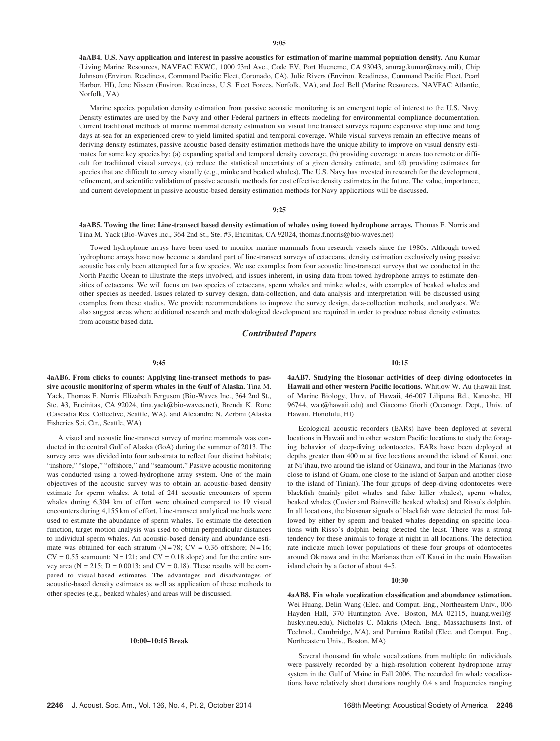4aAB4. U.S. Navy application and interest in passive acoustics for estimation of marine mammal population density. Anu Kumar (Living Marine Resources, NAVFAC EXWC, 1000 23rd Ave., Code EV, Port Hueneme, CA 93043, anurag.kumar@navy.mil), Chip Johnson (Environ. Readiness, Command Pacific Fleet, Coronado, CA), Julie Rivers (Environ. Readiness, Command Pacific Fleet, Pearl Harbor, HI), Jene Nissen (Environ. Readiness, U.S. Fleet Forces, Norfolk, VA), and Joel Bell (Marine Resources, NAVFAC Atlantic, Norfolk, VA)

Marine species population density estimation from passive acoustic monitoring is an emergent topic of interest to the U.S. Navy. Density estimates are used by the Navy and other Federal partners in effects modeling for environmental compliance documentation. Current traditional methods of marine mammal density estimation via visual line transect surveys require expensive ship time and long days at-sea for an experienced crew to yield limited spatial and temporal coverage. While visual surveys remain an effective means of deriving density estimates, passive acoustic based density estimation methods have the unique ability to improve on visual density estimates for some key species by: (a) expanding spatial and temporal density coverage, (b) providing coverage in areas too remote or difficult for traditional visual surveys, (c) reduce the statistical uncertainty of a given density estimate, and (d) providing estimates for species that are difficult to survey visually (e.g., minke and beaked whales). The U.S. Navy has invested in research for the development, refinement, and scientific validation of passive acoustic methods for cost effective density estimates in the future. The value, importance, and current development in passive acoustic-based density estimation methods for Navy applications will be discussed.

#### 9:25

4aAB5. Towing the line: Line-transect based density estimation of whales using towed hydrophone arrays. Thomas F. Norris and Tina M. Yack (Bio-Waves Inc., 364 2nd St., Ste. #3, Encinitas, CA 92024, thomas.f.norris@bio-waves.net)

Towed hydrophone arrays have been used to monitor marine mammals from research vessels since the 1980s. Although towed hydrophone arrays have now become a standard part of line-transect surveys of cetaceans, density estimation exclusively using passive acoustic has only been attempted for a few species. We use examples from four acoustic line-transect surveys that we conducted in the North Pacific Ocean to illustrate the steps involved, and issues inherent, in using data from towed hydrophone arrays to estimate densities of cetaceans. We will focus on two species of cetaceans, sperm whales and minke whales, with examples of beaked whales and other species as needed. Issues related to survey design, data-collection, and data analysis and interpretation will be discussed using examples from these studies. We provide recommendations to improve the survey design, data-collection methods, and analyses. We also suggest areas where additional research and methodological development are required in order to produce robust density estimates from acoustic based data.

## Contributed Papers

#### 9:45

4aAB6. From clicks to counts: Applying line-transect methods to passive acoustic monitoring of sperm whales in the Gulf of Alaska. Tina M. Yack, Thomas F. Norris, Elizabeth Ferguson (Bio-Waves Inc., 364 2nd St., Ste. #3, Encinitas, CA 92024, tina.yack@bio-waves.net), Brenda K. Rone (Cascadia Res. Collective, Seattle, WA), and Alexandre N. Zerbini (Alaska Fisheries Sci. Ctr., Seattle, WA)

A visual and acoustic line-transect survey of marine mammals was conducted in the central Gulf of Alaska (GoA) during the summer of 2013. The survey area was divided into four sub-strata to reflect four distinct habitats; "inshore," "slope," "offshore," and "seamount." Passive acoustic monitoring was conducted using a towed-hydrophone array system. One of the main objectives of the acoustic survey was to obtain an acoustic-based density estimate for sperm whales. A total of 241 acoustic encounters of sperm whales during 6,304 km of effort were obtained compared to 19 visual encounters during 4,155 km of effort. Line-transect analytical methods were used to estimate the abundance of sperm whales. To estimate the detection function, target motion analysis was used to obtain perpendicular distances to individual sperm whales. An acoustic-based density and abundance estimate was obtained for each stratum ( $N = 78$ ; CV = 0.36 offshore; N = 16;  $CV = 0.55$  seamount;  $N = 121$ ; and  $CV = 0.18$  slope) and for the entire survey area ( $N = 215$ ;  $D = 0.0013$ ; and  $CV = 0.18$ ). These results will be compared to visual-based estimates. The advantages and disadvantages of acoustic-based density estimates as well as application of these methods to other species (e.g., beaked whales) and areas will be discussed.

#### 10:00–10:15 Break

10:15

4aAB7. Studying the biosonar activities of deep diving odontocetes in Hawaii and other western Pacific locations. Whitlow W. Au (Hawaii Inst. of Marine Biology, Univ. of Hawaii, 46-007 Lilipuna Rd., Kaneohe, HI 96744, wau@hawaii.edu) and Giacomo Giorli (Oceanogr. Dept., Univ. of Hawaii, Honolulu, HI)

Ecological acoustic recorders (EARs) have been deployed at several locations in Hawaii and in other western Pacific locations to study the foraging behavior of deep-diving odontocetes. EARs have been deployed at depths greater than 400 m at five locations around the island of Kauai, one at Ni'ihau, two around the island of Okinawa, and four in the Marianas (two close to island of Guam, one close to the island of Saipan and another close to the island of Tinian). The four groups of deep-diving odontocetes were blackfish (mainly pilot whales and false killer whales), sperm whales, beaked whales (Cuvier and Bainsville beaked whales) and Risso's dolphin. In all locations, the biosonar signals of blackfish were detected the most followed by either by sperm and beaked whales depending on specific locations with Risso's dolphin being detected the least. There was a strong tendency for these animals to forage at night in all locations. The detection rate indicate much lower populations of these four groups of odontocetes around Okinawa and in the Marianas then off Kauai in the main Hawaiian island chain by a factor of about 4–5.

#### 10:30

4aAB8. Fin whale vocalization classification and abundance estimation. Wei Huang, Delin Wang (Elec. and Comput. Eng., Northeastern Univ., 006 Hayden Hall, 370 Huntington Ave., Boston, MA 02115, huang.wei1@ husky.neu.edu), Nicholas C. Makris (Mech. Eng., Massachusetts Inst. of Technol., Cambridge, MA), and Purnima Ratilal (Elec. and Comput. Eng., Northeastern Univ., Boston, MA)

Several thousand fin whale vocalizations from multiple fin individuals were passively recorded by a high-resolution coherent hydrophone array system in the Gulf of Maine in Fall 2006. The recorded fin whale vocalizations have relatively short durations roughly 0.4 s and frequencies ranging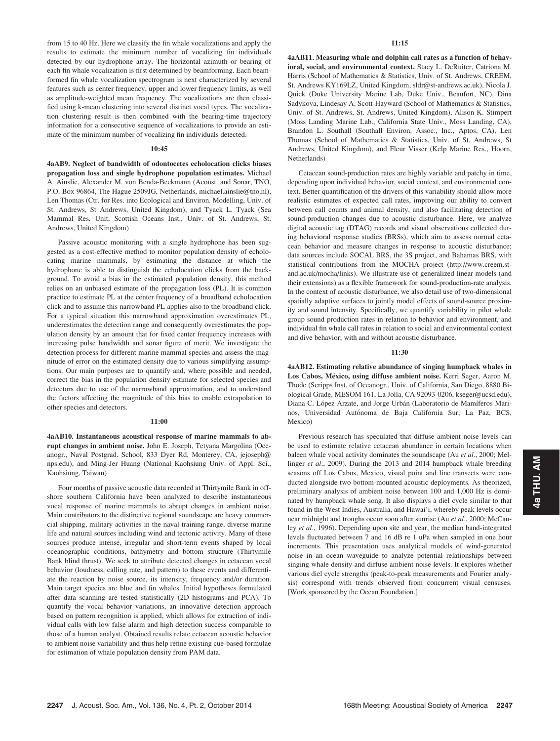from 15 to 40 Hz. Here we classify the fin whale vocalizations and apply the results to estimate the minimum number of vocalizing fin individuals detected by our hydrophone array. The horizontal azimuth or bearing of each fin whale vocalization is first determined by beamforming. Each beamformed fin whale vocalization spectrogram is next characterized by several features such as center frequency, upper and lower frequency limits, as well as amplitude-weighted mean frequency. The vocalizations are then classified using k-mean clustering into several distinct vocal types. The vocalization clustering result is then combined with the bearing-time trajectory information for a consecutive sequence of vocalizations to provide an estimate of the minimum number of vocalizing fin individuals detected.

#### 10:45

4aAB9. Neglect of bandwidth of odontocetes echolocation clicks biases propagation loss and single hydrophone population estimates. Michael A. Ainslie, Alexander M. von Benda-Beckmann (Acoust. and Sonar, TNO, P.O. Box 96864, The Hague 2509JG, Netherlands, michael.ainslie@tno.nl), Len Thomas (Ctr. for Res. into Ecological and Environ. Modelling, Univ. of St. Andrews, St Andrews, United Kingdom), and Tyack L. Tyack (Sea Mammal Res. Unit, Scottish Oceans Inst., Univ. of St. Andrews, St. Andrews, United Kingdom)

Passive acoustic monitoring with a single hydrophone has been suggested as a cost-effective method to monitor population density of echolocating marine mammals, by estimating the distance at which the hydrophone is able to distinguish the echolocation clicks from the background. To avoid a bias in the estimated population density, this method relies on an unbiased estimate of the propagation loss (PL). It is common practice to estimate PL at the center frequency of a broadband echolocation click and to assume this narrowband PL applies also to the broadband click. For a typical situation this narrowband approximation overestimates PL, underestimates the detection range and consequently overestimates the population density by an amount that for fixed center frequency increases with increasing pulse bandwidth and sonar figure of merit. We investigate the detection process for different marine mammal species and assess the magnitude of error on the estimated density due to various simplifying assumptions. Our main purposes are to quantify and, where possible and needed, correct the bias in the population density estimate for selected species and detectors due to use of the narrowband approximation, and to understand the factors affecting the magnitude of this bias to enable extrapolation to other species and detectors.

#### 11:00

4aAB10. Instantaneous acoustical response of marine mammals to abrupt changes in ambient noise. John E. Joseph, Tetyana Margolina (Oceanogr., Naval Postgrad. School, 833 Dyer Rd, Monterey, CA, jejoseph@ nps.edu), and Ming-Jer Huang (National Kaohsiung Univ. of Appl. Sci., Kaohsiung, Taiwan)

Four months of passive acoustic data recorded at Thirtymile Bank in offshore southern California have been analyzed to describe instantaneous vocal response of marine mammals to abrupt changes in ambient noise. Main contributors to the distinctive regional soundscape are heavy commercial shipping, military activities in the naval training range, diverse marine life and natural sources including wind and tectonic activity. Many of these sources produce intense, irregular and short-term events shaped by local oceanographic conditions, bathymetry and bottom structure (Thirtymile Bank blind thrust). We seek to attribute detected changes in cetacean vocal behavior (loudness, calling rate, and pattern) to these events and differentiate the reaction by noise source, its intensity, frequency and/or duration. Main target species are blue and fin whales. Initial hypotheses formulated after data scanning are tested statistically (2D histograms and PCA). To quantify the vocal behavior variations, an innovative detection approach based on pattern recognition is applied, which allows for extraction of individual calls with low false alarm and high detection success comparable to those of a human analyst. Obtained results relate cetacean acoustic behavior to ambient noise variability and thus help refine existing cue-based formulae for estimation of whale population density from PAM data.

4aAB11. Measuring whale and dolphin call rates as a function of behavioral, social, and environmental context. Stacy L. DeRuiter, Catriona M. Harris (School of Mathematics & Statistics, Univ. of St. Andrews, CREEM, St. Andrews KY169LZ, United Kingdom, sldr@st-andrews.ac.uk), Nicola J. Quick (Duke University Marine Lab, Duke Univ., Beaufort, NC), Dina Sadykova, Lindesay A. Scott-Hayward (School of Mathematics & Statistics, Univ. of St. Andrews, St. Andrews, United Kingdom), Alison K. Stimpert (Moss Landing Marine Lab., California State Univ., Moss Landing, CA), Brandon L. Southall (Southall Environ. Assoc., Inc., Aptos, CA), Len Thomas (School of Mathematics & Statistics, Univ. of St. Andrews, St Andrews, United Kingdom), and Fleur Visser (Kelp Marine Res., Hoorn, Netherlands)

Cetacean sound-production rates are highly variable and patchy in time, depending upon individual behavior, social context, and environmental context. Better quantification of the drivers of this variability should allow more realistic estimates of expected call rates, improving our ability to convert between call counts and animal density, and also facilitating detection of sound-production changes due to acoustic disturbance. Here, we analyze digital acoustic tag (DTAG) records and visual observations collected during behavioral response studies (BRSs), which aim to assess normal cetacean behavior and measure changes in response to acoustic disturbance; data sources include SOCAL BRS, the 3S project, and Bahamas BRS, with statistical contributions from the MOCHA project (http://www.creem.stand.ac.uk/mocha/links). We illustrate use of generalized linear models (and their extensions) as a flexible framework for sound-production-rate analysis. In the context of acoustic disturbance, we also detail use of two-dimensional spatially adaptive surfaces to jointly model effects of sound-source proximity and sound intensity. Specifically, we quantify variability in pilot whale group sound production rates in relation to behavior and environment, and individual fin whale call rates in relation to social and environmental context and dive behavior; with and without acoustic disturbance.

#### 11:30

4aAB12. Estimating relative abundance of singing humpback whales in Los Cabos, México, using diffuse ambient noise. Kerri Seger, Aaron M. Thode (Scripps Inst. of Oceanogr., Univ. of California, San Diego, 8880 Biological Grade, MESOM 161, La Jolla, CA 92093-0206, kseger@ucsd.edu), Diana C. López Arzate, and Jorge Urbán (Laboratorio de Mamíferos Marinos, Universidad Autónoma de Baja California Sur, La Paz, BCS, Mexico)

Previous research has speculated that diffuse ambient noise levels can be used to estimate relative cetacean abundance in certain locations when baleen whale vocal activity dominates the soundscape (Au et al., 2000; Mellinger et al., 2009). During the 2013 and 2014 humpback whale breeding seasons off Los Cabos, Mexico, visual point and line transects were conducted alongside two bottom-mounted acoustic deployments. As theorized, preliminary analysis of ambient noise between 100 and 1,000 Hz is dominated by humpback whale song. It also displays a diel cycle similar to that found in the West Indies, Australia, and Hawai'i, whereby peak levels occur near midnight and troughs occur soon after sunrise (Au et al., 2000; McCauley et al., 1996). Depending upon site and year, the median band-integrated levels fluctuated between 7 and 16 dB re 1 uPa when sampled in one hour increments. This presentation uses analytical models of wind-generated noise in an ocean waveguide to analyze potential relationships between singing whale density and diffuse ambient noise levels. It explores whether various diel cycle strengths (peak-to-peak measurements and Fourier analysis) correspond with trends observed from concurrent visual censuses. [Work sponsored by the Ocean Foundation.]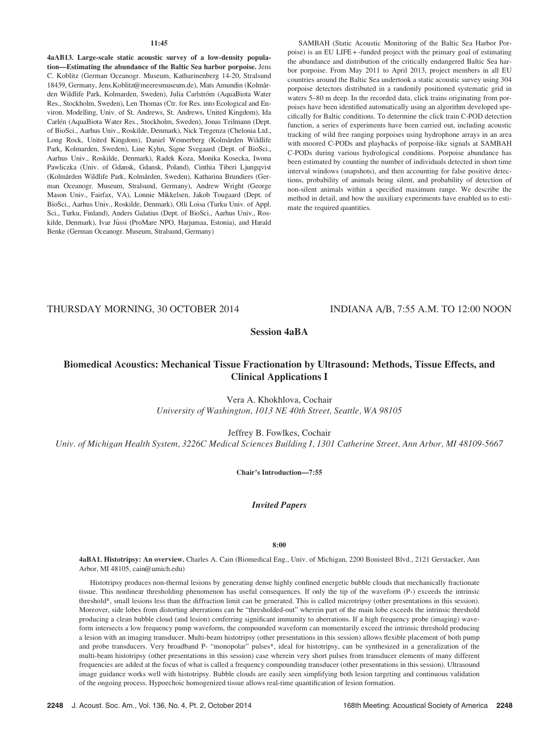#### $11:45$

4aAB13. Large-scale static acoustic survey of a low-density population—Estimating the abundance of the Baltic Sea harbor porpoise. Jens C. Koblitz (German Oceanogr. Museum, Katharinenberg 14-20, Stralsund 18439, Germany, Jens.Koblitz@meeresmuseum.de), Mats Amundin (Kolmården Wildlife Park, Kolmarden, Sweden), Julia Carlström (AquaBiota Water Res., Stockholm, Sweden), Len Thomas (Ctr. for Res. into Ecological and Environ. Modelling, Univ. of St. Andrews, St. Andrews, United Kingdom), Ida Carlén (AquaBiota Water Res., Stockholm, Sweden), Jonas Teilmann (Dept. of BioSci., Aarhus Univ., Roskilde, Denmark), Nick Tregenza (Chelonia Ltd., Long Rock, United Kingdom), Daniel Wennerberg (Kolmården Wildlife Park, Kolmarden, Sweden), Line Kyhn, Signe Svegaard (Dept. of BioSci., Aarhus Univ., Roskilde, Denmark), Radek Koza, Monika Kosecka, Iwona Pawliczka (Univ. of Gdansk, Gdansk, Poland), Cinthia Tiberi Ljungqvist (Kolmården Wildlife Park, Kolmården, Sweden), Katharina Brundiers (German Oceanogr. Museum, Stralsund, Germany), Andrew Wright (George Mason Univ., Fairfax, VA), Lonnie Mikkelsen, Jakob Tougaard (Dept. of BioSci., Aarhus Univ., Roskilde, Denmark), Olli Loisa (Turku Univ. of Appl. Sci., Turku, Finland), Anders Galatius (Dept. of BioSci., Aarhus Univ., Roskilde, Denmark), Ivar Jüssi (ProMare NPO, Harjumaa, Estonia), and Harald Benke (German Oceanogr. Museum, Stralsund, Germany)

SAMBAH (Static Acoustic Monitoring of the Baltic Sea Harbor Porpoise) is an EU LIFE + -funded project with the primary goal of estimating the abundance and distribution of the critically endangered Baltic Sea harbor porpoise. From May 2011 to April 2013, project members in all EU countries around the Baltic Sea undertook a static acoustic survey using 304 porpoise detectors distributed in a randomly positioned systematic grid in waters 5–80 m deep. In the recorded data, click trains originating from porpoises have been identified automatically using an algorithm developed specifically for Baltic conditions. To determine the click train C-POD detection function, a series of experiments have been carried out, including acoustic tracking of wild free ranging porpoises using hydrophone arrays in an area with moored C-PODs and playbacks of porpoise-like signals at SAMBAH C-PODs during various hydrological conditions. Porpoise abundance has been estimated by counting the number of individuals detected in short time interval windows (snapshots), and then accounting for false positive detections, probability of animals being silent, and probability of detection of non-silent animals within a specified maximum range. We describe the method in detail, and how the auxiliary experiments have enabled us to estimate the required quantities.

THURSDAY MORNING, 30 OCTOBER 2014 INDIANA A/B, 7:55 A.M. TO 12:00 NOON

# Session 4aBA

# Biomedical Acoustics: Mechanical Tissue Fractionation by Ultrasound: Methods, Tissue Effects, and Clinical Applications I

Vera A. Khokhlova, Cochair University of Washington, 1013 NE 40th Street, Seattle, WA 98105

Jeffrey B. Fowlkes, Cochair

Univ. of Michigan Health System, 3226C Medical Sciences Building I, 1301 Catherine Street, Ann Arbor, MI 48109-5667

Chair's Introduction—7:55

Invited Papers

8:00

4aBA1. Histotripsy: An overview. Charles A. Cain (Biomedical Eng., Univ. of Michigan, 2200 Bonisteel Blvd., 2121 Gerstacker, Ann Arbor, MI 48105, cain@umich.edu)

Histotripsy produces non-thermal lesions by generating dense highly confined energetic bubble clouds that mechanically fractionate tissue. This nonlinear thresholding phenomenon has useful consequences. If only the tip of the waveform (P-) exceeds the intrinsic threshold\*, small lesions less than the diffraction limit can be generated. This is called microtripsy (other presentations in this session). Moreover, side lobes from distorting aberrations can be "thresholded-out" wherein part of the main lobe exceeds the intrinsic threshold producing a clean bubble cloud (and lesion) conferring significant immunity to aberrations. If a high frequency probe (imaging) waveform intersects a low frequency pump waveform, the compounded waveform can momentarily exceed the intrinsic threshold producing a lesion with an imaging transducer. Multi-beam histotripsy (other presentations in this session) allows flexible placement of both pump and probe transducers. Very broadband P- "monopolar" pulses\*, ideal for histotripsy, can be synthesized in a generalization of the multi-beam histotripsy (other presentations in this session) case wherein very short pulses from transducer elements of many different frequencies are added at the focus of what is called a frequency compounding transducer (other presentations in this session). Ultrasound image guidance works well with histotripsy. Bubble clouds are easily seen simplifying both lesion targeting and continuous validation of the ongoing process. Hypoechoic homogenized tissue allows real-time quantification of lesion formation.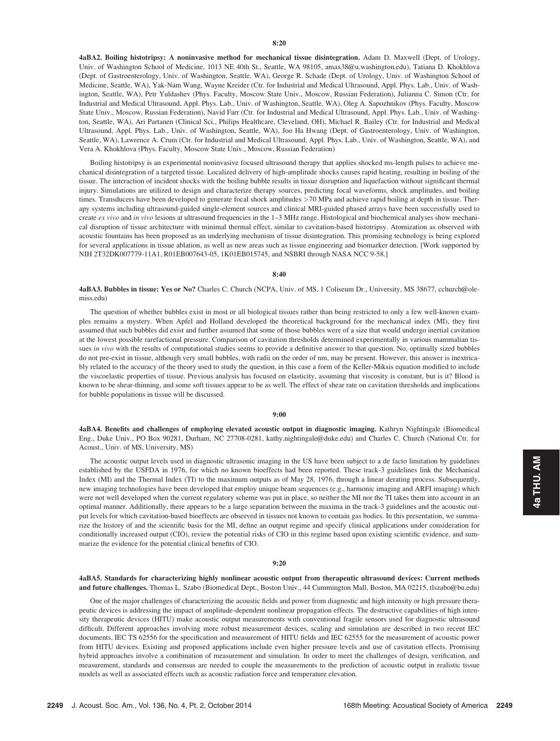4aBA2. Boiling histotripsy: A noninvasive method for mechanical tissue disintegration. Adam D. Maxwell (Dept. of Urology, Univ. of Washington School of Medicine, 1013 NE 40th St., Seattle, WA 98105, amax38@u.washington.edu), Tatiana D. Khokhlova (Dept. of Gastroenterology, Univ. of Washington, Seattle, WA), George R. Schade (Dept. of Urology, Univ. of Washington School of Medicine, Seattle, WA), Yak-Nam Wang, Wayne Kreider (Ctr. for Industrial and Medical Ultrasound, Appl. Phys. Lab., Univ. of Washington, Seattle, WA), Petr Yuldashev (Phys. Faculty, Moscow State Univ., Moscow, Russian Federation), Julianna C. Simon (Ctr. for Industrial and Medical Ultrasound, Appl. Phys. Lab., Univ. of Washington, Seattle, WA), Oleg A. Sapozhnikov (Phys. Faculty, Moscow State Univ., Moscow, Russian Federation), Navid Farr (Ctr. for Industrial and Medical Ultrasound, Appl. Phys. Lab., Univ. of Washington, Seattle, WA), Ari Partanen (Clinical Sci., Philips Healthcare, Cleveland, OH), Michael R. Bailey (Ctr. for Industrial and Medical Ultrasound, Appl. Phys. Lab., Univ. of Washington, Seattle, WA), Joo Ha Hwang (Dept. of Gastroenterology, Univ. of Washington, Seattle, WA), Lawrence A. Crum (Ctr. for Industrial and Medical Ultrasound, Appl. Phys. Lab., Univ. of Washington, Seattle, WA), and Vera A. Khokhlova (Phys. Faculty, Moscow State Univ., Moscow, Russian Federation)

Boiling histotripsy is an experimental noninvasive focused ultrasound therapy that applies shocked ms-length pulses to achieve mechanical disintegration of a targeted tissue. Localized delivery of high-amplitude shocks causes rapid heating, resulting in boiling of the tissue. The interaction of incident shocks with the boiling bubble results in tissue disruption and liquefaction without significant thermal injury. Simulations are utilized to design and characterize therapy sources, predicting focal waveforms, shock amplitudes, and boiling times. Transducers have been developed to generate focal shock amplitudes >70 MPa and achieve rapid boiling at depth in tissue. Therapy systems including ultrasound-guided single-element sources and clinical MRI-guided phased arrays have been successfully used to create ex vivo and in vivo lesions at ultrasound frequencies in the 1-3 MHz range. Histological and biochemical analyses show mechanical disruption of tissue architecture with minimal thermal effect, similar to cavitation-based histotripsy. Atomization as observed with acoustic fountains has been proposed as an underlying mechanism of tissue disintegration. This promising technology is being explored for several applications in tissue ablation, as well as new areas such as tissue engineering and biomarker detection. [Work supported by NIH 2T32DK007779-11A1, R01EB007643-05, 1K01EB015745, and NSBRI through NASA NCC 9-58.]

#### 8:40

4aBA3. Bubbles in tissue: Yes or No? Charles C. Church (NCPA, Univ. of MS, 1 Coliseum Dr., University, MS 38677, cchurch@olemiss.edu)

The question of whether bubbles exist in most or all biological tissues rather than being restricted to only a few well-known examples remains a mystery. When Apfel and Holland developed the theoretical background for the mechanical index (MI), they first assumed that such bubbles did exist and further assumed that some of those bubbles were of a size that would undergo inertial cavitation at the lowest possible rarefactional pressure. Comparison of cavitation thresholds determined experimentally in various mammalian tissues in vivo with the results of computational studies seems to provide a definitive answer to that question. No, optimally sized bubbles do not pre-exist in tissue, although very small bubbles, with radii on the order of nm, may be present. However, this answer is inextricably related to the accuracy of the theory used to study the question, in this case a form of the Keller-Miksis equation modified to include the viscoelastic properties of tissue. Previous analysis has focused on elasticity, assuming that viscosity is constant, but is it? Blood is known to be shear-thinning, and some soft tissues appear to be as well. The effect of shear rate on cavitation thresholds and implications for bubble populations in tissue will be discussed.

### 9:00

4aBA4. Benefits and challenges of employing elevated acoustic output in diagnostic imaging. Kathryn Nightingale (Biomedical Eng., Duke Univ., PO Box 90281, Durham, NC 27708-0281, kathy.nightingale@duke.edu) and Charles C. Church (National Ctr. for Acoust., Univ. of MS, University, MS)

The acoustic output levels used in diagnostic ultrasonic imaging in the US have been subject to a de facto limitation by guidelines established by the USFDA in 1976, for which no known bioeffects had been reported. These track-3 guidelines link the Mechanical Index (MI) and the Thermal Index (TI) to the maximum outputs as of May 28, 1976, through a linear derating process. Subsequently, new imaging technologies have been developed that employ unique beam sequences (e.g., harmonic imaging and ARFI imaging) which were not well developed when the current regulatory scheme was put in place, so neither the MI nor the TI takes them into account in an optimal manner. Additionally, there appears to be a large separation between the maxima in the track-3 guidelines and the acoustic output levels for which cavitation-based bioeffects are observed in tissues not known to contain gas bodies. In this presentation, we summarize the history of and the scientific basis for the MI, define an output regime and specify clinical applications under consideration for conditionally increased output (CIO), review the potential risks of CIO in this regime based upon existing scientific evidence, and summarize the evidence for the potential clinical benefits of CIO.

#### 9:20

4aBA5. Standards for characterizing highly nonlinear acoustic output from therapeutic ultrasound devices: Current methods and future challenges. Thomas L. Szabo (Biomedical Dept., Boston Univ., 44 Cummington Mall, Boston, MA 02215, tlszabo@bu.edu)

One of the major challenges of characterizing the acoustic fields and power from diagnostic and high intensity or high pressure therapeutic devices is addressing the impact of amplitude-dependent nonlinear propagation effects. The destructive capabilities of high intensity therapeutic devices (HITU) make acoustic output measurements with conventional fragile sensors used for diagnostic ultrasound difficult. Different approaches involving more robust measurement devices, scaling and simulation are described in two recent IEC documents, IEC TS 62556 for the specification and measurement of HITU fields and IEC 62555 for the measurement of acoustic power from HITU devices. Existing and proposed applications include even higher pressure levels and use of cavitation effects. Promising hybrid approaches involve a combination of measurement and simulation. In order to meet the challenges of design, verification, and measurement, standards and consensus are needed to couple the measurements to the prediction of acoustic output in realistic tissue models as well as associated effects such as acoustic radiation force and temperature elevation.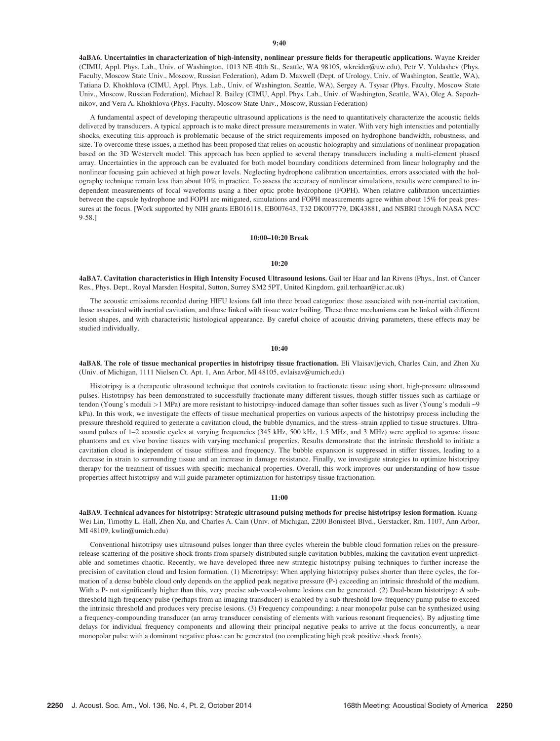4aBA6. Uncertainties in characterization of high-intensity, nonlinear pressure fields for therapeutic applications. Wayne Kreider (CIMU, Appl. Phys. Lab., Univ. of Washington, 1013 NE 40th St., Seattle, WA 98105, wkreider@uw.edu), Petr V. Yuldashev (Phys. Faculty, Moscow State Univ., Moscow, Russian Federation), Adam D. Maxwell (Dept. of Urology, Univ. of Washington, Seattle, WA), Tatiana D. Khokhlova (CIMU, Appl. Phys. Lab., Univ. of Washington, Seattle, WA), Sergey A. Tsysar (Phys. Faculty, Moscow State Univ., Moscow, Russian Federation), Michael R. Bailey (CIMU, Appl. Phys. Lab., Univ. of Washington, Seattle, WA), Oleg A. Sapozhnikov, and Vera A. Khokhlova (Phys. Faculty, Moscow State Univ., Moscow, Russian Federation)

A fundamental aspect of developing therapeutic ultrasound applications is the need to quantitatively characterize the acoustic fields delivered by transducers. A typical approach is to make direct pressure measurements in water. With very high intensities and potentially shocks, executing this approach is problematic because of the strict requirements imposed on hydrophone bandwidth, robustness, and size. To overcome these issues, a method has been proposed that relies on acoustic holography and simulations of nonlinear propagation based on the 3D Westervelt model. This approach has been applied to several therapy transducers including a multi-element phased array. Uncertainties in the approach can be evaluated for both model boundary conditions determined from linear holography and the nonlinear focusing gain achieved at high power levels. Neglecting hydrophone calibration uncertainties, errors associated with the holography technique remain less than about 10% in practice. To assess the accuracy of nonlinear simulations, results were compared to independent measurements of focal waveforms using a fiber optic probe hydrophone (FOPH). When relative calibration uncertainties between the capsule hydrophone and FOPH are mitigated, simulations and FOPH measurements agree within about 15% for peak pressures at the focus. [Work supported by NIH grants EB016118, EB007643, T32 DK007779, DK43881, and NSBRI through NASA NCC 9-58.]

## 10:00–10:20 Break

## 10:20

4aBA7. Cavitation characteristics in High Intensity Focused Ultrasound lesions. Gail ter Haar and Ian Rivens (Phys., Inst. of Cancer Res., Phys. Dept., Royal Marsden Hospital, Sutton, Surrey SM2 5PT, United Kingdom, gail.terhaar@icr.ac.uk)

The acoustic emissions recorded during HIFU lesions fall into three broad categories: those associated with non-inertial cavitation, those associated with inertial cavitation, and those linked with tissue water boiling. These three mechanisms can be linked with different lesion shapes, and with characteristic histological appearance. By careful choice of acoustic driving parameters, these effects may be studied individually.

10:40

4aBA8. The role of tissue mechanical properties in histotripsy tissue fractionation. Eli Vlaisavljevich, Charles Cain, and Zhen Xu (Univ. of Michigan, 1111 Nielsen Ct. Apt. 1, Ann Arbor, MI 48105, evlaisav@umich.edu)

Histotripsy is a therapeutic ultrasound technique that controls cavitation to fractionate tissue using short, high-pressure ultrasound pulses. Histotripsy has been demonstrated to successfully fractionate many different tissues, though stiffer tissues such as cartilage or tendon (Young's moduli >1 MPa) are more resistant to histotripsy-induced damage than softer tissues such as liver (Young's moduli ~9 kPa). In this work, we investigate the effects of tissue mechanical properties on various aspects of the histotripsy process including the pressure threshold required to generate a cavitation cloud, the bubble dynamics, and the stress–strain applied to tissue structures. Ultrasound pulses of 1-2 acoustic cycles at varying frequencies (345 kHz, 500 kHz, 1.5 MHz, and 3 MHz) were applied to agarose tissue phantoms and ex vivo bovine tissues with varying mechanical properties. Results demonstrate that the intrinsic threshold to initiate a cavitation cloud is independent of tissue stiffness and frequency. The bubble expansion is suppressed in stiffer tissues, leading to a decrease in strain to surrounding tissue and an increase in damage resistance. Finally, we investigate strategies to optimize histotripsy therapy for the treatment of tissues with specific mechanical properties. Overall, this work improves our understanding of how tissue properties affect histotripsy and will guide parameter optimization for histotripsy tissue fractionation.

#### 11:00

4aBA9. Technical advances for histotripsy: Strategic ultrasound pulsing methods for precise histotripsy lesion formation. Kuang-Wei Lin, Timothy L. Hall, Zhen Xu, and Charles A. Cain (Univ. of Michigan, 2200 Bonisteel Blvd., Gerstacker, Rm. 1107, Ann Arbor, MI 48109, kwlin@umich.edu)

Conventional histotripsy uses ultrasound pulses longer than three cycles wherein the bubble cloud formation relies on the pressurerelease scattering of the positive shock fronts from sparsely distributed single cavitation bubbles, making the cavitation event unpredictable and sometimes chaotic. Recently, we have developed three new strategic histotripsy pulsing techniques to further increase the precision of cavitation cloud and lesion formation. (1) Microtripsy: When applying histotripsy pulses shorter than three cycles, the formation of a dense bubble cloud only depends on the applied peak negative pressure (P-) exceeding an intrinsic threshold of the medium. With a P- not significantly higher than this, very precise sub-vocal-volume lesions can be generated. (2) Dual-beam histotripsy: A subthreshold high-frequency pulse (perhaps from an imaging transducer) is enabled by a sub-threshold low-frequency pump pulse to exceed the intrinsic threshold and produces very precise lesions. (3) Frequency compounding: a near monopolar pulse can be synthesized using a frequency-compounding transducer (an array transducer consisting of elements with various resonant frequencies). By adjusting time delays for individual frequency components and allowing their principal negative peaks to arrive at the focus concurrently, a near monopolar pulse with a dominant negative phase can be generated (no complicating high peak positive shock fronts).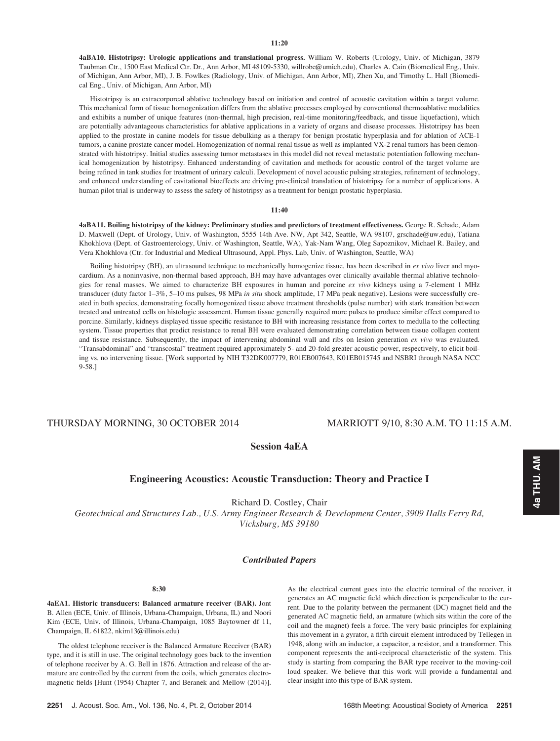4aBA10. Histotripsy: Urologic applications and translational progress. William W. Roberts (Urology, Univ. of Michigan, 3879 Taubman Ctr., 1500 East Medical Ctr. Dr., Ann Arbor, MI 48109-5330, willrobe@umich.edu), Charles A. Cain (Biomedical Eng., Univ. of Michigan, Ann Arbor, MI), J. B. Fowlkes (Radiology, Univ. of Michigan, Ann Arbor, MI), Zhen Xu, and Timothy L. Hall (Biomedical Eng., Univ. of Michigan, Ann Arbor, MI)

Histotripsy is an extracorporeal ablative technology based on initiation and control of acoustic cavitation within a target volume. This mechanical form of tissue homogenization differs from the ablative processes employed by conventional thermoablative modalities and exhibits a number of unique features (non-thermal, high precision, real-time monitoring/feedback, and tissue liquefaction), which are potentially advantageous characteristics for ablative applications in a variety of organs and disease processes. Histotripsy has been applied to the prostate in canine models for tissue debulking as a therapy for benign prostatic hyperplasia and for ablation of ACE-1 tumors, a canine prostate cancer model. Homogenization of normal renal tissue as well as implanted VX-2 renal tumors has been demonstrated with histotripsy. Initial studies assessing tumor metastases in this model did not reveal metastatic potentiation following mechanical homogenization by histotripsy. Enhanced understanding of cavitation and methods for acoustic control of the target volume are being refined in tank studies for treatment of urinary calculi. Development of novel acoustic pulsing strategies, refinement of technology, and enhanced understanding of cavitational bioeffects are driving pre-clinical translation of histotripsy for a number of applications. A human pilot trial is underway to assess the safety of histotripsy as a treatment for benign prostatic hyperplasia.

#### 11:40

4aBA11. Boiling histotripsy of the kidney: Preliminary studies and predictors of treatment effectiveness. George R. Schade, Adam D. Maxwell (Dept. of Urology, Univ. of Washington, 5555 14th Ave. NW, Apt 342, Seattle, WA 98107, grschade@uw.edu), Tatiana Khokhlova (Dept. of Gastroenterology, Univ. of Washington, Seattle, WA), Yak-Nam Wang, Oleg Sapoznikov, Michael R. Bailey, and Vera Khokhlova (Ctr. for Industrial and Medical Ultrasound, Appl. Phys. Lab, Univ. of Washington, Seattle, WA)

Boiling histotripsy (BH), an ultrasound technique to mechanically homogenize tissue, has been described in ex vivo liver and myocardium. As a noninvasive, non-thermal based approach, BH may have advantages over clinically available thermal ablative technologies for renal masses. We aimed to characterize BH exposures in human and porcine ex vivo kidneys using a 7-element 1 MHz transducer (duty factor 1–3%, 5–10 ms pulses, 98 MPa in situ shock amplitude, 17 MPa peak negative). Lesions were successfully created in both species, demonstrating focally homogenized tissue above treatment thresholds (pulse number) with stark transition between treated and untreated cells on histologic assessment. Human tissue generally required more pulses to produce similar effect compared to porcine. Similarly, kidneys displayed tissue specific resistance to BH with increasing resistance from cortex to medulla to the collecting system. Tissue properties that predict resistance to renal BH were evaluated demonstrating correlation between tissue collagen content and tissue resistance. Subsequently, the impact of intervening abdominal wall and ribs on lesion generation  $ex$  vivo was evaluated. "Transabdominal" and "transcostal" treatment required approximately 5- and 20-fold greater acoustic power, respectively, to elicit boiling vs. no intervening tissue. [Work supported by NIH T32DK007779, R01EB007643, K01EB015745 and NSBRI through NASA NCC 9-58.]

# THURSDAY MORNING, 30 OCTOBER 2014 MARRIOTT 9/10, 8:30 A.M. TO 11:15 A.M.

# Session 4aEA

## Engineering Acoustics: Acoustic Transduction: Theory and Practice I

Richard D. Costley, Chair

Geotechnical and Structures Lab., U.S. Army Engineer Research & Development Center, 3909 Halls Ferry Rd, Vicksburg, MS 39180

## Contributed Papers

## 8:30

4aEA1. Historic transducers: Balanced armature receiver (BAR). Jont B. Allen (ECE, Univ. of Illinois, Urbana-Champaign, Urbana, IL) and Noori Kim (ECE, Univ. of Illinois, Urbana-Champaign, 1085 Baytowner df 11, Champaign, IL 61822, nkim13@illinois.edu)

The oldest telephone receiver is the Balanced Armature Receiver (BAR) type, and it is still in use. The original technology goes back to the invention of telephone receiver by A. G. Bell in 1876. Attraction and release of the armature are controlled by the current from the coils, which generates electromagnetic fields [Hunt (1954) Chapter 7, and Beranek and Mellow (2014)].

As the electrical current goes into the electric terminal of the receiver, it generates an AC magnetic field which direction is perpendicular to the current. Due to the polarity between the permanent (DC) magnet field and the generated AC magnetic field, an armature (which sits within the core of the coil and the magnet) feels a force. The very basic principles for explaining this movement in a gyrator, a fifth circuit element introduced by Tellegen in 1948, along with an inductor, a capacitor, a resistor, and a transformer. This component represents the anti-reciprocal characteristic of the system. This study is starting from comparing the BAR type receiver to the moving-coil loud speaker. We believe that this work will provide a fundamental and clear insight into this type of BAR system.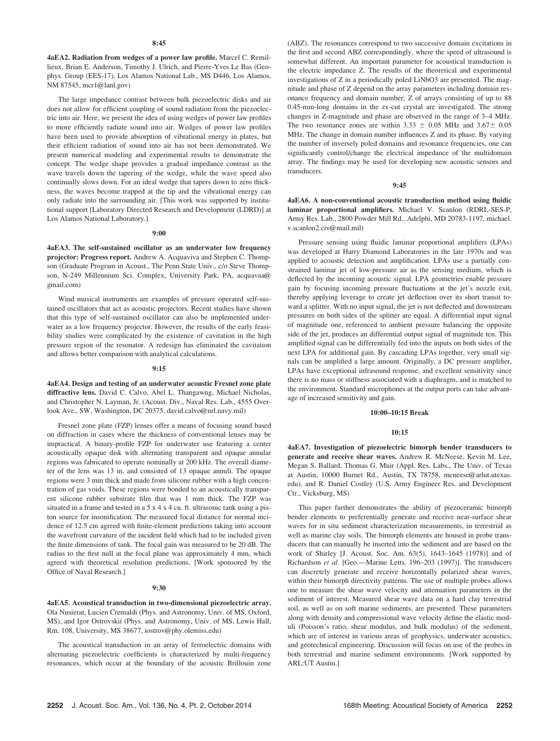#### 8:45

4aEA2. Radiation from wedges of a power law profile. Marcel C. Remillieux, Brian E. Anderson, Timothy J. Ulrich, and Pierre-Yves Le Bas (Geophys. Group (EES-17), Los Alamos National Lab., MS D446, Los Alamos, NM 87545, mcr1@lanl.gov)

The large impedance contrast between bulk piezoelectric disks and air does not allow for efficient coupling of sound radiation from the piezoelectric into air. Here, we present the idea of using wedges of power law profiles to more efficiently radiate sound into air. Wedges of power law profiles have been used to provide absorption of vibrational energy in plates, but their efficient radiation of sound into air has not been demonstrated. We present numerical modeling and experimental results to demonstrate the concept. The wedge shape provides a gradual impedance contrast as the wave travels down the tapering of the wedge, while the wave speed also continually slows down. For an ideal wedge that tapers down to zero thickness, the waves become trapped at the tip and the vibrational energy can only radiate into the surrounding air. [This work was supported by institutional support [Laboratory Directed Research and Development (LDRD)] at Los Alamos National Laboratory.]

#### 9:00

4aEA3. The self-sustained oscillator as an underwater low frequency projector: Progress report. Andrew A. Acquaviva and Stephen C. Thompson (Graduate Program in Acoust., The Penn State Univ., c/o Steve Thompson, N-249 Millennium Sci. Complex, University Park, PA, acquavaa@ gmail.com)

Wind musical instruments are examples of pressure operated self-sustained oscillators that act as acoustic projectors. Recent studies have shown that this type of self-sustained oscillator can also be implemented underwater as a low frequency projector. However, the results of the early feasibility studies were complicated by the existence of cavitation in the high pressure region of the resonator. A redesign has eliminated the cavitation and allows better comparison with analytical calculations.

#### 9:15

4aEA4. Design and testing of an underwater acoustic Fresnel zone plate diffractive lens. David C. Calvo, Abel L. Thangawng, Michael Nicholas, and Christopher N. Layman, Jr. (Acoust. Div., Naval Res. Lab., 4555 Overlook Ave., SW, Washington, DC 20375, david.calvo@nrl.navy.mil)

Fresnel zone plate (FZP) lenses offer a means of focusing sound based on diffraction in cases where the thickness of conventional lenses may be impractical. A binary-profile FZP for underwater use featuring a center acoustically opaque disk with alternating transparent and opaque annular regions was fabricated to operate nominally at 200 kHz. The overall diameter of the lens was 13 in. and consisted of 13 opaque annuli. The opaque regions were 3 mm thick and made from silicone rubber with a high concentration of gas voids. These regions were bonded to an acoustically transparent silicone rubber substrate film that was 1 mm thick. The FZP was situated in a frame and tested in a 5 x 4 x 4 cu. ft. ultrasonic tank using a piston source for insonification. The measured focal distance for normal incidence of 12.5 cm agreed with finite-element predictions taking into account the wavefront curvature of the incident field which had to be included given the finite dimensions of tank. The focal gain was measured to be 20 dB. The radius to the first null at the focal plane was approximately 4 mm, which agreed with theoretical resolution predictions. [Work sponsored by the Office of Naval Research.]

#### 9:30

4aEA5. Acoustical transduction in two-dimensional piezoelectric array. Ola Nusierat, Lucien Cremaldi (Phys. and Astronomy, Univ. of MS, Oxford, MS), and Igor Ostrovskii (Phys. and Astronomy, Univ. of MS, Lewis Hall, Rm. 108, University, MS 38677, iostrov@phy.olemiss.edu)

The acoustical transduction in an array of ferroelectric domains with alternating piezoelectric coefficients is characterized by multi-frequency resonances, which occur at the boundary of the acoustic Brillouin zone (ABZ). The resonances correspond to two successive domain excitations in the first and second ABZ correspondingly, where the speed of ultrasound is somewhat different. An important parameter for acoustical transduction is the electric impedance Z. The results of the theoretical and experimental investigations of Z in a periodically poled LiNbO3 are presented. The magnitude and phase of Z depend on the array parameters including domain resonance frequency and domain number; Z of arrays consisting of up to 88 0.45-mm-long domains in the zx-cut crystal are investigated. The strong changes in Z-magnitude and phase are observed in the range of 3–4 MHz. The two resonance zones are within 3.33  $\pm$  0.05 MHz and 3.67 $\pm$  0.05 MHz. The change in domain number influences Z and its phase. By varying the number of inversely poled domains and resonance frequencies, one can significantly control/change the electrical impedance of the multidomain array. The findings may be used for developing new acoustic sensors and transducers.

#### 9:45

4aEA6. A non-conventional acoustic transduction method using fluidic laminar proportional amplifiers. Michael V. Scanlon (RDRL-SES-P, Army Res. Lab., 2800 Powder Mill Rd., Adelphi, MD 20783-1197, michael. v.scanlon2.civ@mail.mil)

Pressure sensing using fluidic laminar proportional amplifiers (LPAs) was developed at Harry Diamond Laboratories in the late 1970s and was applied to acoustic detection and amplification. LPAs use a partially constrained laminar jet of low-pressure air as the sensing medium, which is deflected by the incoming acoustic signal. LPA geometries enable pressure gain by focusing incoming pressure fluctuations at the jet's nozzle exit, thereby applying leverage to create jet deflection over its short transit toward a splitter. With no input signal, the jet is not deflected and downstream pressures on both sides of the splitter are equal. A differential input signal of magnitude one, referenced to ambient pressure balancing the opposite side of the jet, produces an differential output signal of magnitude ten. This amplified signal can be differentially fed into the inputs on both sides of the next LPA for additional gain. By cascading LPAs together, very small signals can be amplified a large amount. Originally, a DC pressure amplifier, LPAs have exceptional infrasound response, and excellent sensitivity since there is no mass or stiffness associated with a diaphragm, and is matched to the environment. Standard microphones at the output ports can take advantage of increased sensitivity and gain.

## 10:00–10:15 Break

#### $10.15$

4aEA7. Investigation of piezoelectric bimorph bender transducers to generate and receive shear waves. Andrew R. McNeese, Kevin M. Lee, Megan S. Ballard, Thomas G. Muir (Appl. Res. Labs., The Univ. of Texas at Austin, 10000 Burnet Rd., Austin, TX 78758, mcneese@arlut.utexas. edu), and R. Daniel Costley (U.S. Army Engineer Res. and Development Ctr., Vicksburg, MS)

This paper further demonstrates the ability of piezoceramic bimorph bender elements to preferentially generate and receive near-surface shear waves for in situ sediment characterization measurements, in terrestrial as well as marine clay soils. The bimorph elements are housed in probe transducers that can manually be inserted into the sediment and are based on the work of Shirley [J. Acoust. Soc. Am. 63(5), 1643–1645 (1978)] and of Richardson et al. [Geo.—Marine Letts. 196–203 (1997)]. The transducers can discretely generate and receive horizontally polarized shear waves, within their bimorph directivity patterns. The use of multiple probes allows one to measure the shear wave velocity and attenuation parameters in the sediment of interest. Measured shear wave data on a hard clay terrestrial soil, as well as on soft marine sediments, are presented. These parameters along with density and compressional wave velocity define the elastic moduli (Poisson's ratio, shear modulus, and bulk modulus) of the sediment, which are of interest in various areas of geophysics, underwater acoustics, and geotechnical engineering. Discussion will focus on use of the probes in both terrestrial and marine sediment environments. [Work supported by ARL:UT Austin.]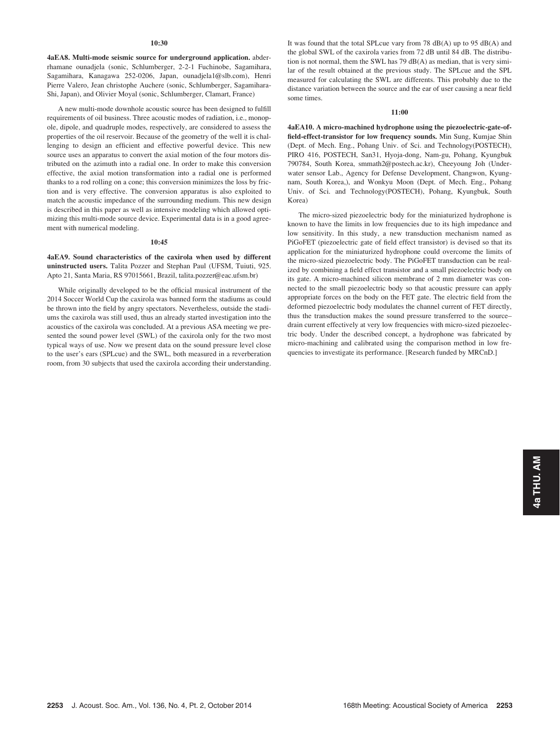#### 10:30

4aEA8. Multi-mode seismic source for underground application. abderrhamane ounadjela (sonic, Schlumberger, 2-2-1 Fuchinobe, Sagamihara, Sagamihara, Kanagawa 252-0206, Japan, ounadjela1@slb.com), Henri Pierre Valero, Jean christophe Auchere (sonic, Schlumberger, Sagamihara-Shi, Japan), and Olivier Moyal (sonic, Schlumberger, Clamart, France)

A new multi-mode downhole acoustic source has been designed to fulfill requirements of oil business. Three acoustic modes of radiation, i.e., monopole, dipole, and quadruple modes, respectively, are considered to assess the properties of the oil reservoir. Because of the geometry of the well it is challenging to design an efficient and effective powerful device. This new source uses an apparatus to convert the axial motion of the four motors distributed on the azimuth into a radial one. In order to make this conversion effective, the axial motion transformation into a radial one is performed thanks to a rod rolling on a cone; this conversion minimizes the loss by friction and is very effective. The conversion apparatus is also exploited to match the acoustic impedance of the surrounding medium. This new design is described in this paper as well as intensive modeling which allowed optimizing this multi-mode source device. Experimental data is in a good agreement with numerical modeling.

#### 10:45

## 4aEA9. Sound characteristics of the caxirola when used by different uninstructed users. Talita Pozzer and Stephan Paul (UFSM, Tuiuti, 925. Apto 21, Santa Maria, RS 97015661, Brazil, talita.pozzer@eac.ufsm.br)

While originally developed to be the official musical instrument of the 2014 Soccer World Cup the caxirola was banned form the stadiums as could be thrown into the field by angry spectators. Nevertheless, outside the stadiums the caxirola was still used, thus an already started investigation into the acoustics of the caxirola was concluded. At a previous ASA meeting we presented the sound power level (SWL) of the caxirola only for the two most typical ways of use. Now we present data on the sound pressure level close to the user's ears (SPLcue) and the SWL, both measured in a reverberation room, from 30 subjects that used the caxirola according their understanding. It was found that the total SPLcue vary from 78 dB(A) up to 95 dB(A) and the global SWL of the caxirola varies from 72 dB until 84 dB. The distribution is not normal, them the SWL has 79 dB(A) as median, that is very similar of the result obtained at the previous study. The SPLcue and the SPL measured for calculating the SWL are differents. This probably due to the distance variation between the source and the ear of user causing a near field some times.

#### 11:00

4aEA10. A micro-machined hydrophone using the piezoelectric-gate-offield-effect-transistor for low frequency sounds. Min Sung, Kumjae Shin (Dept. of Mech. Eng., Pohang Univ. of Sci. and Technology(POSTECH), PIRO 416, POSTECH, San31, Hyoja-dong, Nam-gu, Pohang, Kyungbuk 790784, South Korea, smmath2@postech.ac.kr), Cheeyoung Joh (Underwater sensor Lab., Agency for Defense Development, Changwon, Kyungnam, South Korea,), and Wonkyu Moon (Dept. of Mech. Eng., Pohang Univ. of Sci. and Technology(POSTECH), Pohang, Kyungbuk, South Korea)

The micro-sized piezoelectric body for the miniaturized hydrophone is known to have the limits in low frequencies due to its high impedance and low sensitivity. In this study, a new transduction mechanism named as PiGoFET (piezoelectric gate of field effect transistor) is devised so that its application for the miniaturized hydrophone could overcome the limits of the micro-sized piezoelectric body. The PiGoFET transduction can be realized by combining a field effect transistor and a small piezoelectric body on its gate. A micro-machined silicon membrane of 2 mm diameter was connected to the small piezoelectric body so that acoustic pressure can apply appropriate forces on the body on the FET gate. The electric field from the deformed piezoelectric body modulates the channel current of FET directly, thus the transduction makes the sound pressure transferred to the source– drain current effectively at very low frequencies with micro-sized piezoelectric body. Under the described concept, a hydrophone was fabricated by micro-machining and calibrated using the comparison method in low frequencies to investigate its performance. [Research funded by MRCnD.]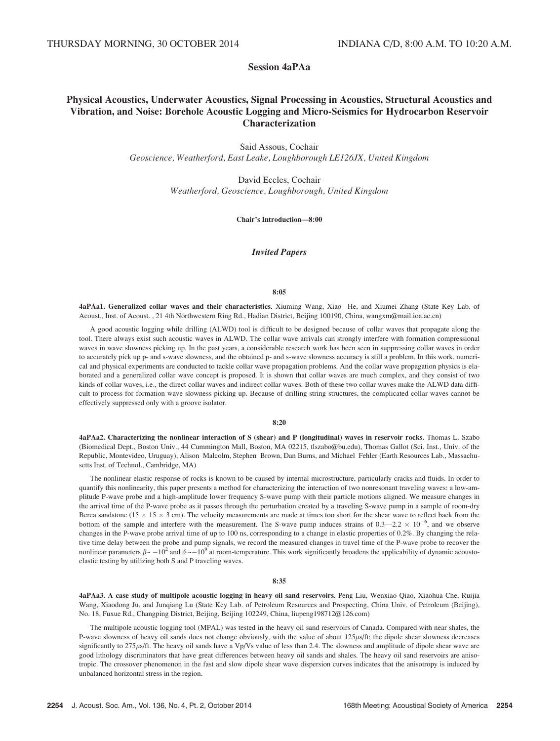Session 4aPAa

# Physical Acoustics, Underwater Acoustics, Signal Processing in Acoustics, Structural Acoustics and Vibration, and Noise: Borehole Acoustic Logging and Micro-Seismics for Hydrocarbon Reservoir Characterization

Said Assous, Cochair Geoscience, Weatherford, East Leake, Loughborough LE126JX, United Kingdom

> David Eccles, Cochair Weatherford, Geoscience, Loughborough, United Kingdom

> > Chair's Introduction—8:00

Invited Papers

#### 8:05

4aPAa1. Generalized collar waves and their characteristics. Xiuming Wang, Xiao He, and Xiumei Zhang (State Key Lab. of Acoust., Inst. of Acoust. , 21 4th Northwestern Ring Rd., Hadian District, Beijing 100190, China, wangxm@mail.ioa.ac.cn)

A good acoustic logging while drilling (ALWD) tool is difficult to be designed because of collar waves that propagate along the tool. There always exist such acoustic waves in ALWD. The collar wave arrivals can strongly interfere with formation compressional waves in wave slowness picking up. In the past years, a considerable research work has been seen in suppressing collar waves in order to accurately pick up p- and s-wave slowness, and the obtained p- and s-wave slowness accuracy is still a problem. In this work, numerical and physical experiments are conducted to tackle collar wave propagation problems. And the collar wave propagation physics is elaborated and a generalized collar wave concept is proposed. It is shown that collar waves are much complex, and they consist of two kinds of collar waves, i.e., the direct collar waves and indirect collar waves. Both of these two collar waves make the ALWD data difficult to process for formation wave slowness picking up. Because of drilling string structures, the complicated collar waves cannot be effectively suppressed only with a groove isolator.

## 8:20

4aPAa2. Characterizing the nonlinear interaction of S (shear) and P (longitudinal) waves in reservoir rocks. Thomas L. Szabo (Biomedical Dept., Boston Univ., 44 Cummington Mall, Boston, MA 02215, tlszabo@bu.edu), Thomas Gallot (Sci. Inst., Univ. of the Republic, Montevideo, Uruguay), Alison Malcolm, Stephen Brown, Dan Burns, and Michael Fehler (Earth Resources Lab., Massachusetts Inst. of Technol., Cambridge, MA)

The nonlinear elastic response of rocks is known to be caused by internal microstructure, particularly cracks and fluids. In order to quantify this nonlinearity, this paper presents a method for characterizing the interaction of two nonresonant traveling waves: a low-amplitude P-wave probe and a high-amplitude lower frequency S-wave pump with their particle motions aligned. We measure changes in the arrival time of the P-wave probe as it passes through the perturbation created by a traveling S-wave pump in a sample of room-dry Berea sandstone ( $15 \times 15 \times 3$  cm). The velocity measurements are made at times too short for the shear wave to reflect back from the bottom of the sample and interfere with the measurement. The S-wave pump induces strains of  $0.3-2.2 \times 10^{-6}$ , and we observe changes in the P-wave probe arrival time of up to 100 ns, corresponding to a change in elastic properties of 0.2%. By changing the relative time delay between the probe and pump signals, we record the measured changes in travel time of the P-wave probe to recover the nonlinear parameters  $\beta \sim -10^2$  and  $\delta \sim -10^9$  at room-temperature. This work significantly broadens the applicability of dynamic acoustoelastic testing by utilizing both S and P traveling waves.

### 8:35

4aPAa3. A case study of multipole acoustic logging in heavy oil sand reservoirs. Peng Liu, Wenxiao Qiao, Xiaohua Che, Ruijia Wang, Xiaodong Ju, and Junqiang Lu (State Key Lab. of Petroleum Resources and Prospecting, China Univ. of Petroleum (Beijing), No. 18, Fuxue Rd., Changping District, Beijing, Beijing 102249, China, liupeng198712@126.com)

The multipole acoustic logging tool (MPAL) was tested in the heavy oil sand reservoirs of Canada. Compared with near shales, the P-wave slowness of heavy oil sands does not change obviously, with the value of about 125µs/ft; the dipole shear slowness decreases significantly to 275µs/ft. The heavy oil sands have a Vp/Vs value of less than 2.4. The slowness and amplitude of dipole shear wave are good lithology discriminators that have great differences between heavy oil sands and shales. The heavy oil sand reservoirs are anisotropic. The crossover phenomenon in the fast and slow dipole shear wave dispersion curves indicates that the anisotropy is induced by unbalanced horizontal stress in the region.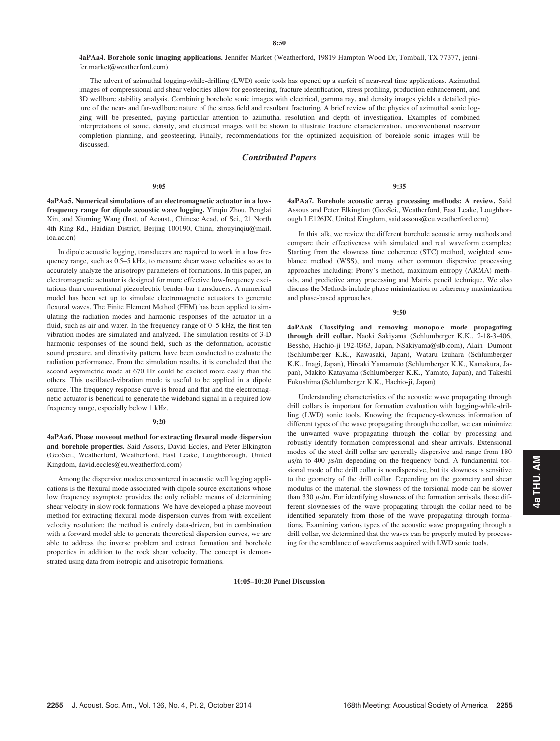4aPAa4. Borehole sonic imaging applications. Jennifer Market (Weatherford, 19819 Hampton Wood Dr, Tomball, TX 77377, jennifer.market@weatherford.com)

The advent of azimuthal logging-while-drilling (LWD) sonic tools has opened up a surfeit of near-real time applications. Azimuthal images of compressional and shear velocities allow for geosteering, fracture identification, stress profiling, production enhancement, and 3D wellbore stability analysis. Combining borehole sonic images with electrical, gamma ray, and density images yields a detailed picture of the near- and far-wellbore nature of the stress field and resultant fracturing. A brief review of the physics of azimuthal sonic logging will be presented, paying particular attention to azimuthal resolution and depth of investigation. Examples of combined interpretations of sonic, density, and electrical images will be shown to illustrate fracture characterization, unconventional reservoir completion planning, and geosteering. Finally, recommendations for the optimized acquisition of borehole sonic images will be discussed.

## Contributed Papers

## 9:05

4aPAa5. Numerical simulations of an electromagnetic actuator in a lowfrequency range for dipole acoustic wave logging. Yinqiu Zhou, Penglai Xin, and Xiuming Wang (Inst. of Acoust., Chinese Acad. of Sci., 21 North 4th Ring Rd., Haidian District, Beijing 100190, China, zhouyinqiu@mail. ioa.ac.cn)

In dipole acoustic logging, transducers are required to work in a low frequency range, such as 0.5–5 kHz, to measure shear wave velocities so as to accurately analyze the anisotropy parameters of formations. In this paper, an electromagnetic actuator is designed for more effective low-frequency excitations than conventional piezoelectric bender-bar transducers. A numerical model has been set up to simulate electromagnetic actuators to generate flexural waves. The Finite Element Method (FEM) has been applied to simulating the radiation modes and harmonic responses of the actuator in a fluid, such as air and water. In the frequency range of 0–5 kHz, the first ten vibration modes are simulated and analyzed. The simulation results of 3-D harmonic responses of the sound field, such as the deformation, acoustic sound pressure, and directivity pattern, have been conducted to evaluate the radiation performance. From the simulation results, it is concluded that the second asymmetric mode at 670 Hz could be excited more easily than the others. This oscillated-vibration mode is useful to be applied in a dipole source. The frequency response curve is broad and flat and the electromagnetic actuator is beneficial to generate the wideband signal in a required low frequency range, especially below 1 kHz.

#### 9:20

4aPAa6. Phase moveout method for extracting flexural mode dispersion and borehole properties. Said Assous, David Eccles, and Peter Elkington (GeoSci., Weatherford, Weatherford, East Leake, Loughborough, United Kingdom, david.eccles@eu.weatherford.com)

Among the dispersive modes encountered in acoustic well logging applications is the flexural mode associated with dipole source excitations whose low frequency asymptote provides the only reliable means of determining shear velocity in slow rock formations. We have developed a phase moveout method for extracting flexural mode dispersion curves from with excellent velocity resolution; the method is entirely data-driven, but in combination with a forward model able to generate theoretical dispersion curves, we are able to address the inverse problem and extract formation and borehole properties in addition to the rock shear velocity. The concept is demonstrated using data from isotropic and anisotropic formations.

4aPAa7. Borehole acoustic array processing methods: A review. Said Assous and Peter Elkington (GeoSci., Weatherford, East Leake, Loughborough LE126JX, United Kingdom, said.assous@eu.weatherford.com)

9:35

In this talk, we review the different borehole acoustic array methods and compare their effectiveness with simulated and real waveform examples: Starting from the slowness time coherence (STC) method, weighted semblance method (WSS), and many other common dispersive processing approaches including: Prony's method, maximum entropy (ARMA) methods, and predictive array processing and Matrix pencil technique. We also discuss the Methods include phase minimization or coherency maximization and phase-based approaches.

#### 9:50

4aPAa8. Classifying and removing monopole mode propagating through drill collar. Naoki Sakiyama (Schlumberger K.K., 2-18-3-406, Bessho, Hachio-ji 192-0363, Japan, NSakiyama@slb.com), Alain Dumont (Schlumberger K.K., Kawasaki, Japan), Wataru Izuhara (Schlumberger K.K., Inagi, Japan), Hiroaki Yamamoto (Schlumberger K.K., Kamakura, Japan), Makito Katayama (Schlumberger K.K., Yamato, Japan), and Takeshi Fukushima (Schlumberger K.K., Hachio-ji, Japan)

Understanding characteristics of the acoustic wave propagating through drill collars is important for formation evaluation with logging-while-drilling (LWD) sonic tools. Knowing the frequency-slowness information of different types of the wave propagating through the collar, we can minimize the unwanted wave propagating through the collar by processing and robustly identify formation compressional and shear arrivals. Extensional modes of the steel drill collar are generally dispersive and range from 180  $\mu$ s/m to 400  $\mu$ s/m depending on the frequency band. A fundamental torsional mode of the drill collar is nondispersive, but its slowness is sensitive to the geometry of the drill collar. Depending on the geometry and shear modulus of the material, the slowness of the torsional mode can be slower than 330  $\mu$ s/m. For identifying slowness of the formation arrivals, those different slownesses of the wave propagating through the collar need to be identified separately from those of the wave propagating through formations. Examining various types of the acoustic wave propagating through a drill collar, we determined that the waves can be properly muted by processing for the semblance of waveforms acquired with LWD sonic tools.

10:05–10:20 Panel Discussion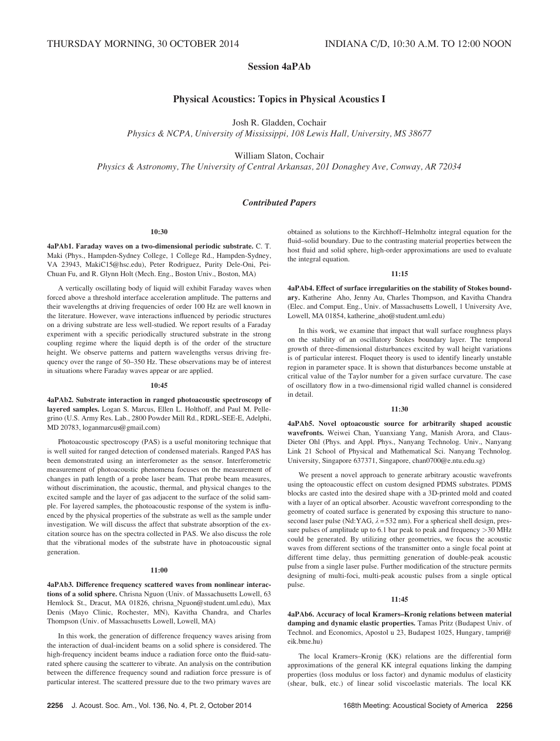# Session 4aPAb

# Physical Acoustics: Topics in Physical Acoustics I

Josh R. Gladden, Cochair

Physics & NCPA, University of Mississippi, 108 Lewis Hall, University, MS 38677

William Slaton, Cochair

Physics & Astronomy, The University of Central Arkansas, 201 Donaghey Ave, Conway, AR 72034

## Contributed Papers

#### 10:30

4aPAb1. Faraday waves on a two-dimensional periodic substrate. C. T. Maki (Phys., Hampden-Sydney College, 1 College Rd., Hampden-Sydney, VA 23943, MakiC15@hsc.edu), Peter Rodriguez, Purity Dele-Oni, Pei-Chuan Fu, and R. Glynn Holt (Mech. Eng., Boston Univ., Boston, MA)

A vertically oscillating body of liquid will exhibit Faraday waves when forced above a threshold interface acceleration amplitude. The patterns and their wavelengths at driving frequencies of order 100 Hz are well known in the literature. However, wave interactions influenced by periodic structures on a driving substrate are less well-studied. We report results of a Faraday experiment with a specific periodically structured substrate in the strong coupling regime where the liquid depth is of the order of the structure height. We observe patterns and pattern wavelengths versus driving frequency over the range of 50–350 Hz. These observations may be of interest in situations where Faraday waves appear or are applied.

#### 10:45

4aPAb2. Substrate interaction in ranged photoacoustic spectroscopy of layered samples. Logan S. Marcus, Ellen L. Holthoff, and Paul M. Pellegrino (U.S. Army Res. Lab., 2800 Powder Mill Rd., RDRL-SEE-E, Adelphi, MD 20783, loganmarcus@gmail.com)

Photoacoustic spectroscopy (PAS) is a useful monitoring technique that is well suited for ranged detection of condensed materials. Ranged PAS has been demonstrated using an interferometer as the sensor. Interferometric measurement of photoacoustic phenomena focuses on the measurement of changes in path length of a probe laser beam. That probe beam measures, without discrimination, the acoustic, thermal, and physical changes to the excited sample and the layer of gas adjacent to the surface of the solid sample. For layered samples, the photoacoustic response of the system is influenced by the physical properties of the substrate as well as the sample under investigation. We will discuss the affect that substrate absorption of the excitation source has on the spectra collected in PAS. We also discuss the role that the vibrational modes of the substrate have in photoacoustic signal generation.

#### 11:00

4aPAb3. Difference frequency scattered waves from nonlinear interactions of a solid sphere. Chrisna Nguon (Univ. of Massachusetts Lowell, 63 Hemlock St., Dracut, MA 01826, chrisna\_Nguon@student.uml.edu), Max Denis (Mayo Clinic, Rochester, MN), Kavitha Chandra, and Charles Thompson (Univ. of Massachusetts Lowell, Lowell, MA)

In this work, the generation of difference frequency waves arising from the interaction of dual-incident beams on a solid sphere is considered. The high-frequency incident beams induce a radiation force onto the fluid-saturated sphere causing the scatterer to vibrate. An analysis on the contribution between the difference frequency sound and radiation force pressure is of particular interest. The scattered pressure due to the two primary waves are obtained as solutions to the Kirchhoff–Helmholtz integral equation for the fluid–solid boundary. Due to the contrasting material properties between the host fluid and solid sphere, high-order approximations are used to evaluate the integral equation.

## 11:15

4aPAb4. Effect of surface irregularities on the stability of Stokes boundary. Katherine Aho, Jenny Au, Charles Thompson, and Kavitha Chandra (Elec. and Comput. Eng., Univ. of Massachusetts Lowell, 1 University Ave, Lowell, MA 01854, katherine\_aho@student.uml.edu)

In this work, we examine that impact that wall surface roughness plays on the stability of an oscillatory Stokes boundary layer. The temporal growth of three-dimensional disturbances excited by wall height variations is of particular interest. Floquet theory is used to identify linearly unstable region in parameter space. It is shown that disturbances become unstable at critical value of the Taylor number for a given surface curvature. The case of oscillatory flow in a two-dimensional rigid walled channel is considered in detail.

#### 11:30

4aPAb5. Novel optoacoustic source for arbitrarily shaped acoustic wavefronts. Weiwei Chan, Yuanxiang Yang, Manish Arora, and Claus-Dieter Ohl (Phys. and Appl. Phys., Nanyang Technolog. Univ., Nanyang Link 21 School of Physical and Mathematical Sci. Nanyang Technolog. University, Singapore 637371, Singapore, chan0700@e.ntu.edu.sg)

We present a novel approach to generate arbitrary acoustic wavefronts using the optoacoustic effect on custom designed PDMS substrates. PDMS blocks are casted into the desired shape with a 3D-printed mold and coated with a layer of an optical absorber. Acoustic wavefront corresponding to the geometry of coated surface is generated by exposing this structure to nanosecond laser pulse (Nd:YAG,  $\lambda$  = 532 nm). For a spherical shell design, pressure pulses of amplitude up to 6.1 bar peak to peak and frequency >30 MHz could be generated. By utilizing other geometries, we focus the acoustic waves from different sections of the transmitter onto a single focal point at different time delay, thus permitting generation of double-peak acoustic pulse from a single laser pulse. Further modification of the structure permits designing of multi-foci, multi-peak acoustic pulses from a single optical pulse.

## 11:45

4aPAb6. Accuracy of local Kramers–Kronig relations between material damping and dynamic elastic properties. Tamas Pritz (Budapest Univ. of Technol. and Economics, Apostol u 23, Budapest 1025, Hungary, tampri@ eik.bme.hu)

The local Kramers–Kronig (KK) relations are the differential form approximations of the general KK integral equations linking the damping properties (loss modulus or loss factor) and dynamic modulus of elasticity (shear, bulk, etc.) of linear solid viscoelastic materials. The local KK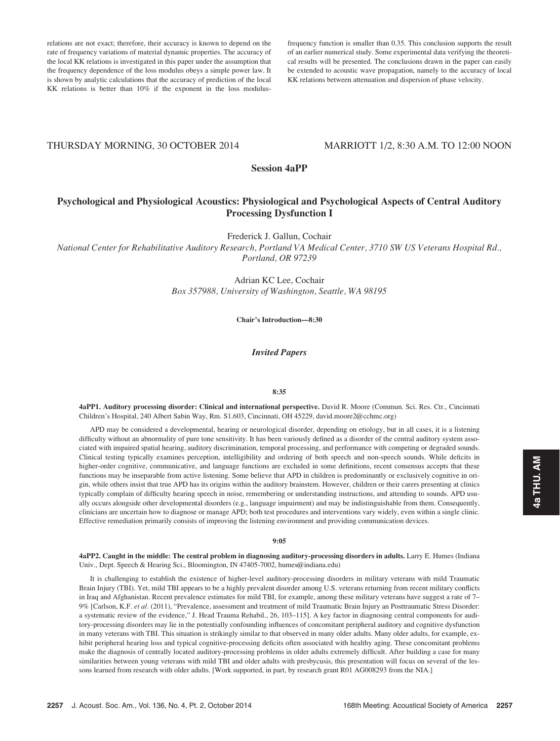relations are not exact; therefore, their accuracy is known to depend on the rate of frequency variations of material dynamic properties. The accuracy of the local KK relations is investigated in this paper under the assumption that the frequency dependence of the loss modulus obeys a simple power law. It is shown by analytic calculations that the accuracy of prediction of the local KK relations is better than 10% if the exponent in the loss modulus-

frequency function is smaller than 0.35. This conclusion supports the result of an earlier numerical study. Some experimental data verifying the theoretical results will be presented. The conclusions drawn in the paper can easily be extended to acoustic wave propagation, namely to the accuracy of local KK relations between attenuation and dispersion of phase velocity.

## THURSDAY MORNING, 30 OCTOBER 2014 MARRIOTT 1/2, 8:30 A.M. TO 12:00 NOON

Session 4aPP

# Psychological and Physiological Acoustics: Physiological and Psychological Aspects of Central Auditory Processing Dysfunction I

Frederick J. Gallun, Cochair

National Center for Rehabilitative Auditory Research, Portland VA Medical Center, 3710 SW US Veterans Hospital Rd., Portland, OR 97239

> Adrian KC Lee, Cochair Box 357988, University of Washington, Seattle, WA 98195

> > Chair's Introduction—8:30

## Invited Papers

#### 8:35

4aPP1. Auditory processing disorder: Clinical and international perspective. David R. Moore (Commun. Sci. Res. Ctr., Cincinnati Children's Hospital, 240 Albert Sabin Way, Rm. S1.603, Cincinnati, OH 45229, david.moore2@cchmc.org)

APD may be considered a developmental, hearing or neurological disorder, depending on etiology, but in all cases, it is a listening difficulty without an abnormality of pure tone sensitivity. It has been variously defined as a disorder of the central auditory system associated with impaired spatial hearing, auditory discrimination, temporal processing, and performance with competing or degraded sounds. Clinical testing typically examines perception, intelligibility and ordering of both speech and non-speech sounds. While deficits in higher-order cognitive, communicative, and language functions are excluded in some definitions, recent consensus accepts that these functions may be inseparable from active listening. Some believe that APD in children is predominantly or exclusively cognitive in origin, while others insist that true APD has its origins within the auditory brainstem. However, children or their carers presenting at clinics typically complain of difficulty hearing speech in noise, remembering or understanding instructions, and attending to sounds. APD usually occurs alongside other developmental disorders (e.g., language impairment) and may be indistinguishable from them. Consequently, clinicians are uncertain how to diagnose or manage APD; both test procedures and interventions vary widely, even within a single clinic. Effective remediation primarily consists of improving the listening environment and providing communication devices.

## 9:05

4aPP2. Caught in the middle: The central problem in diagnosing auditory-processing disorders in adults. Larry E. Humes (Indiana Univ., Dept. Speech & Hearing Sci., Bloomington, IN 47405-7002, humes@indiana.edu)

It is challenging to establish the existence of higher-level auditory-processing disorders in military veterans with mild Traumatic Brain Injury (TBI). Yet, mild TBI appears to be a highly prevalent disorder among U.S. veterans returning from recent military conflicts in Iraq and Afghanistan. Recent prevalence estimates for mild TBI, for example, among these military veterans have suggest a rate of 7– 9% [Carlson, K.F. et al. (2011), "Prevalence, assessment and treatment of mild Traumatic Brain Injury an Posttraumatic Stress Disorder: a systematic review of the evidence," J. Head Trauma Rehabil., 26, 103–115]. A key factor in diagnosing central components for auditory-processing disorders may lie in the potentially confounding influences of concomitant peripheral auditory and cognitive dysfunction in many veterans with TBI. This situation is strikingly similar to that observed in many older adults. Many older adults, for example, exhibit peripheral hearing loss and typical cognitive-processing deficits often associated with healthy aging. These concomitant problems make the diagnosis of centrally located auditory-processing problems in older adults extremely difficult. After building a case for many similarities between young veterans with mild TBI and older adults with presbycusis, this presentation will focus on several of the lessons learned from research with older adults. [Work supported, in part, by research grant R01 AG008293 from the NIA.]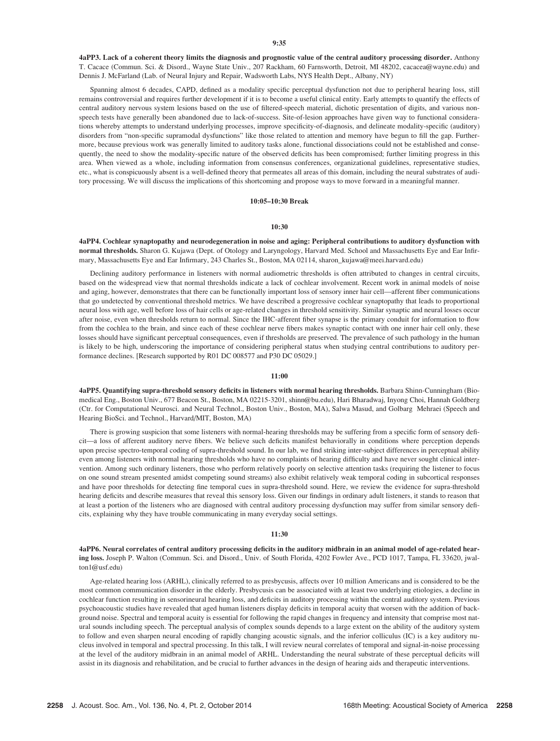4aPP3. Lack of a coherent theory limits the diagnosis and prognostic value of the central auditory processing disorder. Anthony T. Cacace (Commun. Sci. & Disord., Wayne State Univ., 207 Rackham, 60 Farnsworth, Detroit, MI 48202, cacacea@wayne.edu) and Dennis J. McFarland (Lab. of Neural Injury and Repair, Wadsworth Labs, NYS Health Dept., Albany, NY)

Spanning almost 6 decades, CAPD, defined as a modality specific perceptual dysfunction not due to peripheral hearing loss, still remains controversial and requires further development if it is to become a useful clinical entity. Early attempts to quantify the effects of central auditory nervous system lesions based on the use of filtered-speech material, dichotic presentation of digits, and various nonspeech tests have generally been abandoned due to lack-of-success. Site-of-lesion approaches have given way to functional considerations whereby attempts to understand underlying processes, improve specificity-of-diagnosis, and delineate modality-specific (auditory) disorders from "non-specific supramodal dysfunctions" like those related to attention and memory have begun to fill the gap. Furthermore, because previous work was generally limited to auditory tasks alone, functional dissociations could not be established and consequently, the need to show the modality-specific nature of the observed deficits has been compromised; further limiting progress in this area. When viewed as a whole, including information from consensus conferences, organizational guidelines, representative studies, etc., what is conspicuously absent is a well-defined theory that permeates all areas of this domain, including the neural substrates of auditory processing. We will discuss the implications of this shortcoming and propose ways to move forward in a meaningful manner.

## 10:05–10:30 Break

### 10:30

4aPP4. Cochlear synaptopathy and neurodegeneration in noise and aging: Peripheral contributions to auditory dysfunction with normal thresholds. Sharon G. Kujawa (Dept. of Otology and Laryngology, Harvard Med. School and Massachusetts Eye and Ear Infirmary, Massachusetts Eye and Ear Infirmary, 243 Charles St., Boston, MA 02114, sharon\_kujawa@meei.harvard.edu)

Declining auditory performance in listeners with normal audiometric thresholds is often attributed to changes in central circuits, based on the widespread view that normal thresholds indicate a lack of cochlear involvement. Recent work in animal models of noise and aging, however, demonstrates that there can be functionally important loss of sensory inner hair cell—afferent fiber communications that go undetected by conventional threshold metrics. We have described a progressive cochlear synaptopathy that leads to proportional neural loss with age, well before loss of hair cells or age-related changes in threshold sensitivity. Similar synaptic and neural losses occur after noise, even when thresholds return to normal. Since the IHC-afferent fiber synapse is the primary conduit for information to flow from the cochlea to the brain, and since each of these cochlear nerve fibers makes synaptic contact with one inner hair cell only, these losses should have significant perceptual consequences, even if thresholds are preserved. The prevalence of such pathology in the human is likely to be high, underscoring the importance of considering peripheral status when studying central contributions to auditory performance declines. [Research supported by R01 DC 008577 and P30 DC 05029.]

#### 11:00

4aPP5. Quantifying supra-threshold sensory deficits in listeners with normal hearing thresholds. Barbara Shinn-Cunningham (Biomedical Eng., Boston Univ., 677 Beacon St., Boston, MA 02215-3201, shinn@bu.edu), Hari Bharadwaj, Inyong Choi, Hannah Goldberg (Ctr. for Computational Neurosci. and Neural Technol., Boston Univ., Boston, MA), Salwa Masud, and Golbarg Mehraei (Speech and Hearing BioSci. and Technol., Harvard/MIT, Boston, MA)

There is growing suspicion that some listeners with normal-hearing thresholds may be suffering from a specific form of sensory deficit—a loss of afferent auditory nerve fibers. We believe such deficits manifest behaviorally in conditions where perception depends upon precise spectro-temporal coding of supra-threshold sound. In our lab, we find striking inter-subject differences in perceptual ability even among listeners with normal hearing thresholds who have no complaints of hearing difficulty and have never sought clinical intervention. Among such ordinary listeners, those who perform relatively poorly on selective attention tasks (requiring the listener to focus on one sound stream presented amidst competing sound streams) also exhibit relatively weak temporal coding in subcortical responses and have poor thresholds for detecting fine temporal cues in supra-threshold sound. Here, we review the evidence for supra-threshold hearing deficits and describe measures that reveal this sensory loss. Given our findings in ordinary adult listeners, it stands to reason that at least a portion of the listeners who are diagnosed with central auditory processing dysfunction may suffer from similar sensory deficits, explaining why they have trouble communicating in many everyday social settings.

#### 11:30

4aPP6. Neural correlates of central auditory processing deficits in the auditory midbrain in an animal model of age-related hearing loss. Joseph P. Walton (Commun. Sci. and Disord., Univ. of South Florida, 4202 Fowler Ave., PCD 1017, Tampa, FL 33620, jwalton1@usf.edu)

Age-related hearing loss (ARHL), clinically referred to as presbycusis, affects over 10 million Americans and is considered to be the most common communication disorder in the elderly. Presbycusis can be associated with at least two underlying etiologies, a decline in cochlear function resulting in sensorineural hearing loss, and deficits in auditory processing within the central auditory system. Previous psychoacoustic studies have revealed that aged human listeners display deficits in temporal acuity that worsen with the addition of background noise. Spectral and temporal acuity is essential for following the rapid changes in frequency and intensity that comprise most natural sounds including speech. The perceptual analysis of complex sounds depends to a large extent on the ability of the auditory system to follow and even sharpen neural encoding of rapidly changing acoustic signals, and the inferior colliculus (IC) is a key auditory nucleus involved in temporal and spectral processing. In this talk, I will review neural correlates of temporal and signal-in-noise processing at the level of the auditory midbrain in an animal model of ARHL. Understanding the neural substrate of these perceptual deficits will assist in its diagnosis and rehabilitation, and be crucial to further advances in the design of hearing aids and therapeutic interventions.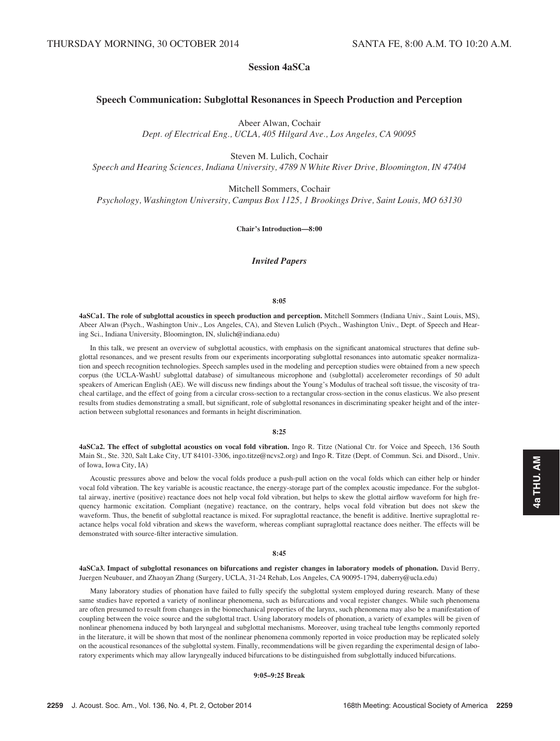# Session 4aSCa

## Speech Communication: Subglottal Resonances in Speech Production and Perception

Abeer Alwan, Cochair

Dept. of Electrical Eng., UCLA, 405 Hilgard Ave., Los Angeles, CA 90095

Steven M. Lulich, Cochair

Speech and Hearing Sciences, Indiana University, 4789 N White River Drive, Bloomington, IN 47404

Mitchell Sommers, Cochair

Psychology, Washington University, Campus Box 1125, 1 Brookings Drive, Saint Louis, MO 63130

Chair's Introduction—8:00

## Invited Papers

## 8:05

4aSCa1. The role of subglottal acoustics in speech production and perception. Mitchell Sommers (Indiana Univ., Saint Louis, MS), Abeer Alwan (Psych., Washington Univ., Los Angeles, CA), and Steven Lulich (Psych., Washington Univ., Dept. of Speech and Hearing Sci., Indiana University, Bloomington, IN, slulich@indiana.edu)

In this talk, we present an overview of subglottal acoustics, with emphasis on the significant anatomical structures that define subglottal resonances, and we present results from our experiments incorporating subglottal resonances into automatic speaker normalization and speech recognition technologies. Speech samples used in the modeling and perception studies were obtained from a new speech corpus (the UCLA-WashU subglottal database) of simultaneous microphone and (subglottal) accelerometer recordings of 50 adult speakers of American English (AE). We will discuss new findings about the Young's Modulus of tracheal soft tissue, the viscosity of tracheal cartilage, and the effect of going from a circular cross-section to a rectangular cross-section in the conus elasticus. We also present results from studies demonstrating a small, but significant, role of subglottal resonances in discriminating speaker height and of the interaction between subglottal resonances and formants in height discrimination.

#### 8:25

4aSCa2. The effect of subglottal acoustics on vocal fold vibration. Ingo R. Titze (National Ctr. for Voice and Speech, 136 South Main St., Ste. 320, Salt Lake City, UT 84101-3306, ingo.titze@ncvs2.org) and Ingo R. Titze (Dept. of Commun. Sci. and Disord., Univ. of Iowa, Iowa City, IA)

Acoustic pressures above and below the vocal folds produce a push-pull action on the vocal folds which can either help or hinder vocal fold vibration. The key variable is acoustic reactance, the energy-storage part of the complex acoustic impedance. For the subglottal airway, inertive (positive) reactance does not help vocal fold vibration, but helps to skew the glottal airflow waveform for high frequency harmonic excitation. Compliant (negative) reactance, on the contrary, helps vocal fold vibration but does not skew the waveform. Thus, the benefit of subglottal reactance is mixed. For supraglottal reactance, the benefit is additive. Inertive supraglottal reactance helps vocal fold vibration and skews the waveform, whereas compliant supraglottal reactance does neither. The effects will be demonstrated with source-filter interactive simulation.

#### 8:45

4aSCa3. Impact of subglottal resonances on bifurcations and register changes in laboratory models of phonation. David Berry, Juergen Neubauer, and Zhaoyan Zhang (Surgery, UCLA, 31-24 Rehab, Los Angeles, CA 90095-1794, daberry@ucla.edu)

Many laboratory studies of phonation have failed to fully specify the subglottal system employed during research. Many of these same studies have reported a variety of nonlinear phenomena, such as bifurcations and vocal register changes. While such phenomena are often presumed to result from changes in the biomechanical properties of the larynx, such phenomena may also be a manifestation of coupling between the voice source and the subglottal tract. Using laboratory models of phonation, a variety of examples will be given of nonlinear phenomena induced by both laryngeal and subglottal mechanisms. Moreover, using tracheal tube lengths commonly reported in the literature, it will be shown that most of the nonlinear phenomena commonly reported in voice production may be replicated solely on the acoustical resonances of the subglottal system. Finally, recommendations will be given regarding the experimental design of laboratory experiments which may allow laryngeally induced bifurcations to be distinguished from subglottally induced bifurcations.

9:05–9:25 Break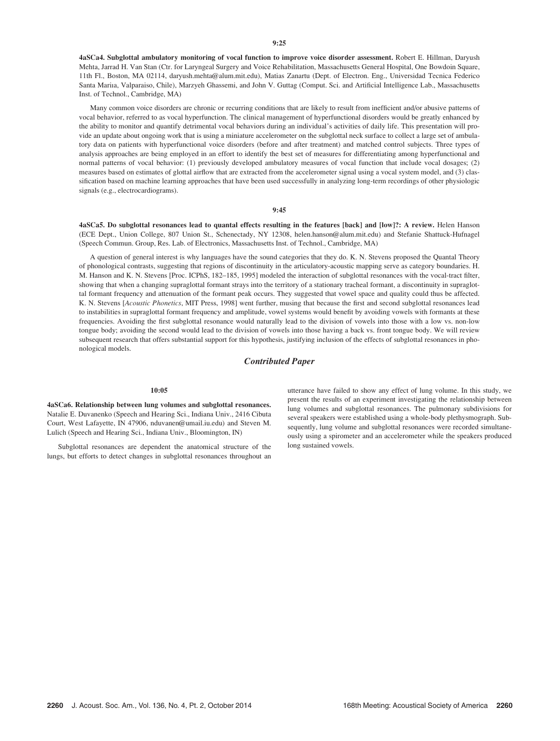4aSCa4. Subglottal ambulatory monitoring of vocal function to improve voice disorder assessment. Robert E. Hillman, Daryush Mehta, Jarrad H. Van Stan (Ctr. for Laryngeal Surgery and Voice Rehabilitation, Massachusetts General Hospital, One Bowdoin Square, 11th Fl., Boston, MA 02114, daryush.mehta@alum.mit.edu), Matias Zanartu (Dept. of Electron. Eng., Universidad Tecnica Federico Santa Mariıa, Valparaiso, Chile), Marzyeh Ghassemi, and John V. Guttag (Comput. Sci. and Artificial Intelligence Lab., Massachusetts Inst. of Technol., Cambridge, MA)

Many common voice disorders are chronic or recurring conditions that are likely to result from inefficient and/or abusive patterns of vocal behavior, referred to as vocal hyperfunction. The clinical management of hyperfunctional disorders would be greatly enhanced by the ability to monitor and quantify detrimental vocal behaviors during an individual's activities of daily life. This presentation will provide an update about ongoing work that is using a miniature accelerometer on the subglottal neck surface to collect a large set of ambulatory data on patients with hyperfunctional voice disorders (before and after treatment) and matched control subjects. Three types of analysis approaches are being employed in an effort to identify the best set of measures for differentiating among hyperfunctional and normal patterns of vocal behavior: (1) previously developed ambulatory measures of vocal function that include vocal dosages; (2) measures based on estimates of glottal airflow that are extracted from the accelerometer signal using a vocal system model, and (3) classification based on machine learning approaches that have been used successfully in analyzing long-term recordings of other physiologic signals (e.g., electrocardiograms).

#### 9:45

4aSCa5. Do subglottal resonances lead to quantal effects resulting in the features [back] and [low]?: A review. Helen Hanson (ECE Dept., Union College, 807 Union St., Schenectady, NY 12308, helen.hanson@alum.mit.edu) and Stefanie Shattuck-Hufnagel (Speech Commun. Group, Res. Lab. of Electronics, Massachusetts Inst. of Technol., Cambridge, MA)

A question of general interest is why languages have the sound categories that they do. K. N. Stevens proposed the Quantal Theory of phonological contrasts, suggesting that regions of discontinuity in the articulatory-acoustic mapping serve as category boundaries. H. M. Hanson and K. N. Stevens [Proc. ICPhS, 182–185, 1995] modeled the interaction of subglottal resonances with the vocal-tract filter, showing that when a changing supraglottal formant strays into the territory of a stationary tracheal formant, a discontinuity in supraglottal formant frequency and attenuation of the formant peak occurs. They suggested that vowel space and quality could thus be affected. K. N. Stevens [Acoustic Phonetics, MIT Press, 1998] went further, musing that because the first and second subglottal resonances lead to instabilities in supraglottal formant frequency and amplitude, vowel systems would benefit by avoiding vowels with formants at these frequencies. Avoiding the first subglottal resonance would naturally lead to the division of vowels into those with a low vs. non-low tongue body; avoiding the second would lead to the division of vowels into those having a back vs. front tongue body. We will review subsequent research that offers substantial support for this hypothesis, justifying inclusion of the effects of subglottal resonances in phonological models.

## Contributed Paper

#### 10:05

4aSCa6. Relationship between lung volumes and subglottal resonances. Natalie E. Duvanenko (Speech and Hearing Sci., Indiana Univ., 2416 Cibuta Court, West Lafayette, IN 47906, nduvanen@umail.iu.edu) and Steven M. Lulich (Speech and Hearing Sci., Indiana Univ., Bloomington, IN)

Subglottal resonances are dependent the anatomical structure of the lungs, but efforts to detect changes in subglottal resonances throughout an utterance have failed to show any effect of lung volume. In this study, we present the results of an experiment investigating the relationship between lung volumes and subglottal resonances. The pulmonary subdivisions for several speakers were established using a whole-body plethysmograph. Subsequently, lung volume and subglottal resonances were recorded simultaneously using a spirometer and an accelerometer while the speakers produced long sustained vowels.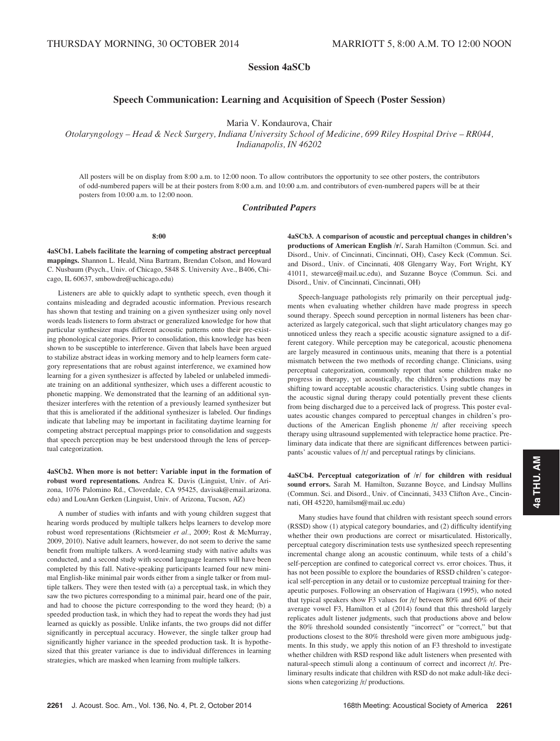# Session 4aSCb

# Speech Communication: Learning and Acquisition of Speech (Poster Session)

Maria V. Kondaurova, Chair

Otolaryngology – Head & Neck Surgery, Indiana University School of Medicine, 699 Riley Hospital Drive – RR044, Indianapolis, IN 46202

All posters will be on display from 8:00 a.m. to 12:00 noon. To allow contributors the opportunity to see other posters, the contributors of odd-numbered papers will be at their posters from 8:00 a.m. and 10:00 a.m. and contributors of even-numbered papers will be at their posters from 10:00 a.m. to 12:00 noon.

## Contributed Papers

8:00

4aSCb1. Labels facilitate the learning of competing abstract perceptual mappings. Shannon L. Heald, Nina Bartram, Brendan Colson, and Howard C. Nusbaum (Psych., Univ. of Chicago, 5848 S. University Ave., B406, Chicago, IL 60637, smbowdre@uchicago.edu)

Listeners are able to quickly adapt to synthetic speech, even though it contains misleading and degraded acoustic information. Previous research has shown that testing and training on a given synthesizer using only novel words leads listeners to form abstract or generalized knowledge for how that particular synthesizer maps different acoustic patterns onto their pre-existing phonological categories. Prior to consolidation, this knowledge has been shown to be susceptible to interference. Given that labels have been argued to stabilize abstract ideas in working memory and to help learners form category representations that are robust against interference, we examined how learning for a given synthesizer is affected by labeled or unlabeled immediate training on an additional synthesizer, which uses a different acoustic to phonetic mapping. We demonstrated that the learning of an additional synthesizer interferes with the retention of a previously learned synthesizer but that this is ameliorated if the additional synthesizer is labeled. Our findings indicate that labeling may be important in facilitating daytime learning for competing abstract perceptual mappings prior to consolidation and suggests that speech perception may be best understood through the lens of perceptual categorization.

4aSCb2. When more is not better: Variable input in the formation of robust word representations. Andrea K. Davis (Linguist, Univ. of Arizona, 1076 Palomino Rd., Cloverdale, CA 95425, davisak@email.arizona. edu) and LouAnn Gerken (Linguist, Univ. of Arizona, Tucson, AZ)

A number of studies with infants and with young children suggest that hearing words produced by multiple talkers helps learners to develop more robust word representations (Richtsmeier et al., 2009; Rost & McMurray, 2009, 2010). Native adult learners, however, do not seem to derive the same benefit from multiple talkers. A word-learning study with native adults was conducted, and a second study with second language learners will have been completed by this fall. Native-speaking participants learned four new minimal English-like minimal pair words either from a single talker or from multiple talkers. They were then tested with (a) a perceptual task, in which they saw the two pictures corresponding to a minimal pair, heard one of the pair, and had to choose the picture corresponding to the word they heard; (b) a speeded production task, in which they had to repeat the words they had just learned as quickly as possible. Unlike infants, the two groups did not differ significantly in perceptual accuracy. However, the single talker group had significantly higher variance in the speeded production task. It is hypothesized that this greater variance is due to individual differences in learning strategies, which are masked when learning from multiple talkers.

4aSCb3. A comparison of acoustic and perceptual changes in children's productions of American English /r/. Sarah Hamilton (Commun. Sci. and Disord., Univ. of Cincinnati, Cincinnati, OH), Casey Keck (Commun. Sci. and Disord., Univ. of Cincinnati, 408 Glengarry Way, Fort Wright, KY 41011, stewarce@mail.uc.edu), and Suzanne Boyce (Commun. Sci. and Disord., Univ. of Cincinnati, Cincinnati, OH)

Speech-language pathologists rely primarily on their perceptual judgments when evaluating whether children have made progress in speech sound therapy. Speech sound perception in normal listeners has been characterized as largely categorical, such that slight articulatory changes may go unnoticed unless they reach a specific acoustic signature assigned to a different category. While perception may be categorical, acoustic phenomena are largely measured in continuous units, meaning that there is a potential mismatch between the two methods of recording change. Clinicians, using perceptual categorization, commonly report that some children make no progress in therapy, yet acoustically, the children's productions may be shifting toward acceptable acoustic characteristics. Using subtle changes in the acoustic signal during therapy could potentially prevent these clients from being discharged due to a perceived lack of progress. This poster evaluates acoustic changes compared to perceptual changes in children's productions of the American English phoneme /r/ after receiving speech therapy using ultrasound supplemented with telepractice home practice. Preliminary data indicate that there are significant differences between participants' acoustic values of /r/ and perceptual ratings by clinicians.

4aSCb4. Perceptual categorization of /r/ for children with residual sound errors. Sarah M. Hamilton, Suzanne Boyce, and Lindsay Mullins (Commun. Sci. and Disord., Univ. of Cincinnati, 3433 Clifton Ave., Cincinnati, OH 45220, hamilsm@mail.uc.edu)

Many studies have found that children with resistant speech sound errors (RSSD) show (1) atypical category boundaries, and (2) difficulty identifying whether their own productions are correct or misarticulated. Historically, perceptual category discrimination tests use synthesized speech representing incremental change along an acoustic continuum, while tests of a child's self-perception are confined to categorical correct vs. error choices. Thus, it has not been possible to explore the boundaries of RSSD children's categorical self-perception in any detail or to customize perceptual training for therapeutic purposes. Following an observation of Hagiwara (1995), who noted that typical speakers show F3 values for /r/ between 80% and 60% of their average vowel F3, Hamilton et al (2014) found that this threshold largely replicates adult listener judgments, such that productions above and below the 80% threshold sounded consistently "incorrect" or "correct," but that productions closest to the 80% threshold were given more ambiguous judgments. In this study, we apply this notion of an F3 threshold to investigate whether children with RSD respond like adult listeners when presented with natural-speech stimuli along a continuum of correct and incorrect /r/. Preliminary results indicate that children with RSD do not make adult-like decisions when categorizing /r/ productions.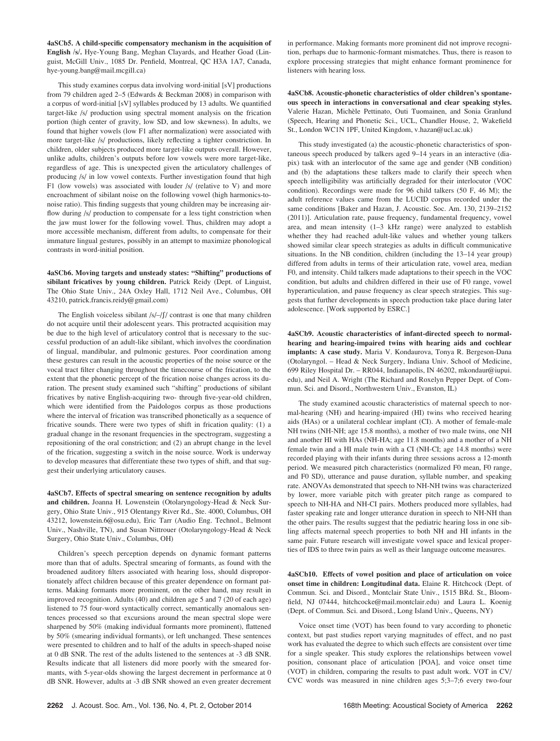4aSCb5. A child-specific compensatory mechanism in the acquisition of English /s/. Hye-Young Bang, Meghan Clayards, and Heather Goad (Linguist, McGill Univ., 1085 Dr. Penfield, Montreal, QC H3A 1A7, Canada, hye-young.bang@mail.mcgill.ca)

This study examines corpus data involving word-initial [sV] productions from 79 children aged 2–5 (Edwards & Beckman 2008) in comparison with a corpus of word-initial [sV] syllables produced by 13 adults. We quantified target-like /s/ production using spectral moment analysis on the frication portion (high center of gravity, low SD, and low skewness). In adults, we found that higher vowels (low F1 after normalization) were associated with more target-like /s/ productions, likely reflecting a tighter constriction. In children, older subjects produced more target-like outputs overall. However, unlike adults, children's outputs before low vowels were more target-like, regardless of age. This is unexpected given the articulatory challenges of producing /s/ in low vowel contexts. Further investigation found that high F1 (low vowels) was associated with louder /s/ (relative to V) and more encroachment of sibilant noise on the following vowel (high harmonics-tonoise ratio). This finding suggests that young children may be increasing airflow during /s/ production to compensate for a less tight constriction when the jaw must lower for the following vowel. Thus, children may adopt a more accessible mechanism, different from adults, to compensate for their immature lingual gestures, possibly in an attempt to maximize phonological contrasts in word-initial position.

4aSCb6. Moving targets and unsteady states: "Shifting" productions of sibilant fricatives by young children. Patrick Reidy (Dept. of Linguist, The Ohio State Univ., 24A Oxley Hall, 1712 Neil Ave., Columbus, OH 43210, patrick.francis.reidy@gmail.com)

The English voiceless sibilant  $/s$ / $-f$ / contrast is one that many children do not acquire until their adolescent years. This protracted acquisition may be due to the high level of articulatory control that is necessary to the successful production of an adult-like sibilant, which involves the coordination of lingual, mandibular, and pulmonic gestures. Poor coordination among these gestures can result in the acoustic properties of the noise source or the vocal tract filter changing throughout the timecourse of the frication, to the extent that the phonetic percept of the frication noise changes across its duration. The present study examined such "shifting" productions of sibilant fricatives by native English-acquiring two- through five-year-old children, which were identified from the Paidologos corpus as those productions where the interval of frication was transcribed phonetically as a sequence of fricative sounds. There were two types of shift in frication quality: (1) a gradual change in the resonant frequencies in the spectrogram, suggesting a repositioning of the oral constriction; and (2) an abrupt change in the level of the frication, suggesting a switch in the noise source. Work is underway to develop measures that differentiate these two types of shift, and that suggest their underlying articulatory causes.

4aSCb7. Effects of spectral smearing on sentence recognition by adults and children. Joanna H. Lowenstein (Otolaryngology-Head & Neck Surgery, Ohio State Univ., 915 Olentangy River Rd., Ste. 4000, Columbus, OH 43212, lowenstein.6@osu.edu), Eric Tarr (Audio Eng. Technol., Belmont Univ., Nashville, TN), and Susan Nittrouer (Otolaryngology-Head & Neck Surgery, Ohio State Univ., Columbus, OH)

Children's speech perception depends on dynamic formant patterns more than that of adults. Spectral smearing of formants, as found with the broadened auditory filters associated with hearing loss, should disproportionately affect children because of this greater dependence on formant patterns. Making formants more prominent, on the other hand, may result in improved recognition. Adults (40) and children age 5 and 7 (20 of each age) listened to 75 four-word syntactically correct, semantically anomalous sentences processed so that excursions around the mean spectral slope were sharpened by 50% (making individual formants more prominent), flattened by 50% (smearing individual formants), or left unchanged. These sentences were presented to children and to half of the adults in speech-shaped noise at 0 dB SNR. The rest of the adults listened to the sentences at -3 dB SNR. Results indicate that all listeners did more poorly with the smeared formants, with 5-year-olds showing the largest decrement in performance at 0 dB SNR. However, adults at -3 dB SNR showed an even greater decrement in performance. Making formants more prominent did not improve recognition, perhaps due to harmonic-formant mismatches. Thus, there is reason to explore processing strategies that might enhance formant prominence for listeners with hearing loss.

4aSCb8. Acoustic-phonetic characteristics of older children's spontaneous speech in interactions in conversational and clear speaking styles. Valerie Hazan, Michèle Pettinato, Outi Tuomainen, and Sonia Granlund (Speech, Hearing and Phonetic Sci., UCL, Chandler House, 2, Wakefield St., London WC1N 1PF, United Kingdom, v.hazan@ucl.ac.uk)

This study investigated (a) the acoustic-phonetic characteristics of spontaneous speech produced by talkers aged 9–14 years in an interactive (diapix) task with an interlocutor of the same age and gender (NB condition) and (b) the adaptations these talkers made to clarify their speech when speech intelligibility was artificially degraded for their interlocutor (VOC condition). Recordings were made for 96 child talkers (50 F, 46 M); the adult reference values came from the LUCID corpus recorded under the same conditions [Baker and Hazan, J. Acoustic. Soc. Am. 130, 2139–2152 (2011)]. Articulation rate, pause frequency, fundamental frequency, vowel area, and mean intensity (1–3 kHz range) were analyzed to establish whether they had reached adult-like values and whether young talkers showed similar clear speech strategies as adults in difficult communicative situations. In the NB condition, children (including the 13–14 year group) differed from adults in terms of their articulation rate, vowel area, median F0, and intensity. Child talkers made adaptations to their speech in the VOC condition, but adults and children differed in their use of F0 range, vowel hyperarticulation, and pause frequency as clear speech strategies. This suggests that further developments in speech production take place during later adolescence. [Work supported by ESRC.]

4aSCb9. Acoustic characteristics of infant-directed speech to normalhearing and hearing-impaired twins with hearing aids and cochlear implants: A case study. Maria V. Kondaurova, Tonya R. Bergeson-Dana (Otolaryngol. – Head & Neck Surgery, Indiana Univ. School of Medicine, 699 Riley Hospital Dr. – RR044, Indianapolis, IN 46202, mkondaur@iupui. edu), and Neil A. Wright (The Richard and Roxelyn Pepper Dept. of Commun. Sci. and Disord., Northwestern Univ., Evanston, IL)

The study examined acoustic characteristics of maternal speech to normal-hearing (NH) and hearing-impaired (HI) twins who received hearing aids (HAs) or a unilateral cochlear implant (CI). A mother of female-male NH twins (NH-NH; age 15.8 months), a mother of two male twins, one NH and another HI with HAs (NH-HA; age 11.8 months) and a mother of a NH female twin and a HI male twin with a CI (NH-CI; age 14.8 months) were recorded playing with their infants during three sessions across a 12-month period. We measured pitch characteristics (normalized F0 mean, F0 range, and F0 SD), utterance and pause duration, syllable number, and speaking rate. ANOVAs demonstrated that speech to NH-NH twins was characterized by lower, more variable pitch with greater pitch range as compared to speech to NH-HA and NH-CI pairs. Mothers produced more syllables, had faster speaking rate and longer utterance duration in speech to NH-NH than the other pairs. The results suggest that the pediatric hearing loss in one sibling affects maternal speech properties to both NH and HI infants in the same pair. Future research will investigate vowel space and lexical properties of IDS to three twin pairs as well as their language outcome measures.

4aSCb10. Effects of vowel position and place of articulation on voice onset time in children: Longitudinal data. Elaine R. Hitchcock (Dept. of Commun. Sci. and Disord., Montclair State Univ., 1515 BRd. St., Bloomfield, NJ 07444, hitchcocke@mail.montclair.edu) and Laura L. Koenig (Dept. of Commun. Sci. and Disord., Long Island Univ., Queens, NY)

Voice onset time (VOT) has been found to vary according to phonetic context, but past studies report varying magnitudes of effect, and no past work has evaluated the degree to which such effects are consistent over time for a single speaker. This study explores the relationships between vowel position, consonant place of articulation [POA], and voice onset time (VOT) in children, comparing the results to past adult work. VOT in CV/ CVC words was measured in nine children ages 5;3–7;6 every two-four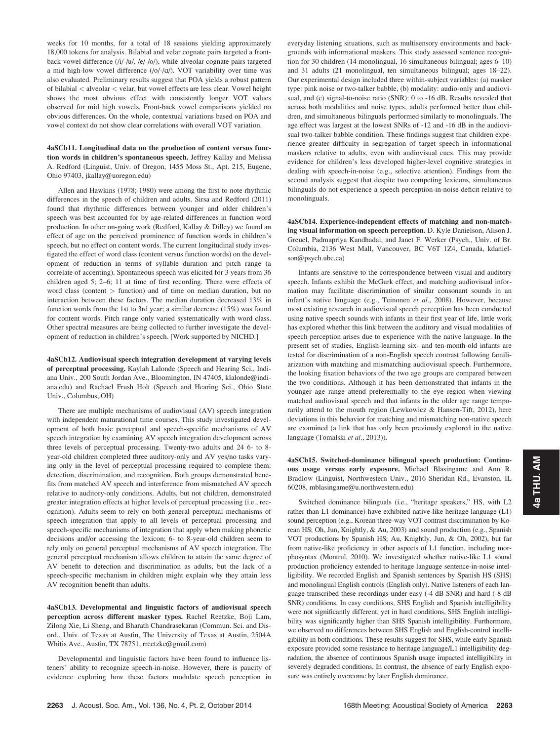weeks for 10 months, for a total of 18 sessions yielding approximately 18,000 tokens for analysis. Bilabial and velar cognate pairs targeted a frontback vowel difference (/i/-/u/, /e/-/o/), while alveolar cognate pairs targeted a mid high-low vowel difference  $(|o\rangle - |a\rangle)$ . VOT variability over time was also evaluated. Preliminary results suggest that POA yields a robust pattern of bilabial < alveolar < velar, but vowel effects are less clear. Vowel height shows the most obvious effect with consistently longer VOT values observed for mid high vowels. Front-back vowel comparisons yielded no obvious differences. On the whole, contextual variations based on POA and vowel context do not show clear correlations with overall VOT variation.

## 4aSCb11. Longitudinal data on the production of content versus function words in children's spontaneous speech. Jeffrey Kallay and Melissa A. Redford (Linguist, Univ. of Oregon, 1455 Moss St., Apt. 215, Eugene, Ohio 97403, jkallay@uoregon.edu)

Allen and Hawkins (1978; 1980) were among the first to note rhythmic differences in the speech of children and adults. Sirsa and Redford (2011) found that rhythmic differences between younger and older children's speech was best accounted for by age-related differences in function word production. In other on-going work (Redford, Kallay & Dilley) we found an effect of age on the perceived prominence of function words in children's speech, but no effect on content words. The current longitudinal study investigated the effect of word class (content versus function words) on the development of reduction in terms of syllable duration and pitch range (a correlate of accenting). Spontaneous speech was elicited for 3 years from 36 children aged 5; 2–6; 11 at time of first recording. There were effects of word class (content > function) and of time on median duration, but no interaction between these factors. The median duration decreased 13% in function words from the 1st to 3rd year; a similar decrease (15%) was found for content words. Pitch range only varied systematically with word class. Other spectral measures are being collected to further investigate the development of reduction in children's speech. [Work supported by NICHD.]

4aSCb12. Audiovisual speech integration development at varying levels of perceptual processing. Kaylah Lalonde (Speech and Hearing Sci., Indiana Univ., 200 South Jordan Ave., Bloomington, IN 47405, klalonde@indiana.edu) and Rachael Frush Holt (Speech and Hearing Sci., Ohio State Univ., Columbus, OH)

There are multiple mechanisms of audiovisual (AV) speech integration with independent maturational time courses. This study investigated development of both basic perceptual and speech-specific mechanisms of AV speech integration by examining AV speech integration development across three levels of perceptual processing. Twenty-two adults and 24 6- to 8 year-old children completed three auditory-only and AV yes/no tasks varying only in the level of perceptual processing required to complete them: detection, discrimination, and recognition. Both groups demonstrated benefits from matched AV speech and interference from mismatched AV speech relative to auditory-only conditions. Adults, but not children, demonstrated greater integration effects at higher levels of perceptual processing (i.e., recognition). Adults seem to rely on both general perceptual mechanisms of speech integration that apply to all levels of perceptual processing and speech-specific mechanisms of integration that apply when making phonetic decisions and/or accessing the lexicon; 6- to 8-year-old children seem to rely only on general perceptual mechanisms of AV speech integration. The general perceptual mechanism allows children to attain the same degree of AV benefit to detection and discrimination as adults, but the lack of a speech-specific mechanism in children might explain why they attain less AV recognition benefit than adults.

4aSCb13. Developmental and linguistic factors of audiovisual speech perception across different masker types. Rachel Reetzke, Boji Lam, Zilong Xie, Li Sheng, and Bharath Chandrasekaran (Commun. Sci. and Disord., Univ. of Texas at Austin, The University of Texas at Austin, 2504A Whitis Ave., Austin, TX 78751, rreetzke@gmail.com)

Developmental and linguistic factors have been found to influence listeners' ability to recognize speech-in-noise. However, there is paucity of evidence exploring how these factors modulate speech perception in everyday listening situations, such as multisensory environments and backgrounds with informational maskers. This study assessed sentence recognition for 30 children (14 monolingual, 16 simultaneous bilingual; ages 6–10) and 31 adults (21 monolingual, ten simultaneous bilingual; ages 18–22). Our experimental design included three within-subject variables: (a) masker type: pink noise or two-talker babble, (b) modality: audio-only and audiovisual, and (c) signal-to-noise ratio (SNR): 0 to -16 dB. Results revealed that across both modalities and noise types, adults performed better than children, and simultaneous bilinguals performed similarly to monolinguals. The age effect was largest at the lowest SNRs of -12 and -16 dB in the audiovisual two-talker babble condition. These findings suggest that children experience greater difficulty in segregation of target speech in informational maskers relative to adults, even with audiovisual cues. This may provide evidence for children's less developed higher-level cognitive strategies in dealing with speech-in-noise (e.g., selective attention). Findings from the second analysis suggest that despite two competing lexicons, simultaneous bilinguals do not experience a speech perception-in-noise deficit relative to monolinguals.

4aSCb14. Experience-independent effects of matching and non-matching visual information on speech perception. D. Kyle Danielson, Alison J. Greuel, Padmapriya Kandhadai, and Janet F. Werker (Psych., Univ. of Br. Columbia, 2136 West Mall, Vancouver, BC V6T 1Z4, Canada, kdanielson@psych.ubc.ca)

Infants are sensitive to the correspondence between visual and auditory speech. Infants exhibit the McGurk effect, and matching audiovisual information may facilitate discrimination of similar consonant sounds in an infant's native language (e.g., Teinonen et al., 2008). However, because most existing research in audiovisual speech perception has been conducted using native speech sounds with infants in their first year of life, little work has explored whether this link between the auditory and visual modalities of speech perception arises due to experience with the native language. In the present set of studies, English-learning six- and ten-month-old infants are tested for discrimination of a non-English speech contrast following familiarization with matching and mismatching audiovisual speech. Furthermore, the looking fixation behaviors of the two age groups are compared between the two conditions. Although it has been demonstrated that infants in the younger age range attend preferentially to the eye region when viewing matched audiovisual speech and that infants in the older age range temporarily attend to the mouth region (Lewkowicz & Hansen-Tift, 2012), here deviations in this behavior for matching and mismatching non-native speech are examined (a link that has only been previously explored in the native language (Tomalski et al., 2013)).

4aSCb15. Switched-dominance bilingual speech production: Continuous usage versus early exposure. Michael Blasingame and Ann R. Bradlow (Linguist, Northwestern Univ., 2016 Sheridan Rd., Evanston, IL 60208, mblasingame@u.northwestern.edu)

Switched dominance bilinguals (i.e., "heritage speakers," HS, with L2 rather than L1 dominance) have exhibited native-like heritage language (L1) sound perception (e.g., Korean three-way VOT contrast discrimination by Korean HS; Oh, Jun, Knightly, & Au, 2003) and sound production (e.g., Spanish VOT productions by Spanish HS; Au, Knightly, Jun, & Oh, 2002), but far from native-like proficiency in other aspects of L1 function, including morphosyntax (Montrul, 2010). We investigated whether native-like L1 sound production proficiency extended to heritage language sentence-in-noise intelligibility. We recorded English and Spanish sentences by Spanish HS (SHS) and monolingual English controls (English only). Native listeners of each language transcribed these recordings under easy (-4 dB SNR) and hard (-8 dB SNR) conditions. In easy conditions, SHS English and Spanish intelligibility were not significantly different, yet in hard conditions, SHS English intelligibility was significantly higher than SHS Spanish intelligibility. Furthermore, we observed no differences between SHS English and English-control intelligibility in both conditions. These results suggest for SHS, while early Spanish exposure provided some resistance to heritage language/L1 intelligibility degradation, the absence of continuous Spanish usage impacted intelligibility in severely degraded conditions. In contrast, the absence of early English exposure was entirely overcome by later English dominance.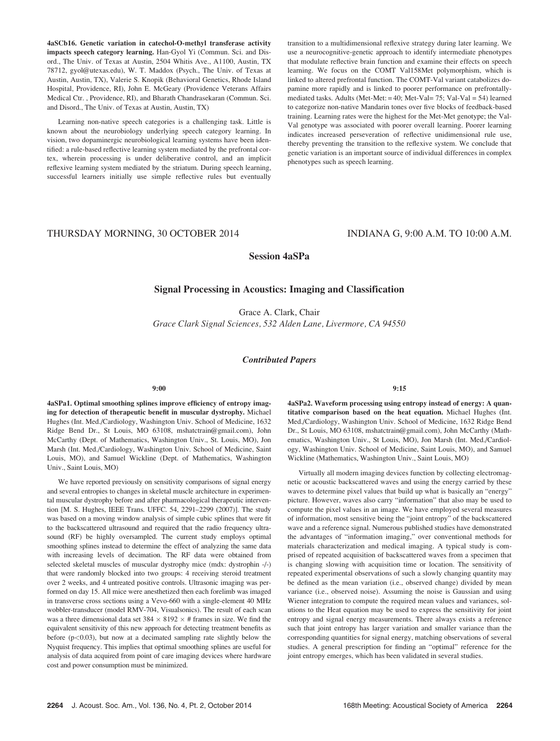4aSCb16. Genetic variation in catechol-O-methyl transferase activity impacts speech category learning. Han-Gyol Yi (Commun. Sci. and Disord., The Univ. of Texas at Austin, 2504 Whitis Ave., A1100, Austin, TX 78712, gyol@utexas.edu), W. T. Maddox (Psych., The Univ. of Texas at Austin, Austin, TX), Valerie S. Knopik (Behavioral Genetics, Rhode Island Hospital, Providence, RI), John E. McGeary (Providence Veterans Affairs Medical Ctr. , Providence, RI), and Bharath Chandrasekaran (Commun. Sci. and Disord., The Univ. of Texas at Austin, Austin, TX)

Learning non-native speech categories is a challenging task. Little is known about the neurobiology underlying speech category learning. In vision, two dopaminergic neurobiological learning systems have been identified: a rule-based reflective learning system mediated by the prefrontal cortex, wherein processing is under deliberative control, and an implicit reflexive learning system mediated by the striatum. During speech learning, successful learners initially use simple reflective rules but eventually transition to a multidimensional reflexive strategy during later learning. We use a neurocognitive-genetic approach to identify intermediate phenotypes that modulate reflective brain function and examine their effects on speech learning. We focus on the COMT Val158Met polymorphism, which is linked to altered prefrontal function. The COMT-Val variant catabolizes dopamine more rapidly and is linked to poorer performance on prefrontallymediated tasks. Adults (Met-Met: = 40; Met-Val= 75; Val-Val = 54) learned to categorize non-native Mandarin tones over five blocks of feedback-based training. Learning rates were the highest for the Met-Met genotype; the Val-Val genotype was associated with poorer overall learning. Poorer learning indicates increased perseveration of reflective unidimensional rule use, thereby preventing the transition to the reflexive system. We conclude that genetic variation is an important source of individual differences in complex phenotypes such as speech learning.

# THURSDAY MORNING, 30 OCTOBER 2014 INDIANA G, 9:00 A.M. TO 10:00 A.M.

Session 4aSPa

# Signal Processing in Acoustics: Imaging and Classification

Grace A. Clark, Chair Grace Clark Signal Sciences, 532 Alden Lane, Livermore, CA 94550

## Contributed Papers

## 9:00

4aSPa1. Optimal smoothing splines improve efficiency of entropy imaging for detection of therapeutic benefit in muscular dystrophy. Michael Hughes (Int. Med./Cardiology, Washington Univ. School of Medicine, 1632 Ridge Bend Dr., St Louis, MO 63108, mshatctrain@gmail.com), John McCarthy (Dept. of Mathematics, Washington Univ., St. Louis, MO), Jon Marsh (Int. Med./Cardiology, Washington Univ. School of Medicine, Saint Louis, MO), and Samuel Wickline (Dept. of Mathematics, Washington Univ., Saint Louis, MO)

We have reported previously on sensitivity comparisons of signal energy and several entropies to changes in skeletal muscle architecture in experimental muscular dystrophy before and after pharmacological therapeutic intervention [M. S. Hughes, IEEE Trans. UFFC. 54, 2291–2299 (2007)]. The study was based on a moving window analysis of simple cubic splines that were fit to the backscattered ultrasound and required that the radio frequency ultrasound (RF) be highly oversampled. The current study employs optimal smoothing splines instead to determine the effect of analyzing the same data with increasing levels of decimation. The RF data were obtained from selected skeletal muscles of muscular dystrophy mice (mdx: dystrophin -/-) that were randomly blocked into two groups: 4 receiving steroid treatment over 2 weeks, and 4 untreated positive controls. Ultrasonic imaging was performed on day 15. All mice were anesthetized then each forelimb was imaged in transverse cross sections using a Vevo-660 with a single-element 40 MHz wobbler-transducer (model RMV-704, Visualsonics). The result of each scan was a three dimensional data set  $384 \times 8192 \times #$  frames in size. We find the equivalent sensitivity of this new approach for detecting treatment benefits as before (p<0.03), but now at a decimated sampling rate slightly below the Nyquist frequency. This implies that optimal smoothing splines are useful for analysis of data acquired from point of care imaging devices where hardware cost and power consumption must be minimized.

9:15

4aSPa2. Waveform processing using entropy instead of energy: A quantitative comparison based on the heat equation. Michael Hughes (Int. Med./Cardiology, Washington Univ. School of Medicine, 1632 Ridge Bend Dr., St Louis, MO 63108, mshatctrain@gmail.com), John McCarthy (Mathematics, Washington Univ., St Louis, MO), Jon Marsh (Int. Med./Cardiology, Washington Univ. School of Medicine, Saint Louis, MO), and Samuel Wickline (Mathematics, Washington Univ., Saint Louis, MO)

Virtually all modern imaging devices function by collecting electromagnetic or acoustic backscattered waves and using the energy carried by these waves to determine pixel values that build up what is basically an "energy" picture. However, waves also carry "information" that also may be used to compute the pixel values in an image. We have employed several measures of information, most sensitive being the "joint entropy" of the backscattered wave and a reference signal. Numerous published studies have demonstrated the advantages of "information imaging," over conventional methods for materials characterization and medical imaging. A typical study is comprised of repeated acquisition of backscattered waves from a specimen that is changing slowing with acquisition time or location. The sensitivity of repeated experimental observations of such a slowly changing quantity may be defined as the mean variation (i.e., observed change) divided by mean variance (i.e., observed noise). Assuming the noise is Gaussian and using Wiener integration to compute the required mean values and variances, solutions to the Heat equation may be used to express the sensitivity for joint entropy and signal energy measurements. There always exists a reference such that joint entropy has larger variation and smaller variance than the corresponding quantities for signal energy, matching observations of several studies. A general prescription for finding an "optimal" reference for the joint entropy emerges, which has been validated in several studies.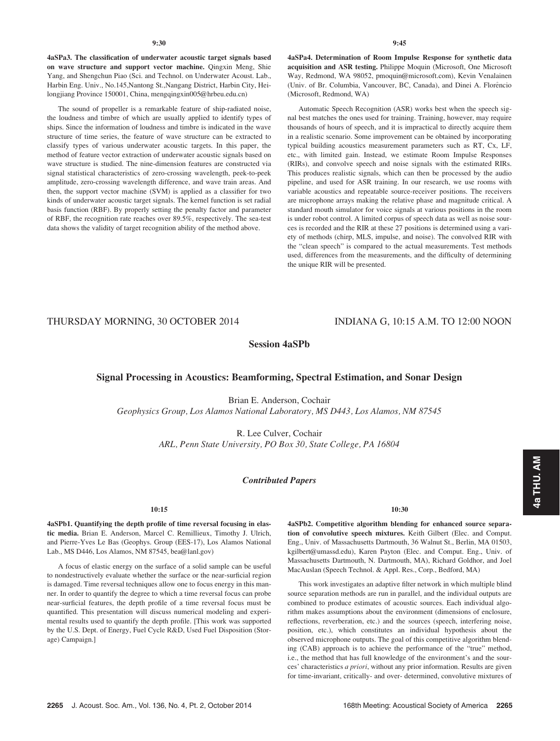2265 J. Acoust. Soc. Am., Vol. 136, No. 4, Pt. 2, October 2014 168th Meeting: Acoustical Society of America 2265

The sound of propeller is a remarkable feature of ship-radiated noise, the loudness and timbre of which are usually applied to identify types of ships. Since the information of loudness and timbre is indicated in the wave structure of time series, the feature of wave structure can be extracted to classify types of various underwater acoustic targets. In this paper, the method of feature vector extraction of underwater acoustic signals based on wave structure is studied. The nine-dimension features are constructed via signal statistical characteristics of zero-crossing wavelength, peek-to-peek amplitude, zero-crossing wavelength difference, and wave train areas. And then, the support vector machine (SVM) is applied as a classifier for two kinds of underwater acoustic target signals. The kernel function is set radial basis function (RBF). By properly setting the penalty factor and parameter of RBF, the recognition rate reaches over 89.5%, respectively. The sea-test data shows the validity of target recognition ability of the method above.

4aSPa4. Determination of Room Impulse Response for synthetic data acquisition and ASR testing. Philippe Moquin (Microsoft, One Microsoft Way, Redmond, WA 98052, pmoquin@microsoft.com), Kevin Venalainen (Univ. of Br. Columbia, Vancouver, BC, Canada), and Dinei A. Flor^encio (Microsoft, Redmond, WA)

Automatic Speech Recognition (ASR) works best when the speech signal best matches the ones used for training. Training, however, may require thousands of hours of speech, and it is impractical to directly acquire them in a realistic scenario. Some improvement can be obtained by incorporating typical building acoustics measurement parameters such as RT, Cx, LF, etc., with limited gain. Instead, we estimate Room Impulse Responses (RIRs), and convolve speech and noise signals with the estimated RIRs. This produces realistic signals, which can then be processed by the audio pipeline, and used for ASR training. In our research, we use rooms with variable acoustics and repeatable source-receiver positions. The receivers are microphone arrays making the relative phase and magnitude critical. A standard mouth simulator for voice signals at various positions in the room is under robot control. A limited corpus of speech data as well as noise sources is recorded and the RIR at these 27 positions is determined using a variety of methods (chirp, MLS, impulse, and noise). The convolved RIR with the "clean speech" is compared to the actual measurements. Test methods used, differences from the measurements, and the difficulty of determining the unique RIR will be presented.

THURSDAY MORNING, 30 OCTOBER 2014 INDIANA G, 10:15 A.M. TO 12:00 NOON

Session 4aSPb

# Signal Processing in Acoustics: Beamforming, Spectral Estimation, and Sonar Design

Brian E. Anderson, Cochair Geophysics Group, Los Alamos National Laboratory, MS D443, Los Alamos, NM 87545

> R. Lee Culver, Cochair ARL, Penn State University, PO Box 30, State College, PA 16804

## Contributed Papers

## 10:15

4aSPb1. Quantifying the depth profile of time reversal focusing in elastic media. Brian E. Anderson, Marcel C. Remillieux, Timothy J. Ulrich, and Pierre-Yves Le Bas (Geophys. Group (EES-17), Los Alamos National Lab., MS D446, Los Alamos, NM 87545, bea@lanl.gov)

A focus of elastic energy on the surface of a solid sample can be useful to nondestructively evaluate whether the surface or the near-surficial region is damaged. Time reversal techniques allow one to focus energy in this manner. In order to quantify the degree to which a time reversal focus can probe near-surficial features, the depth profile of a time reversal focus must be quantified. This presentation will discuss numerical modeling and experimental results used to quantify the depth profile. [This work was supported by the U.S. Dept. of Energy, Fuel Cycle R&D, Used Fuel Disposition (Storage) Campaign.]

#### 10:30

4aSPb2. Competitive algorithm blending for enhanced source separation of convolutive speech mixtures. Keith Gilbert (Elec. and Comput. Eng., Univ. of Massachusetts Dartmouth, 36 Walnut St., Berlin, MA 01503, kgilbert@umassd.edu), Karen Payton (Elec. and Comput. Eng., Univ. of Massachusetts Dartmouth, N. Dartmouth, MA), Richard Goldhor, and Joel MacAuslan (Speech Technol. & Appl. Res., Corp., Bedford, MA)

This work investigates an adaptive filter network in which multiple blind source separation methods are run in parallel, and the individual outputs are combined to produce estimates of acoustic sources. Each individual algorithm makes assumptions about the environment (dimensions of enclosure, reflections, reverberation, etc.) and the sources (speech, interfering noise, position, etc.), which constitutes an individual hypothesis about the observed microphone outputs. The goal of this competitive algorithm blending (CAB) approach is to achieve the performance of the "true" method, i.e., the method that has full knowledge of the environment's and the sources' characteristics a priori, without any prior information. Results are given for time-invariant, critically- and over- determined, convolutive mixtures of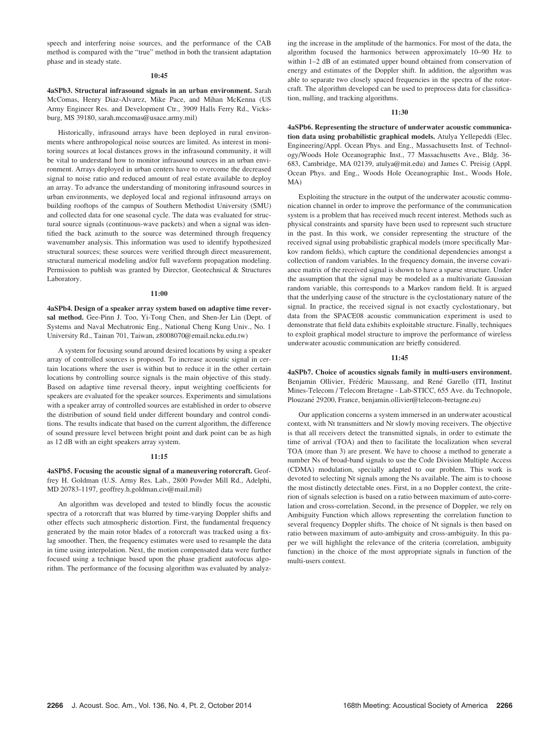speech and interfering noise sources, and the performance of the CAB method is compared with the "true" method in both the transient adaptation phase and in steady state.

#### 10:45

4aSPb3. Structural infrasound signals in an urban environment. Sarah McComas, Henry Diaz-Alvarez, Mike Pace, and Mihan McKenna (US Army Engineer Res. and Development Ctr., 3909 Halls Ferry Rd., Vicksburg, MS 39180, sarah.mccomas@usace.army.mil)

Historically, infrasound arrays have been deployed in rural environments where anthropological noise sources are limited. As interest in monitoring sources at local distances grows in the infrasound community, it will be vital to understand how to monitor infrasound sources in an urban environment. Arrays deployed in urban centers have to overcome the decreased signal to noise ratio and reduced amount of real estate available to deploy an array. To advance the understanding of monitoring infrasound sources in urban environments, we deployed local and regional infrasound arrays on building rooftops of the campus of Southern Methodist University (SMU) and collected data for one seasonal cycle. The data was evaluated for structural source signals (continuous-wave packets) and when a signal was identified the back azimuth to the source was determined through frequency wavenumber analysis. This information was used to identify hypothesized structural sources; these sources were verified through direct measurement, structural numerical modeling and/or full waveform propagation modeling. Permission to publish was granted by Director, Geotechnical & Structures Laboratory.

#### 11:00

4aSPb4. Design of a speaker array system based on adaptive time reversal method. Gee-Pinn J. Too, Yi-Tong Chen, and Shen-Jer Lin (Dept. of Systems and Naval Mechatronic Eng., National Cheng Kung Univ., No. 1 University Rd., Tainan 701, Taiwan, z8008070@email.ncku.edu.tw)

A system for focusing sound around desired locations by using a speaker array of controlled sources is proposed. To increase acoustic signal in certain locations where the user is within but to reduce it in the other certain locations by controlling source signals is the main objective of this study. Based on adaptive time reversal theory, input weighting coefficients for speakers are evaluated for the speaker sources. Experiments and simulations with a speaker array of controlled sources are established in order to observe the distribution of sound field under different boundary and control conditions. The results indicate that based on the current algorithm, the difference of sound pressure level between bright point and dark point can be as high as 12 dB with an eight speakers array system.

#### 11:15

4aSPb5. Focusing the acoustic signal of a maneuvering rotorcraft. Geoffrey H. Goldman (U.S. Army Res. Lab., 2800 Powder Mill Rd., Adelphi, MD 20783-1197, geoffrey.h.goldman.civ@mail.mil)

An algorithm was developed and tested to blindly focus the acoustic spectra of a rotorcraft that was blurred by time-varying Doppler shifts and other effects such atmospheric distortion. First, the fundamental frequency generated by the main rotor blades of a rotorcraft was tracked using a fixlag smoother. Then, the frequency estimates were used to resample the data in time using interpolation. Next, the motion compensated data were further focused using a technique based upon the phase gradient autofocus algorithm. The performance of the focusing algorithm was evaluated by analyzing the increase in the amplitude of the harmonics. For most of the data, the algorithm focused the harmonics between approximately 10–90 Hz to within 1–2 dB of an estimated upper bound obtained from conservation of energy and estimates of the Doppler shift. In addition, the algorithm was able to separate two closely spaced frequencies in the spectra of the rotorcraft. The algorithm developed can be used to preprocess data for classification, nulling, and tracking algorithms.

#### 11:30

4aSPb6. Representing the structure of underwater acoustic communication data using probabilistic graphical models. Atulya Yellepeddi (Elec. Engineering/Appl. Ocean Phys. and Eng., Massachusetts Inst. of Technology/Woods Hole Oceanographic Inst., 77 Massachusetts Ave., Bldg. 36- 683, Cambridge, MA 02139, atulya@mit.edu) and James C. Preisig (Appl. Ocean Phys. and Eng., Woods Hole Oceanographic Inst., Woods Hole, MA)

Exploiting the structure in the output of the underwater acoustic communication channel in order to improve the performance of the communication system is a problem that has received much recent interest. Methods such as physical constraints and sparsity have been used to represent such structure in the past. In this work, we consider representing the structure of the received signal using probabilistic graphical models (more specifically Markov random fields), which capture the conditional dependencies amongst a collection of random variables. In the frequency domain, the inverse covariance matrix of the received signal is shown to have a sparse structure. Under the assumption that the signal may be modeled as a multivariate Gaussian random variable, this corresponds to a Markov random field. It is argued that the underlying cause of the structure is the cyclostationary nature of the signal. In practice, the received signal is not exactly cyclostationary, but data from the SPACE08 acoustic communication experiment is used to demonstrate that field data exhibits exploitable structure. Finally, techniques to exploit graphical model structure to improve the performance of wireless underwater acoustic communication are briefly considered.

#### 11:45

4aSPb7. Choice of acoustics signals family in multi-users environment. Benjamin Ollivier, Frédéric Maussang, and René Garello (ITI, Institut Mines-Telecom / Telecom Bretagne - Lab-STICC, 655 Ave. du Technopole, Plouzané 29200, France, benjamin.ollivier@telecom-bretagne.eu)

Our application concerns a system immersed in an underwater acoustical context, with Nt transmitters and Nr slowly moving receivers. The objective is that all receivers detect the transmitted signals, in order to estimate the time of arrival (TOA) and then to facilitate the localization when several TOA (more than 3) are present. We have to choose a method to generate a number Ns of broad-band signals to use the Code Division Multiple Access (CDMA) modulation, specially adapted to our problem. This work is devoted to selecting Nt signals among the Ns available. The aim is to choose the most distinctly detectable ones. First, in a no Doppler context, the criterion of signals selection is based on a ratio between maximum of auto-correlation and cross-correlation. Second, in the presence of Doppler, we rely on Ambiguity Function which allows representing the correlation function to several frequency Doppler shifts. The choice of Nt signals is then based on ratio between maximum of auto-ambiguity and cross-ambiguity. In this paper we will highlight the relevance of the criteria (correlation, ambiguity function) in the choice of the most appropriate signals in function of the multi-users context.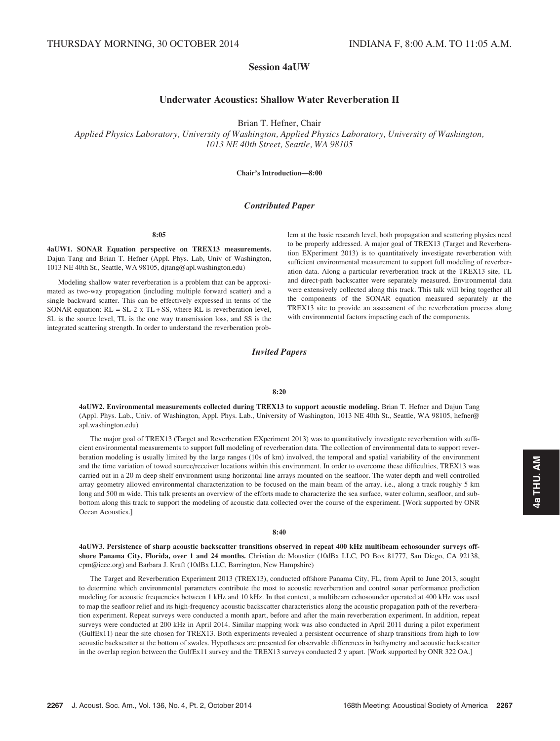# Session 4aUW

# Underwater Acoustics: Shallow Water Reverberation II

Brian T. Hefner, Chair

Applied Physics Laboratory, University of Washington, Applied Physics Laboratory, University of Washington, 1013 NE 40th Street, Seattle, WA 98105

Chair's Introduction—8:00

## Contributed Paper

8:05

4aUW1. SONAR Equation perspective on TREX13 measurements. Dajun Tang and Brian T. Hefner (Appl. Phys. Lab, Univ of Washington, 1013 NE 40th St., Seattle, WA 98105, djtang@apl.washington.edu)

Modeling shallow water reverberation is a problem that can be approximated as two-way propagation (including multiple forward scatter) and a single backward scatter. This can be effectively expressed in terms of the SONAR equation:  $RL = SL-2$  x  $TL + SS$ , where RL is reverberation level, SL is the source level, TL is the one way transmission loss, and SS is the integrated scattering strength. In order to understand the reverberation problem at the basic research level, both propagation and scattering physics need to be properly addressed. A major goal of TREX13 (Target and Reverberation EXperiment 2013) is to quantitatively investigate reverberation with sufficient environmental measurement to support full modeling of reverberation data. Along a particular reverberation track at the TREX13 site, TL and direct-path backscatter were separately measured. Environmental data were extensively collected along this track. This talk will bring together all the components of the SONAR equation measured separately at the TREX13 site to provide an assessment of the reverberation process along with environmental factors impacting each of the components.

Invited Papers

#### 8:20

4aUW2. Environmental measurements collected during TREX13 to support acoustic modeling. Brian T. Hefner and Dajun Tang (Appl. Phys. Lab., Univ. of Washington, Appl. Phys. Lab., University of Washington, 1013 NE 40th St., Seattle, WA 98105, hefner@ apl.washington.edu)

The major goal of TREX13 (Target and Reverberation EXperiment 2013) was to quantitatively investigate reverberation with sufficient environmental measurements to support full modeling of reverberation data. The collection of environmental data to support reverberation modeling is usually limited by the large ranges (10s of km) involved, the temporal and spatial variability of the environment and the time variation of towed source/receiver locations within this environment. In order to overcome these difficulties, TREX13 was carried out in a 20 m deep shelf environment using horizontal line arrays mounted on the seafloor. The water depth and well controlled array geometry allowed environmental characterization to be focused on the main beam of the array, i.e., along a track roughly 5 km long and 500 m wide. This talk presents an overview of the efforts made to characterize the sea surface, water column, seafloor, and subbottom along this track to support the modeling of acoustic data collected over the course of the experiment. [Work supported by ONR Ocean Acoustics.]

#### 8:40

4aUW3. Persistence of sharp acoustic backscatter transitions observed in repeat 400 kHz multibeam echosounder surveys offshore Panama City, Florida, over 1 and 24 months. Christian de Moustier (10dBx LLC, PO Box 81777, San Diego, CA 92138, cpm@ieee.org) and Barbara J. Kraft (10dBx LLC, Barrington, New Hampshire)

The Target and Reverberation Experiment 2013 (TREX13), conducted offshore Panama City, FL, from April to June 2013, sought to determine which environmental parameters contribute the most to acoustic reverberation and control sonar performance prediction modeling for acoustic frequencies between 1 kHz and 10 kHz. In that context, a multibeam echosounder operated at 400 kHz was used to map the seafloor relief and its high-frequency acoustic backscatter characteristics along the acoustic propagation path of the reverberation experiment. Repeat surveys were conducted a month apart, before and after the main reverberation experiment. In addition, repeat surveys were conducted at 200 kHz in April 2014. Similar mapping work was also conducted in April 2011 during a pilot experiment (GulfEx11) near the site chosen for TREX13. Both experiments revealed a persistent occurrence of sharp transitions from high to low acoustic backscatter at the bottom of swales. Hypotheses are presented for observable differences in bathymetry and acoustic backscatter in the overlap region between the GulfEx11 survey and the TREX13 surveys conducted 2 y apart. [Work supported by ONR 322 OA.]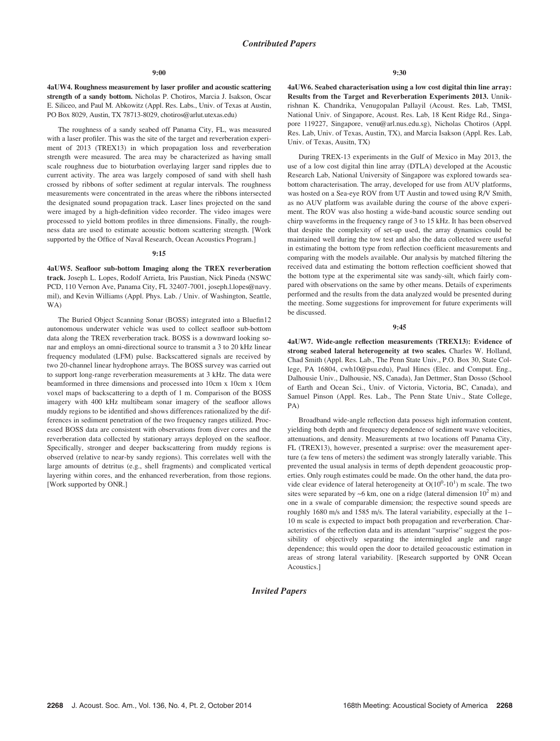4aUW4. Roughness measurement by laser profiler and acoustic scattering strength of a sandy bottom. Nicholas P. Chotiros, Marcia J. Isakson, Oscar E. Siliceo, and Paul M. Abkowitz (Appl. Res. Labs., Univ. of Texas at Austin, PO Box 8029, Austin, TX 78713-8029, chotiros@arlut.utexas.edu)

The roughness of a sandy seabed off Panama City, FL, was measured with a laser profiler. This was the site of the target and reverberation experiment of 2013 (TREX13) in which propagation loss and reverberation strength were measured. The area may be characterized as having small scale roughness due to bioturbation overlaying larger sand ripples due to current activity. The area was largely composed of sand with shell hash crossed by ribbons of softer sediment at regular intervals. The roughness measurements were concentrated in the areas where the ribbons intersected the designated sound propagation track. Laser lines projected on the sand were imaged by a high-definition video recorder. The video images were processed to yield bottom profiles in three dimensions. Finally, the roughness data are used to estimate acoustic bottom scattering strength. [Work supported by the Office of Naval Research, Ocean Acoustics Program.]

#### 9:15

4aUW5. Seafloor sub-bottom Imaging along the TREX reverberation track. Joseph L. Lopes, Rodolf Arrieta, Iris Paustian, Nick Pineda (NSWC PCD, 110 Vernon Ave, Panama City, FL 32407-7001, joseph.l.lopes@navy. mil), and Kevin Williams (Appl. Phys. Lab. / Univ. of Washington, Seattle, WA)

The Buried Object Scanning Sonar (BOSS) integrated into a Bluefin12 autonomous underwater vehicle was used to collect seafloor sub-bottom data along the TREX reverberation track. BOSS is a downward looking sonar and employs an omni-directional source to transmit a 3 to 20 kHz linear frequency modulated (LFM) pulse. Backscattered signals are received by two 20-channel linear hydrophone arrays. The BOSS survey was carried out to support long-range reverberation measurements at 3 kHz. The data were beamformed in three dimensions and processed into 10cm x 10cm x 10cm voxel maps of backscattering to a depth of 1 m. Comparison of the BOSS imagery with 400 kHz multibeam sonar imagery of the seafloor allows muddy regions to be identified and shows differences rationalized by the differences in sediment penetration of the two frequency ranges utilized. Processed BOSS data are consistent with observations from diver cores and the reverberation data collected by stationary arrays deployed on the seafloor. Specifically, stronger and deeper backscattering from muddy regions is observed (relative to near-by sandy regions). This correlates well with the large amounts of detritus (e.g., shell fragments) and complicated vertical layering within cores, and the enhanced reverberation, from those regions. [Work supported by ONR.]

4aUW6. Seabed characterisation using a low cost digital thin line array: Results from the Target and Reverberation Experiments 2013. Unnikrishnan K. Chandrika, Venugopalan Pallayil (Acoust. Res. Lab, TMSI, National Univ. of Singapore, Acoust. Res. Lab, 18 Kent Ridge Rd., Singapore 119227, Singapore, venu@arl.nus.edu.sg), Nicholas Chotiros (Appl. Res. Lab, Univ. of Texas, Austin, TX), and Marcia Isakson (Appl. Res. Lab, Univ. of Texas, Ausitn, TX)

During TREX-13 experiments in the Gulf of Mexico in May 2013, the use of a low cost digital thin line array (DTLA) developed at the Acoustic Research Lab, National University of Singapore was explored towards seabottom characterisation. The array, developed for use from AUV platforms, was hosted on a Sea-eye ROV from UT Austin and towed using R/V Smith, as no AUV platform was available during the course of the above experiment. The ROV was also hosting a wide-band acoustic source sending out chirp waveforms in the frequency range of 3 to 15 kHz. It has been observed that despite the complexity of set-up used, the array dynamics could be maintained well during the tow test and also the data collected were useful in estimating the bottom type from reflection coefficient measurements and comparing with the models available. Our analysis by matched filtering the received data and estimating the bottom reflection coefficient showed that the bottom type at the experimental site was sandy-silt, which fairly compared with observations on the same by other means. Details of experiments performed and the results from the data analyzed would be presented during the meeting. Some suggestions for improvement for future experiments will be discussed.

#### 9:45

4aUW7. Wide-angle reflection measurements (TREX13): Evidence of strong seabed lateral heterogeneity at two scales. Charles W. Holland, Chad Smith (Appl. Res. Lab., The Penn State Univ., P.O. Box 30, State College, PA 16804, cwh10@psu.edu), Paul Hines (Elec. and Comput. Eng., Dalhousie Univ., Dalhousie, NS, Canada), Jan Dettmer, Stan Dosso (School of Earth and Ocean Sci., Univ. of Victoria, Victoria, BC, Canada), and Samuel Pinson (Appl. Res. Lab., The Penn State Univ., State College, PA)

Broadband wide-angle reflection data possess high information content, yielding both depth and frequency dependence of sediment wave velocities, attenuations, and density. Measurements at two locations off Panama City, FL (TREX13), however, presented a surprise: over the measurement aperture (a few tens of meters) the sediment was strongly laterally variable. This prevented the usual analysis in terms of depth dependent geoacoustic properties. Only rough estimates could be made. On the other hand, the data provide clear evidence of lateral heterogeneity at  $O(10^{0} - 10^{1})$  m scale. The two sites were separated by  $\sim$ 6 km, one on a ridge (lateral dimension  $10^2$  m) and one in a swale of comparable dimension; the respective sound speeds are roughly 1680 m/s and 1585 m/s. The lateral variability, especially at the 1– 10 m scale is expected to impact both propagation and reverberation. Characteristics of the reflection data and its attendant "surprise" suggest the possibility of objectively separating the intermingled angle and range dependence; this would open the door to detailed geoacoustic estimation in areas of strong lateral variability. [Research supported by ONR Ocean Acoustics.]

# Invited Papers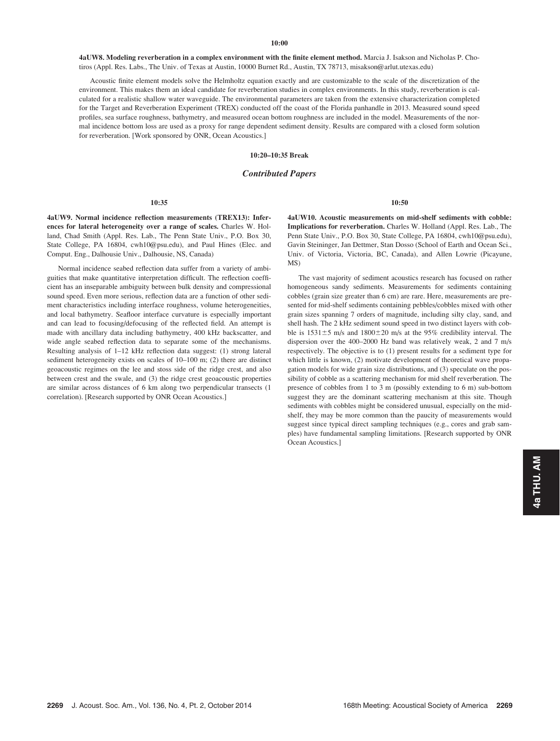4aUW8. Modeling reverberation in a complex environment with the finite element method. Marcia J. Isakson and Nicholas P. Chotiros (Appl. Res. Labs., The Univ. of Texas at Austin, 10000 Burnet Rd., Austin, TX 78713, misakson@arlut.utexas.edu)

Acoustic finite element models solve the Helmholtz equation exactly and are customizable to the scale of the discretization of the environment. This makes them an ideal candidate for reverberation studies in complex environments. In this study, reverberation is calculated for a realistic shallow water waveguide. The environmental parameters are taken from the extensive characterization completed for the Target and Reverberation Experiment (TREX) conducted off the coast of the Florida panhandle in 2013. Measured sound speed profiles, sea surface roughness, bathymetry, and measured ocean bottom roughness are included in the model. Measurements of the normal incidence bottom loss are used as a proxy for range dependent sediment density. Results are compared with a closed form solution for reverberation. [Work sponsored by ONR, Ocean Acoustics.]

10:20–10:35 Break

## Contributed Papers

### 10:35

4aUW9. Normal incidence reflection measurements (TREX13): Inferences for lateral heterogeneity over a range of scales. Charles W. Holland, Chad Smith (Appl. Res. Lab., The Penn State Univ., P.O. Box 30, State College, PA 16804, cwh10@psu.edu), and Paul Hines (Elec. and Comput. Eng., Dalhousie Univ., Dalhousie, NS, Canada)

Normal incidence seabed reflection data suffer from a variety of ambiguities that make quantitative interpretation difficult. The reflection coefficient has an inseparable ambiguity between bulk density and compressional sound speed. Even more serious, reflection data are a function of other sediment characteristics including interface roughness, volume heterogeneities, and local bathymetry. Seafloor interface curvature is especially important and can lead to focusing/defocusing of the reflected field. An attempt is made with ancillary data including bathymetry, 400 kHz backscatter, and wide angle seabed reflection data to separate some of the mechanisms. Resulting analysis of 1–12 kHz reflection data suggest: (1) strong lateral sediment heterogeneity exists on scales of 10–100 m; (2) there are distinct geoacoustic regimes on the lee and stoss side of the ridge crest, and also between crest and the swale, and (3) the ridge crest geoacoustic properties are similar across distances of 6 km along two perpendicular transects (1 correlation). [Research supported by ONR Ocean Acoustics.]

4aUW10. Acoustic measurements on mid-shelf sediments with cobble: Implications for reverberation. Charles W. Holland (Appl. Res. Lab., The Penn State Univ., P.O. Box 30, State College, PA 16804, cwh10@psu.edu), Gavin Steininger, Jan Dettmer, Stan Dosso (School of Earth and Ocean Sci., Univ. of Victoria, Victoria, BC, Canada), and Allen Lowrie (Picayune, MS)

10:50

The vast majority of sediment acoustics research has focused on rather homogeneous sandy sediments. Measurements for sediments containing cobbles (grain size greater than 6 cm) are rare. Here, measurements are presented for mid-shelf sediments containing pebbles/cobbles mixed with other grain sizes spanning 7 orders of magnitude, including silty clay, sand, and shell hash. The 2 kHz sediment sound speed in two distinct layers with cobble is  $1531\pm5$  m/s and  $1800\pm20$  m/s at the 95% credibility interval. The dispersion over the 400–2000 Hz band was relatively weak, 2 and 7 m/s respectively. The objective is to (1) present results for a sediment type for which little is known, (2) motivate development of theoretical wave propagation models for wide grain size distributions, and (3) speculate on the possibility of cobble as a scattering mechanism for mid shelf reverberation. The presence of cobbles from 1 to 3 m (possibly extending to 6 m) sub-bottom suggest they are the dominant scattering mechanism at this site. Though sediments with cobbles might be considered unusual, especially on the midshelf, they may be more common than the paucity of measurements would suggest since typical direct sampling techniques (e.g., cores and grab samples) have fundamental sampling limitations. [Research supported by ONR Ocean Acoustics.]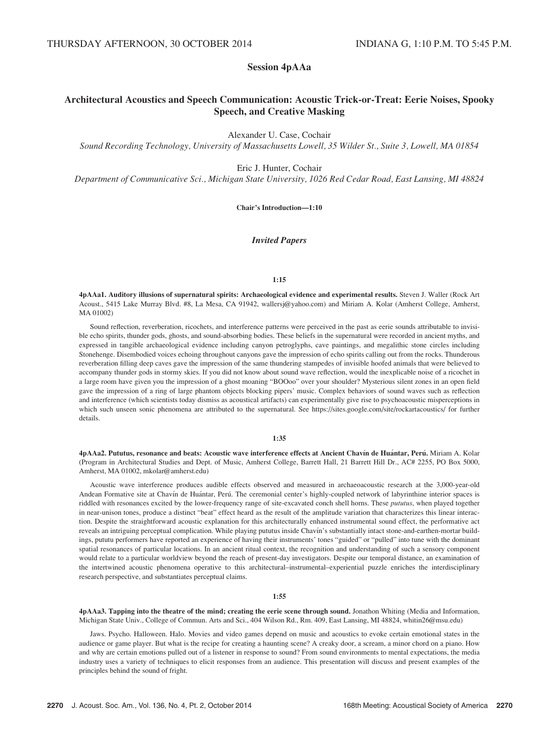# Session 4pAAa

# Architectural Acoustics and Speech Communication: Acoustic Trick-or-Treat: Eerie Noises, Spooky Speech, and Creative Masking

Alexander U. Case, Cochair

Sound Recording Technology, University of Massachusetts Lowell, 35 Wilder St., Suite 3, Lowell, MA 01854

Eric J. Hunter, Cochair

Department of Communicative Sci., Michigan State University, 1026 Red Cedar Road, East Lansing, MI 48824

Chair's Introduction—1:10

## Invited Papers

## 1:15

4pAAa1. Auditory illusions of supernatural spirits: Archaeological evidence and experimental results. Steven J. Waller (Rock Art Acoust., 5415 Lake Murray Blvd. #8, La Mesa, CA 91942, wallersj@yahoo.com) and Miriam A. Kolar (Amherst College, Amherst, MA 01002)

Sound reflection, reverberation, ricochets, and interference patterns were perceived in the past as eerie sounds attributable to invisible echo spirits, thunder gods, ghosts, and sound-absorbing bodies. These beliefs in the supernatural were recorded in ancient myths, and expressed in tangible archaeological evidence including canyon petroglyphs, cave paintings, and megalithic stone circles including Stonehenge. Disembodied voices echoing throughout canyons gave the impression of echo spirits calling out from the rocks. Thunderous reverberation filling deep caves gave the impression of the same thundering stampedes of invisible hoofed animals that were believed to accompany thunder gods in stormy skies. If you did not know about sound wave reflection, would the inexplicable noise of a ricochet in a large room have given you the impression of a ghost moaning "BOOoo" over your shoulder? Mysterious silent zones in an open field gave the impression of a ring of large phantom objects blocking pipers' music. Complex behaviors of sound waves such as reflection and interference (which scientists today dismiss as acoustical artifacts) can experimentally give rise to psychoacoustic misperceptions in which such unseen sonic phenomena are attributed to the supernatural. See https://sites.google.com/site/rockartacoustics/ for further details.

## 1:35

4pAAa2. Pututus, resonance and beats: Acoustic wave interference effects at Ancient Chavín de Huántar, Perú. Miriam A. Kolar (Program in Architectural Studies and Dept. of Music, Amherst College, Barrett Hall, 21 Barrett Hill Dr., AC# 2255, PO Box 5000, Amherst, MA 01002, mkolar@amherst.edu)

Acoustic wave interference produces audible effects observed and measured in archaeoacoustic research at the 3,000-year-old Andean Formative site at Chavín de Huántar, Perú. The ceremonial center's highly-coupled network of labyrinthine interior spaces is riddled with resonances excited by the lower-frequency range of site-excavated conch shell horns. These pututus, when played together in near-unison tones, produce a distinct "beat" effect heard as the result of the amplitude variation that characterizes this linear interaction. Despite the straightforward acoustic explanation for this architecturally enhanced instrumental sound effect, the performative act reveals an intriguing perceptual complication. While playing pututus inside Chavín's substantially intact stone-and-earthen-mortar buildings, pututu performers have reported an experience of having their instruments' tones "guided" or "pulled" into tune with the dominant spatial resonances of particular locations. In an ancient ritual context, the recognition and understanding of such a sensory component would relate to a particular worldview beyond the reach of present-day investigators. Despite our temporal distance, an examination of the intertwined acoustic phenomena operative to this architectural–instrumental–experiential puzzle enriches the interdisciplinary research perspective, and substantiates perceptual claims.

## 1:55

4pAAa3. Tapping into the theatre of the mind; creating the eerie scene through sound. Jonathon Whiting (Media and Information, Michigan State Univ., College of Commun. Arts and Sci., 404 Wilson Rd., Rm. 409, East Lansing, MI 48824, whitin26@msu.edu)

Jaws. Psycho. Halloween. Halo. Movies and video games depend on music and acoustics to evoke certain emotional states in the audience or game player. But what is the recipe for creating a haunting scene? A creaky door, a scream, a minor chord on a piano. How and why are certain emotions pulled out of a listener in response to sound? From sound environments to mental expectations, the media industry uses a variety of techniques to elicit responses from an audience. This presentation will discuss and present examples of the principles behind the sound of fright.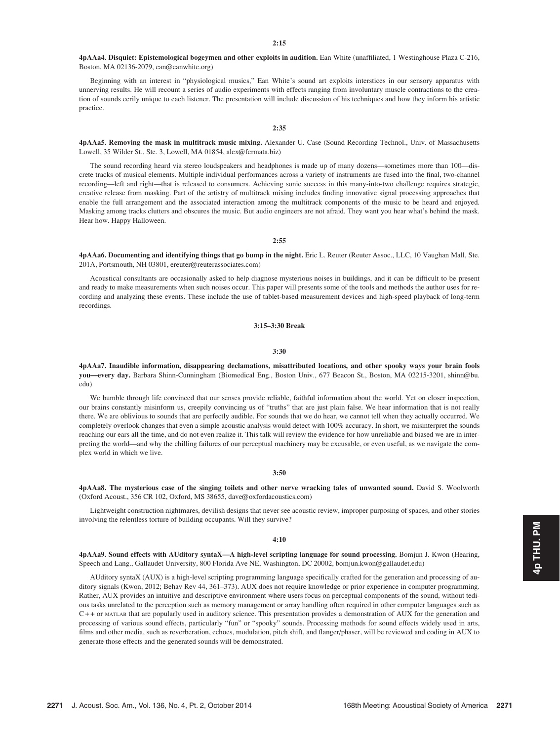4pAAa4. Disquiet: Epistemological bogeymen and other exploits in audition. Ean White (unaffiliated, 1 Westinghouse Plaza C-216, Boston, MA 02136-2079, ean@eanwhite.org)

Beginning with an interest in "physiological musics," Ean White's sound art exploits interstices in our sensory apparatus with unnerving results. He will recount a series of audio experiments with effects ranging from involuntary muscle contractions to the creation of sounds eerily unique to each listener. The presentation will include discussion of his techniques and how they inform his artistic practice.

#### 2:35

4pAAa5. Removing the mask in multitrack music mixing. Alexander U. Case (Sound Recording Technol., Univ. of Massachusetts Lowell, 35 Wilder St., Ste. 3, Lowell, MA 01854, alex@fermata.biz)

The sound recording heard via stereo loudspeakers and headphones is made up of many dozens—sometimes more than 100—discrete tracks of musical elements. Multiple individual performances across a variety of instruments are fused into the final, two-channel recording—left and right—that is released to consumers. Achieving sonic success in this many-into-two challenge requires strategic, creative release from masking. Part of the artistry of multitrack mixing includes finding innovative signal processing approaches that enable the full arrangement and the associated interaction among the multitrack components of the music to be heard and enjoyed. Masking among tracks clutters and obscures the music. But audio engineers are not afraid. They want you hear what's behind the mask. Hear how. Happy Halloween.

2:55

4pAAa6. Documenting and identifying things that go bump in the night. Eric L. Reuter (Reuter Assoc., LLC, 10 Vaughan Mall, Ste. 201A, Portsmouth, NH 03801, ereuter@reuterassociates.com)

Acoustical consultants are occasionally asked to help diagnose mysterious noises in buildings, and it can be difficult to be present and ready to make measurements when such noises occur. This paper will presents some of the tools and methods the author uses for recording and analyzing these events. These include the use of tablet-based measurement devices and high-speed playback of long-term recordings.

3:15–3:30 Break

## 3:30

4pAAa7. Inaudible information, disappearing declamations, misattributed locations, and other spooky ways your brain fools you—every day. Barbara Shinn-Cunningham (Biomedical Eng., Boston Univ., 677 Beacon St., Boston, MA 02215-3201, shinn@bu. edu)

We bumble through life convinced that our senses provide reliable, faithful information about the world. Yet on closer inspection, our brains constantly misinform us, creepily convincing us of "truths" that are just plain false. We hear information that is not really there. We are oblivious to sounds that are perfectly audible. For sounds that we do hear, we cannot tell when they actually occurred. We completely overlook changes that even a simple acoustic analysis would detect with 100% accuracy. In short, we misinterpret the sounds reaching our ears all the time, and do not even realize it. This talk will review the evidence for how unreliable and biased we are in interpreting the world—and why the chilling failures of our perceptual machinery may be excusable, or even useful, as we navigate the complex world in which we live.

#### 3:50

4pAAa8. The mysterious case of the singing toilets and other nerve wracking tales of unwanted sound. David S. Woolworth (Oxford Acoust., 356 CR 102, Oxford, MS 38655, dave@oxfordacoustics.com)

Lightweight construction nightmares, devilish designs that never see acoustic review, improper purposing of spaces, and other stories involving the relentless torture of building occupants. Will they survive?

#### $4:10$

4pAAa9. Sound effects with AUditory syntaX—A high-level scripting language for sound processing. Bomjun J. Kwon (Hearing, Speech and Lang., Gallaudet University, 800 Florida Ave NE, Washington, DC 20002, bomjun.kwon@gallaudet.edu)

AUditory syntaX (AUX) is a high-level scripting programming language specifically crafted for the generation and processing of auditory signals (Kwon, 2012; Behav Rev 44, 361–373). AUX does not require knowledge or prior experience in computer programming. Rather, AUX provides an intuitive and descriptive environment where users focus on perceptual components of the sound, without tedious tasks unrelated to the perception such as memory management or array handling often required in other computer languages such as C + + or MATLAB that are popularly used in auditory science. This presentation provides a demonstration of AUX for the generation and processing of various sound effects, particularly "fun" or "spooky" sounds. Processing methods for sound effects widely used in arts, films and other media, such as reverberation, echoes, modulation, pitch shift, and flanger/phaser, will be reviewed and coding in AUX to generate those effects and the generated sounds will be demonstrated.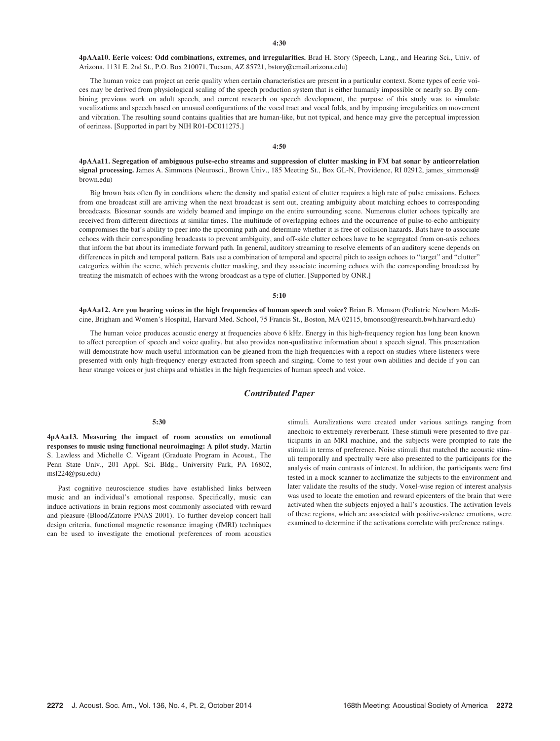4pAAa10. Eerie voices: Odd combinations, extremes, and irregularities. Brad H. Story (Speech, Lang., and Hearing Sci., Univ. of Arizona, 1131 E. 2nd St., P.O. Box 210071, Tucson, AZ 85721, bstory@email.arizona.edu)

The human voice can project an eerie quality when certain characteristics are present in a particular context. Some types of eerie voices may be derived from physiological scaling of the speech production system that is either humanly impossible or nearly so. By combining previous work on adult speech, and current research on speech development, the purpose of this study was to simulate vocalizations and speech based on unusual configurations of the vocal tract and vocal folds, and by imposing irregularities on movement and vibration. The resulting sound contains qualities that are human-like, but not typical, and hence may give the perceptual impression of eeriness. [Supported in part by NIH R01-DC011275.]

## 4:50

4pAAa11. Segregation of ambiguous pulse-echo streams and suppression of clutter masking in FM bat sonar by anticorrelation signal processing. James A. Simmons (Neurosci., Brown Univ., 185 Meeting St., Box GL-N, Providence, RI 02912, james\_simmons@ brown.edu)

Big brown bats often fly in conditions where the density and spatial extent of clutter requires a high rate of pulse emissions. Echoes from one broadcast still are arriving when the next broadcast is sent out, creating ambiguity about matching echoes to corresponding broadcasts. Biosonar sounds are widely beamed and impinge on the entire surrounding scene. Numerous clutter echoes typically are received from different directions at similar times. The multitude of overlapping echoes and the occurrence of pulse-to-echo ambiguity compromises the bat's ability to peer into the upcoming path and determine whether it is free of collision hazards. Bats have to associate echoes with their corresponding broadcasts to prevent ambiguity, and off-side clutter echoes have to be segregated from on-axis echoes that inform the bat about its immediate forward path. In general, auditory streaming to resolve elements of an auditory scene depends on differences in pitch and temporal pattern. Bats use a combination of temporal and spectral pitch to assign echoes to "target" and "clutter" categories within the scene, which prevents clutter masking, and they associate incoming echoes with the corresponding broadcast by treating the mismatch of echoes with the wrong broadcast as a type of clutter. [Supported by ONR.]

#### 5:10

4pAAa12. Are you hearing voices in the high frequencies of human speech and voice? Brian B. Monson (Pediatric Newborn Medicine, Brigham and Women's Hospital, Harvard Med. School, 75 Francis St., Boston, MA 02115, bmonson@research.bwh.harvard.edu)

The human voice produces acoustic energy at frequencies above 6 kHz. Energy in this high-frequency region has long been known to affect perception of speech and voice quality, but also provides non-qualitative information about a speech signal. This presentation will demonstrate how much useful information can be gleaned from the high frequencies with a report on studies where listeners were presented with only high-frequency energy extracted from speech and singing. Come to test your own abilities and decide if you can hear strange voices or just chirps and whistles in the high frequencies of human speech and voice.

## Contributed Paper

#### 5:30

4pAAa13. Measuring the impact of room acoustics on emotional responses to music using functional neuroimaging: A pilot study. Martin S. Lawless and Michelle C. Vigeant (Graduate Program in Acoust., The Penn State Univ., 201 Appl. Sci. Bldg., University Park, PA 16802, msl224@psu.edu)

Past cognitive neuroscience studies have established links between music and an individual's emotional response. Specifically, music can induce activations in brain regions most commonly associated with reward and pleasure (Blood/Zatorre PNAS 2001). To further develop concert hall design criteria, functional magnetic resonance imaging (fMRI) techniques can be used to investigate the emotional preferences of room acoustics stimuli. Auralizations were created under various settings ranging from anechoic to extremely reverberant. These stimuli were presented to five participants in an MRI machine, and the subjects were prompted to rate the stimuli in terms of preference. Noise stimuli that matched the acoustic stimuli temporally and spectrally were also presented to the participants for the analysis of main contrasts of interest. In addition, the participants were first tested in a mock scanner to acclimatize the subjects to the environment and later validate the results of the study. Voxel-wise region of interest analysis was used to locate the emotion and reward epicenters of the brain that were activated when the subjects enjoyed a hall's acoustics. The activation levels of these regions, which are associated with positive-valence emotions, were examined to determine if the activations correlate with preference ratings.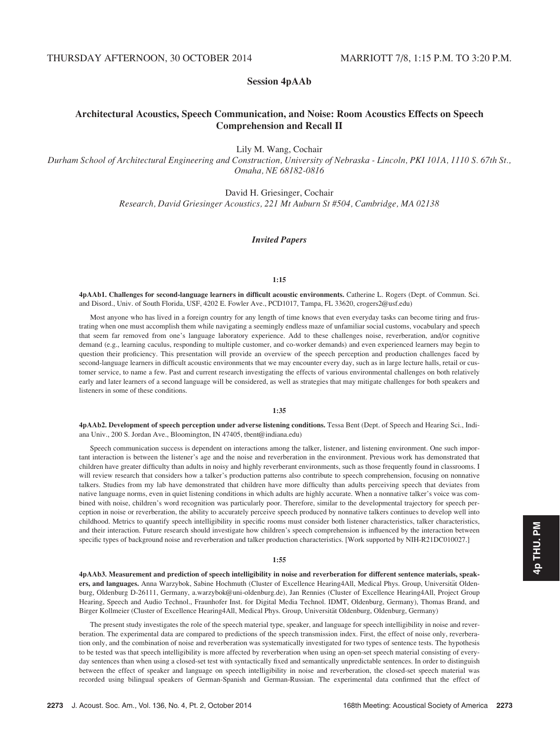# Session 4pAAb

# Architectural Acoustics, Speech Communication, and Noise: Room Acoustics Effects on Speech Comprehension and Recall II

Lily M. Wang, Cochair

Durham School of Architectural Engineering and Construction, University of Nebraska - Lincoln, PKI 101A, 1110 S. 67th St., Omaha, NE 68182-0816

David H. Griesinger, Cochair

Research, David Griesinger Acoustics, 221 Mt Auburn St #504, Cambridge, MA 02138

## Invited Papers

#### 1:15

4pAAb1. Challenges for second-language learners in difficult acoustic environments. Catherine L. Rogers (Dept. of Commun. Sci. and Disord., Univ. of South Florida, USF, 4202 E. Fowler Ave., PCD1017, Tampa, FL 33620, crogers2@usf.edu)

Most anyone who has lived in a foreign country for any length of time knows that even everyday tasks can become tiring and frustrating when one must accomplish them while navigating a seemingly endless maze of unfamiliar social customs, vocabulary and speech that seem far removed from one's language laboratory experience. Add to these challenges noise, reverberation, and/or cognitive demand (e.g., learning caculus, responding to multiple customer, and co-worker demands) and even experienced learners may begin to question their proficiency. This presentation will provide an overview of the speech perception and production challenges faced by second-language learners in difficult acoustic environments that we may encounter every day, such as in large lecture halls, retail or customer service, to name a few. Past and current research investigating the effects of various environmental challenges on both relatively early and later learners of a second language will be considered, as well as strategies that may mitigate challenges for both speakers and listeners in some of these conditions.

## 1:35

4pAAb2. Development of speech perception under adverse listening conditions. Tessa Bent (Dept. of Speech and Hearing Sci., Indiana Univ., 200 S. Jordan Ave., Bloomington, IN 47405, tbent@indiana.edu)

Speech communication success is dependent on interactions among the talker, listener, and listening environment. One such important interaction is between the listener's age and the noise and reverberation in the environment. Previous work has demonstrated that children have greater difficulty than adults in noisy and highly reverberant environments, such as those frequently found in classrooms. I will review research that considers how a talker's production patterns also contribute to speech comprehension, focusing on nonnative talkers. Studies from my lab have demonstrated that children have more difficulty than adults perceiving speech that deviates from native language norms, even in quiet listening conditions in which adults are highly accurate. When a nonnative talker's voice was combined with noise, children's word recognition was particularly poor. Therefore, similar to the developmental trajectory for speech perception in noise or reverberation, the ability to accurately perceive speech produced by nonnative talkers continues to develop well into childhood. Metrics to quantify speech intelligibility in specific rooms must consider both listener characteristics, talker characteristics, and their interaction. Future research should investigate how children's speech comprehension is influenced by the interaction between specific types of background noise and reverberation and talker production characteristics. [Work supported by NIH-R21DC010027.]

#### 1:55

4pAAb3. Measurement and prediction of speech intelligibility in noise and reverberation for different sentence materials, speakers, and languages. Anna Warzybok, Sabine Hochmuth (Cluster of Excellence Hearing4All, Medical Phys. Group, Universität Oldenburg, Oldenburg D-26111, Germany, a.warzybok@uni-oldenburg.de), Jan Rennies (Cluster of Excellence Hearing4All, Project Group Hearing, Speech and Audio Technol., Fraunhofer Inst. for Digital Media Technol. IDMT, Oldenburg, Germany), Thomas Brand, and Birger Kollmeier (Cluster of Excellence Hearing4All, Medical Phys. Group, Universität Oldenburg, Oldenburg, Germany)

The present study investigates the role of the speech material type, speaker, and language for speech intelligibility in noise and reverberation. The experimental data are compared to predictions of the speech transmission index. First, the effect of noise only, reverberation only, and the combination of noise and reverberation was systematically investigated for two types of sentence tests. The hypothesis to be tested was that speech intelligibility is more affected by reverberation when using an open-set speech material consisting of everyday sentences than when using a closed-set test with syntactically fixed and semantically unpredictable sentences. In order to distinguish between the effect of speaker and language on speech intelligibility in noise and reverberation, the closed-set speech material was recorded using bilingual speakers of German-Spanish and German-Russian. The experimental data confirmed that the effect of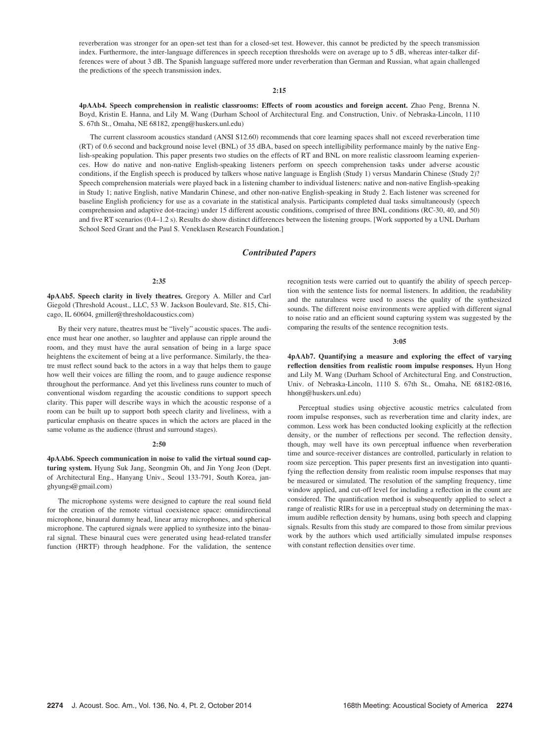reverberation was stronger for an open-set test than for a closed-set test. However, this cannot be predicted by the speech transmission index. Furthermore, the inter-language differences in speech reception thresholds were on average up to 5 dB, whereas inter-talker differences were of about 3 dB. The Spanish language suffered more under reverberation than German and Russian, what again challenged the predictions of the speech transmission index.

## 2:15

4pAAb4. Speech comprehension in realistic classrooms: Effects of room acoustics and foreign accent. Zhao Peng, Brenna N. Boyd, Kristin E. Hanna, and Lily M. Wang (Durham School of Architectural Eng. and Construction, Univ. of Nebraska-Lincoln, 1110 S. 67th St., Omaha, NE 68182, zpeng@huskers.unl.edu)

The current classroom acoustics standard (ANSI S12.60) recommends that core learning spaces shall not exceed reverberation time (RT) of 0.6 second and background noise level (BNL) of 35 dBA, based on speech intelligibility performance mainly by the native English-speaking population. This paper presents two studies on the effects of RT and BNL on more realistic classroom learning experiences. How do native and non-native English-speaking listeners perform on speech comprehension tasks under adverse acoustic conditions, if the English speech is produced by talkers whose native language is English (Study 1) versus Mandarin Chinese (Study 2)? Speech comprehension materials were played back in a listening chamber to individual listeners: native and non-native English-speaking in Study 1; native English, native Mandarin Chinese, and other non-native English-speaking in Study 2. Each listener was screened for baseline English proficiency for use as a covariate in the statistical analysis. Participants completed dual tasks simultaneously (speech comprehension and adaptive dot-tracing) under 15 different acoustic conditions, comprised of three BNL conditions (RC-30, 40, and 50) and five RT scenarios (0.4–1.2 s). Results do show distinct differences between the listening groups. [Work supported by a UNL Durham School Seed Grant and the Paul S. Veneklasen Research Foundation.]

## Contributed Papers

## 2:35

4pAAb5. Speech clarity in lively theatres. Gregory A. Miller and Carl Giegold (Threshold Acoust., LLC, 53 W. Jackson Boulevard, Ste. 815, Chicago, IL 60604, gmiller@thresholdacoustics.com)

By their very nature, theatres must be "lively" acoustic spaces. The audience must hear one another, so laughter and applause can ripple around the room, and they must have the aural sensation of being in a large space heightens the excitement of being at a live performance. Similarly, the theatre must reflect sound back to the actors in a way that helps them to gauge how well their voices are filling the room, and to gauge audience response throughout the performance. And yet this liveliness runs counter to much of conventional wisdom regarding the acoustic conditions to support speech clarity. This paper will describe ways in which the acoustic response of a room can be built up to support both speech clarity and liveliness, with a particular emphasis on theatre spaces in which the actors are placed in the same volume as the audience (thrust and surround stages).

#### $2:50$

4pAAb6. Speech communication in noise to valid the virtual sound capturing system. Hyung Suk Jang, Seongmin Oh, and Jin Yong Jeon (Dept. of Architectural Eng., Hanyang Univ., Seoul 133-791, South Korea, janghyungs@gmail.com)

The microphone systems were designed to capture the real sound field for the creation of the remote virtual coexistence space: omnidirectional microphone, binaural dummy head, linear array microphones, and spherical microphone. The captured signals were applied to synthesize into the binaural signal. These binaural cues were generated using head-related transfer function (HRTF) through headphone. For the validation, the sentence recognition tests were carried out to quantify the ability of speech perception with the sentence lists for normal listeners. In addition, the readability and the naturalness were used to assess the quality of the synthesized sounds. The different noise environments were applied with different signal to noise ratio and an efficient sound capturing system was suggested by the comparing the results of the sentence recognition tests.

#### 3:05

4pAAb7. Quantifying a measure and exploring the effect of varying reflection densities from realistic room impulse responses. Hyun Hong and Lily M. Wang (Durham School of Architectural Eng. and Construction, Univ. of Nebraska-Lincoln, 1110 S. 67th St., Omaha, NE 68182-0816, hhong@huskers.unl.edu)

Perceptual studies using objective acoustic metrics calculated from room impulse responses, such as reverberation time and clarity index, are common. Less work has been conducted looking explicitly at the reflection density, or the number of reflections per second. The reflection density, though, may well have its own perceptual influence when reverberation time and source-receiver distances are controlled, particularly in relation to room size perception. This paper presents first an investigation into quantifying the reflection density from realistic room impulse responses that may be measured or simulated. The resolution of the sampling frequency, time window applied, and cut-off level for including a reflection in the count are considered. The quantification method is subsequently applied to select a range of realistic RIRs for use in a perceptual study on determining the maximum audible reflection density by humans, using both speech and clapping signals. Results from this study are compared to those from similar previous work by the authors which used artificially simulated impulse responses with constant reflection densities over time.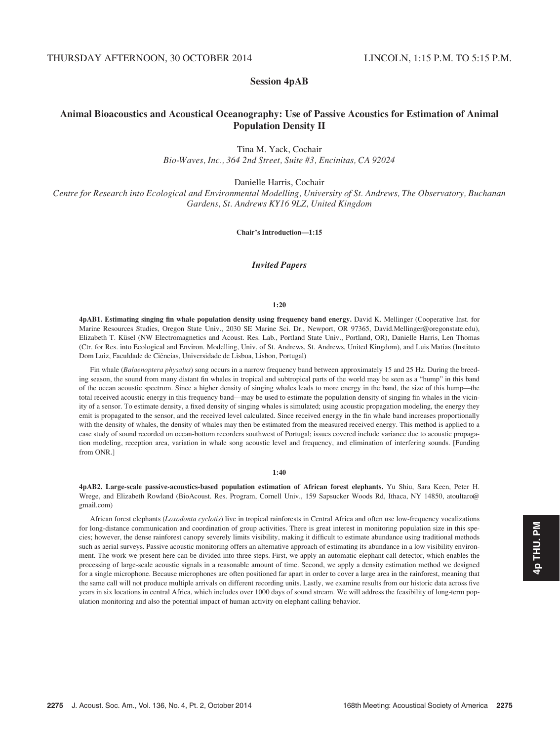# Session 4pAB

# Animal Bioacoustics and Acoustical Oceanography: Use of Passive Acoustics for Estimation of Animal Population Density II

Tina M. Yack, Cochair Bio-Waves, Inc., 364 2nd Street, Suite #3, Encinitas, CA 92024

Danielle Harris, Cochair

Centre for Research into Ecological and Environmental Modelling, University of St. Andrews, The Observatory, Buchanan Gardens, St. Andrews KY16 9LZ, United Kingdom

Chair's Introduction—1:15

# Invited Papers

#### 1:20

4pAB1. Estimating singing fin whale population density using frequency band energy. David K. Mellinger (Cooperative Inst. for Marine Resources Studies, Oregon State Univ., 2030 SE Marine Sci. Dr., Newport, OR 97365, David.Mellinger@oregonstate.edu), Elizabeth T. Küsel (NW Electromagnetics and Acoust. Res. Lab., Portland State Univ., Portland, OR), Danielle Harris, Len Thomas (Ctr. for Res. into Ecological and Environ. Modelling, Univ. of St. Andrews, St. Andrews, United Kingdom), and Luis Matias (Instituto Dom Luiz, Faculdade de Ciências, Universidade de Lisboa, Lisbon, Portugal)

Fin whale (Balaenoptera physalus) song occurs in a narrow frequency band between approximately 15 and 25 Hz. During the breeding season, the sound from many distant fin whales in tropical and subtropical parts of the world may be seen as a "hump" in this band of the ocean acoustic spectrum. Since a higher density of singing whales leads to more energy in the band, the size of this hump—the total received acoustic energy in this frequency band—may be used to estimate the population density of singing fin whales in the vicinity of a sensor. To estimate density, a fixed density of singing whales is simulated; using acoustic propagation modeling, the energy they emit is propagated to the sensor, and the received level calculated. Since received energy in the fin whale band increases proportionally with the density of whales, the density of whales may then be estimated from the measured received energy. This method is applied to a case study of sound recorded on ocean-bottom recorders southwest of Portugal; issues covered include variance due to acoustic propagation modeling, reception area, variation in whale song acoustic level and frequency, and elimination of interfering sounds. [Funding from ONR.]

4pAB2. Large-scale passive-acoustics-based population estimation of African forest elephants. Yu Shiu, Sara Keen, Peter H. Wrege, and Elizabeth Rowland (BioAcoust. Res. Program, Cornell Univ., 159 Sapsucker Woods Rd, Ithaca, NY 14850, atoultaro@ gmail.com)

African forest elephants (Loxodonta cyclotis) live in tropical rainforests in Central Africa and often use low-frequency vocalizations for long-distance communication and coordination of group activities. There is great interest in monitoring population size in this species; however, the dense rainforest canopy severely limits visibility, making it difficult to estimate abundance using traditional methods such as aerial surveys. Passive acoustic monitoring offers an alternative approach of estimating its abundance in a low visibility environment. The work we present here can be divided into three steps. First, we apply an automatic elephant call detector, which enables the processing of large-scale acoustic signals in a reasonable amount of time. Second, we apply a density estimation method we designed for a single microphone. Because microphones are often positioned far apart in order to cover a large area in the rainforest, meaning that the same call will not produce multiple arrivals on different recording units. Lastly, we examine results from our historic data across five years in six locations in central Africa, which includes over 1000 days of sound stream. We will address the feasibility of long-term population monitoring and also the potential impact of human activity on elephant calling behavior.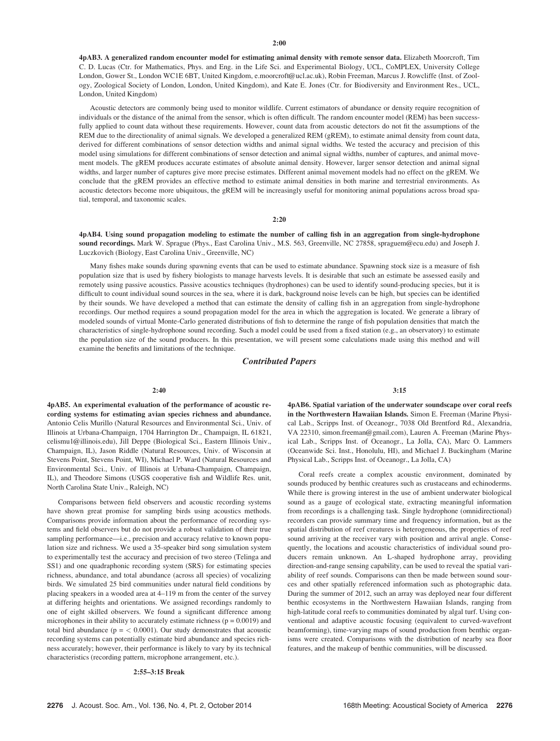4pAB3. A generalized random encounter model for estimating animal density with remote sensor data. Elizabeth Moorcroft, Tim C. D. Lucas (Ctr. for Mathematics, Phys. and Eng. in the Life Sci. and Experimental Biology, UCL, CoMPLEX, University College London, Gower St., London WC1E 6BT, United Kingdom, e.moorcroft@ucl.ac.uk), Robin Freeman, Marcus J. Rowcliffe (Inst. of Zoology, Zoological Society of London, London, United Kingdom), and Kate E. Jones (Ctr. for Biodiversity and Environment Res., UCL, London, United Kingdom)

Acoustic detectors are commonly being used to monitor wildlife. Current estimators of abundance or density require recognition of individuals or the distance of the animal from the sensor, which is often difficult. The random encounter model (REM) has been successfully applied to count data without these requirements. However, count data from acoustic detectors do not fit the assumptions of the REM due to the directionality of animal signals. We developed a generalized REM (gREM), to estimate animal density from count data, derived for different combinations of sensor detection widths and animal signal widths. We tested the accuracy and precision of this model using simulations for different combinations of sensor detection and animal signal widths, number of captures, and animal movement models. The gREM produces accurate estimates of absolute animal density. However, larger sensor detection and animal signal widths, and larger number of captures give more precise estimates. Different animal movement models had no effect on the gREM. We conclude that the gREM provides an effective method to estimate animal densities in both marine and terrestrial environments. As acoustic detectors become more ubiquitous, the gREM will be increasingly useful for monitoring animal populations across broad spatial, temporal, and taxonomic scales.

#### 2:20

4pAB4. Using sound propagation modeling to estimate the number of calling fish in an aggregation from single-hydrophone sound recordings. Mark W. Sprague (Phys., East Carolina Univ., M.S. 563, Greenville, NC 27858, spraguem@ecu.edu) and Joseph J. Luczkovich (Biology, East Carolina Univ., Greenville, NC)

Many fishes make sounds during spawning events that can be used to estimate abundance. Spawning stock size is a measure of fish population size that is used by fishery biologists to manage harvests levels. It is desirable that such an estimate be assessed easily and remotely using passive acoustics. Passive acoustics techniques (hydrophones) can be used to identify sound-producing species, but it is difficult to count individual sound sources in the sea, where it is dark, background noise levels can be high, but species can be identified by their sounds. We have developed a method that can estimate the density of calling fish in an aggregation from single-hydrophone recordings. Our method requires a sound propagation model for the area in which the aggregation is located. We generate a library of modeled sounds of virtual Monte-Carlo generated distributions of fish to determine the range of fish population densities that match the characteristics of single-hydrophone sound recording. Such a model could be used from a fixed station (e.g., an observatory) to estimate the population size of the sound producers. In this presentation, we will present some calculations made using this method and will examine the benefits and limitations of the technique.

## Contributed Papers

## 2:40

4pAB5. An experimental evaluation of the performance of acoustic recording systems for estimating avian species richness and abundance. Antonio Celis Murillo (Natural Resources and Environmental Sci., Univ. of Illinois at Urbana-Champaign, 1704 Harrington Dr., Champaign, IL 61821, celismu1@illinois.edu), Jill Deppe (Biological Sci., Eastern Illinois Univ., Champaign, IL), Jason Riddle (Natural Resources, Univ. of Wisconsin at Stevens Point, Stevens Point, WI), Michael P. Ward (Natural Resources and Environmental Sci., Univ. of Illinois at Urbana-Champaign, Champaign, IL), and Theodore Simons (USGS cooperative fish and Wildlife Res. unit, North Carolina State Univ., Raleigh, NC)

Comparisons between field observers and acoustic recording systems have shown great promise for sampling birds using acoustics methods. Comparisons provide information about the performance of recording systems and field observers but do not provide a robust validation of their true sampling performance—i.e., precision and accuracy relative to known population size and richness. We used a 35-speaker bird song simulation system to experimentally test the accuracy and precision of two stereo (Telinga and SS1) and one quadraphonic recording system (SRS) for estimating species richness, abundance, and total abundance (across all species) of vocalizing birds. We simulated 25 bird communities under natural field conditions by placing speakers in a wooded area at 4–119 m from the center of the survey at differing heights and orientations. We assigned recordings randomly to one of eight skilled observers. We found a significant difference among microphones in their ability to accurately estimate richness ( $p = 0.0019$ ) and total bird abundance ( $p = < 0.0001$ ). Our study demonstrates that acoustic recording systems can potentially estimate bird abundance and species richness accurately; however, their performance is likely to vary by its technical characteristics (recording pattern, microphone arrangement, etc.).

#### 2:55–3:15 Break

3:15

4pAB6. Spatial variation of the underwater soundscape over coral reefs in the Northwestern Hawaiian Islands. Simon E. Freeman (Marine Physical Lab., Scripps Inst. of Oceanogr., 7038 Old Brentford Rd., Alexandria, VA 22310, simon.freeman@gmail.com), Lauren A. Freeman (Marine Physical Lab., Scripps Inst. of Oceanogr., La Jolla, CA), Marc O. Lammers (Oceanwide Sci. Inst., Honolulu, HI), and Michael J. Buckingham (Marine Physical Lab., Scripps Inst. of Oceanogr., La Jolla, CA)

Coral reefs create a complex acoustic environment, dominated by sounds produced by benthic creatures such as crustaceans and echinoderms. While there is growing interest in the use of ambient underwater biological sound as a gauge of ecological state, extracting meaningful information from recordings is a challenging task. Single hydrophone (omnidirectional) recorders can provide summary time and frequency information, but as the spatial distribution of reef creatures is heterogeneous, the properties of reef sound arriving at the receiver vary with position and arrival angle. Consequently, the locations and acoustic characteristics of individual sound producers remain unknown. An L-shaped hydrophone array, providing direction-and-range sensing capability, can be used to reveal the spatial variability of reef sounds. Comparisons can then be made between sound sources and other spatially referenced information such as photographic data. During the summer of 2012, such an array was deployed near four different benthic ecosystems in the Northwestern Hawaiian Islands, ranging from high-latitude coral reefs to communities dominated by algal turf. Using conventional and adaptive acoustic focusing (equivalent to curved-wavefront beamforming), time-varying maps of sound production from benthic organisms were created. Comparisons with the distribution of nearby sea floor features, and the makeup of benthic communities, will be discussed.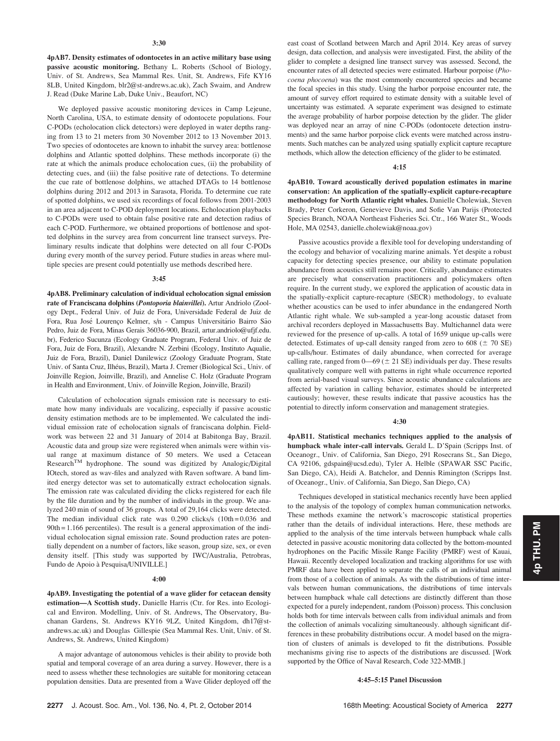4pAB7. Density estimates of odontocetes in an active military base using passive acoustic monitoring. Bethany L. Roberts (School of Biology, Univ. of St. Andrews, Sea Mammal Res. Unit, St. Andrews, Fife KY16 8LB, United Kingdom, blr2@st-andrews.ac.uk), Zach Swaim, and Andrew J. Read (Duke Marine Lab, Duke Univ., Beaufort, NC)

We deployed passive acoustic monitoring devices in Camp Lejeune, North Carolina, USA, to estimate density of odontocete populations. Four C-PODs (echolocation click detectors) were deployed in water depths ranging from 13 to 21 meters from 30 November 2012 to 13 November 2013. Two species of odontocetes are known to inhabit the survey area: bottlenose dolphins and Atlantic spotted dolphins. These methods incorporate (i) the rate at which the animals produce echolocation cues, (ii) the probability of detecting cues, and (iii) the false positive rate of detections. To determine the cue rate of bottlenose dolphins, we attached DTAGs to 14 bottlenose dolphins during 2012 and 2013 in Sarasota, Florida. To determine cue rate of spotted dolphins, we used six recordings of focal follows from 2001-2003 in an area adjacent to C-POD deployment locations. Echolocation playbacks to C-PODs were used to obtain false positive rate and detection radius of each C-POD. Furthermore, we obtained proportions of bottlenose and spotted dolphins in the survey area from concurrent line transect surveys. Preliminary results indicate that dolphins were detected on all four C-PODs during every month of the survey period. Future studies in areas where multiple species are present could potentially use methods described here.

#### 3:45

4pAB8. Preliminary calculation of individual echolocation signal emission rate of Franciscana dolphins (Pontoporia blainvillei). Artur Andriolo (Zoology Dept., Federal Univ. of Juiz de Fora, Universidade Federal de Juiz de Fora, Rua José Lourenço Kelmer, s/n - Campus Universitário Bairro São Pedro, Juiz de Fora, Minas Gerais 36036-900, Brazil, artur.andriolo@ufjf.edu. br), Federico Sucunza (Ecology Graduate Program, Federal Univ. of Juiz de Fora, Juiz de Fora, Brazil), Alexandre N. Zerbini (Ecology, Instituto Aqualie, Juiz de Fora, Brazil), Daniel Danilewicz (Zoology Graduate Program, State Univ. of Santa Cruz, Ilhéus, Brazil), Marta J. Cremer (Biological Sci., Univ. of Joinville Region, Joinville, Brazil), and Annelise C. Holz (Graduate Program in Health and Environment, Univ. of Joinville Region, Joinville, Brazil)

Calculation of echolocation signals emission rate is necessary to estimate how many individuals are vocalizing, especially if passive acoustic density estimation methods are to be implemented. We calculated the individual emission rate of echolocation signals of franciscana dolphin. Fieldwork was between 22 and 31 January of 2014 at Babitonga Bay, Brazil. Acoustic data and group size were registered when animals were within visual range at maximum distance of 50 meters. We used a Cetacean ResearchTM hydrophone. The sound was digitized by Analogic/Digital IOtech, stored as wav-files and analyzed with Raven software. A band limited energy detector was set to automatically extract echolocation signals. The emission rate was calculated dividing the clicks registered for each file by the file duration and by the number of individuals in the group. We analyzed 240 min of sound of 36 groups. A total of 29,164 clicks were detected. The median individual click rate was  $0.290$  clicks/s  $(10th = 0.036$  and 90th = 1.166 percentiles). The result is a general approximation of the individual echolocation signal emission rate. Sound production rates are potentially dependent on a number of factors, like season, group size, sex, or even density itself. [This study was supported by IWC/Australia, Petrobras, Fundo de Apoio à Pesquisa/UNIVILLE.]

## 4:00

4pAB9. Investigating the potential of a wave glider for cetacean density estimation—A Scottish study. Danielle Harris (Ctr. for Res. into Ecological and Environ. Modelling, Univ. of St. Andrews, The Observatory, Buchanan Gardens, St. Andrews KY16 9LZ, United Kingdom, dh17@standrews.ac.uk) and Douglas Gillespie (Sea Mammal Res. Unit, Univ. of St. Andrews, St. Andrews, United Kingdom)

A major advantage of autonomous vehicles is their ability to provide both spatial and temporal coverage of an area during a survey. However, there is a need to assess whether these technologies are suitable for monitoring cetacean population densities. Data are presented from a Wave Glider deployed off the east coast of Scotland between March and April 2014. Key areas of survey design, data collection, and analysis were investigated. First, the ability of the glider to complete a designed line transect survey was assessed. Second, the encounter rates of all detected species were estimated. Harbour porpoise (Phocoena phocoena) was the most commonly encountered species and became the focal species in this study. Using the harbor porpoise encounter rate, the amount of survey effort required to estimate density with a suitable level of uncertainty was estimated. A separate experiment was designed to estimate the average probability of harbor porpoise detection by the glider. The glider was deployed near an array of nine C-PODs (odontocete detection instruments) and the same harbor porpoise click events were matched across instruments. Such matches can be analyzed using spatially explicit capture recapture methods, which allow the detection efficiency of the glider to be estimated.

#### 4:15

4pAB10. Toward acoustically derived population estimates in marine conservation: An application of the spatially-explicit capture-recapture methodology for North Atlantic right whales. Danielle Cholewiak, Steven Brady, Peter Corkeron, Genevieve Davis, and Sofie Van Parijs (Protected Species Branch, NOAA Northeast Fisheries Sci. Ctr., 166 Water St., Woods Hole, MA 02543, danielle.cholewiak@noaa.gov)

Passive acoustics provide a flexible tool for developing understanding of the ecology and behavior of vocalizing marine animals. Yet despite a robust capacity for detecting species presence, our ability to estimate population abundance from acoustics still remains poor. Critically, abundance estimates are precisely what conservation practitioners and policymakers often require. In the current study, we explored the application of acoustic data in the spatially-explicit capture-recapture (SECR) methodology, to evaluate whether acoustics can be used to infer abundance in the endangered North Atlantic right whale. We sub-sampled a year-long acoustic dataset from archival recorders deployed in Massachusetts Bay. Multichannel data were reviewed for the presence of up-calls. A total of 1659 unique up-calls were detected. Estimates of up-call density ranged from zero to  $608 (\pm 70 \text{ SE})$ up-calls/hour. Estimates of daily abundance, when corrected for average calling rate, ranged from  $0$ —69 ( $\pm$  21 SE) individuals per day. These results qualitatively compare well with patterns in right whale occurrence reported from aerial-based visual surveys. Since acoustic abundance calculations are affected by variation in calling behavior, estimates should be interpreted cautiously; however, these results indicate that passive acoustics has the potential to directly inform conservation and management strategies.

#### 4:30

4pAB11. Statistical mechanics techniques applied to the analysis of humpback whale inter-call intervals. Gerald L. D'Spain (Scripps Inst. of Oceanogr., Univ. of California, San Diego, 291 Rosecrans St., San Diego, CA 92106, gdspain@ucsd.edu), Tyler A. Helble (SPAWAR SSC Pacific, San Diego, CA), Heidi A. Batchelor, and Dennis Rimington (Scripps Inst. of Oceanogr., Univ. of California, San Diego, San Diego, CA)

Techniques developed in statistical mechanics recently have been applied to the analysis of the topology of complex human communication networks. These methods examine the network's macroscopic statistical properties rather than the details of individual interactions. Here, these methods are applied to the analysis of the time intervals between humpback whale calls detected in passive acoustic monitoring data collected by the bottom-mounted hydrophones on the Pacific Missile Range Facility (PMRF) west of Kauai, Hawaii. Recently developed localization and tracking algorithms for use with PMRF data have been applied to separate the calls of an individual animal from those of a collection of animals. As with the distributions of time intervals between human communications, the distributions of time intervals between humpback whale call detections are distinctly different than those expected for a purely independent, random (Poisson) process. This conclusion holds both for time intervals between calls from individual animals and from the collection of animals vocalizing simultaneously. although significant differences in these probability distributions occur. A model based on the migration of clusters of animals is developed to fit the distributions. Possible mechanisms giving rise to aspects of the distributions are discussed. [Work supported by the Office of Naval Research, Code 322-MMB.]

## 4:45–5:15 Panel Discussion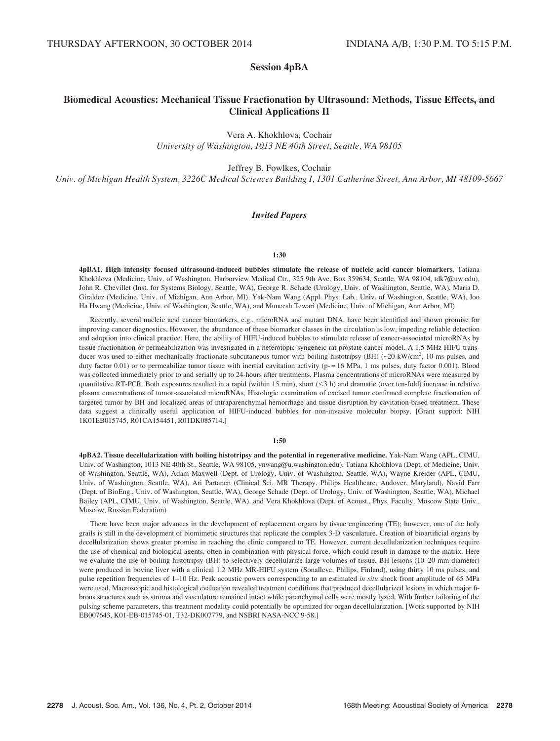# Session 4pBA

# Biomedical Acoustics: Mechanical Tissue Fractionation by Ultrasound: Methods, Tissue Effects, and Clinical Applications II

Vera A. Khokhlova, Cochair University of Washington, 1013 NE 40th Street, Seattle, WA 98105

Jeffrey B. Fowlkes, Cochair

Univ. of Michigan Health System, 3226C Medical Sciences Building I, 1301 Catherine Street, Ann Arbor, MI 48109-5667

## Invited Papers

## 1:30

4pBA1. High intensity focused ultrasound-induced bubbles stimulate the release of nucleic acid cancer biomarkers. Tatiana Khokhlova (Medicine, Univ. of Washington, Harborview Medical Ctr., 325 9th Ave. Box 359634, Seattle, WA 98104, tdk7@uw.edu), John R. Chevillet (Inst. for Systems Biology, Seattle, WA), George R. Schade (Urology, Univ. of Washington, Seattle, WA), Maria D. Giraldez (Medicine, Univ. of Michigan, Ann Arbor, MI), Yak-Nam Wang (Appl. Phys. Lab., Univ. of Washington, Seattle, WA), Joo Ha Hwang (Medicine, Univ. of Washington, Seattle, WA), and Muneesh Tewari (Medicine, Univ. of Michigan, Ann Arbor, MI)

Recently, several nucleic acid cancer biomarkers, e.g., microRNA and mutant DNA, have been identified and shown promise for improving cancer diagnostics. However, the abundance of these biomarker classes in the circulation is low, impeding reliable detection and adoption into clinical practice. Here, the ability of HIFU-induced bubbles to stimulate release of cancer-associated microRNAs by tissue fractionation or permeabilization was investigated in a heterotopic syngeneic rat prostate cancer model. A 1.5 MHz HIFU transducer was used to either mechanically fractionate subcutaneous tumor with boiling histotripsy (BH)  $(-20 \text{ kW/cm}^2, 10 \text{ ms pulses},$  and duty factor 0.01) or to permeabilize tumor tissue with inertial cavitation activity (p-=16 MPa, 1 ms pulses, duty factor 0.001). Blood was collected immediately prior to and serially up to 24-hours after treatments. Plasma concentrations of microRNAs were measured by quantitative RT-PCR. Both exposures resulted in a rapid (within 15 min), short  $(\leq 3$  h) and dramatic (over ten-fold) increase in relative plasma concentrations of tumor-associated microRNAs, Histologic examination of excised tumor confirmed complete fractionation of targeted tumor by BH and localized areas of intraparenchymal hemorrhage and tissue disruption by cavitation-based treatment. These data suggest a clinically useful application of HIFU-induced bubbles for non-invasive molecular biopsy. [Grant support: NIH 1K01EB015745, R01CA154451, R01DK085714.]

## 1:50

4pBA2. Tissue decellularization with boiling histotripsy and the potential in regenerative medicine. Yak-Nam Wang (APL, CIMU, Univ. of Washington, 1013 NE 40th St., Seattle, WA 98105, ynwang@u.washington.edu), Tatiana Khokhlova (Dept. of Medicine, Univ. of Washington, Seattle, WA), Adam Maxwell (Dept. of Urology, Univ. of Washington, Seattle, WA), Wayne Kreider (APL, CIMU, Univ. of Washington, Seattle, WA), Ari Partanen (Clinical Sci. MR Therapy, Philips Healthcare, Andover, Maryland), Navid Farr (Dept. of BioEng., Univ. of Washington, Seattle, WA), George Schade (Dept. of Urology, Univ. of Washington, Seattle, WA), Michael Bailey (APL, CIMU, Univ. of Washington, Seattle, WA), and Vera Khokhlova (Dept. of Acoust., Phys. Faculty, Moscow State Univ., Moscow, Russian Federation)

There have been major advances in the development of replacement organs by tissue engineering (TE); however, one of the holy grails is still in the development of biomimetic structures that replicate the complex 3-D vasculature. Creation of bioartificial organs by decellularization shows greater promise in reaching the clinic compared to TE. However, current decellularization techniques require the use of chemical and biological agents, often in combination with physical force, which could result in damage to the matrix. Here we evaluate the use of boiling histotripsy (BH) to selectively decellularize large volumes of tissue. BH lesions (10–20 mm diameter) were produced in bovine liver with a clinical 1.2 MHz MR-HIFU system (Sonalleve, Philips, Finland), using thirty 10 ms pulses, and pulse repetition frequencies of 1–10 Hz. Peak acoustic powers corresponding to an estimated in situ shock front amplitude of 65 MPa were used. Macroscopic and histological evaluation revealed treatment conditions that produced decellularized lesions in which major fibrous structures such as stroma and vasculature remained intact while parenchymal cells were mostly lyzed. With further tailoring of the pulsing scheme parameters, this treatment modality could potentially be optimized for organ decellularization. [Work supported by NIH EB007643, K01-EB-015745-01, T32-DK007779, and NSBRI NASA-NCC 9-58.]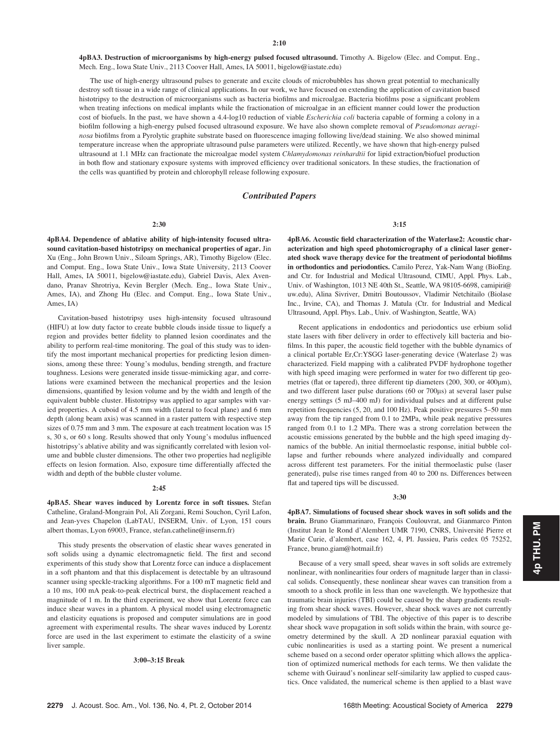4pBA3. Destruction of microorganisms by high-energy pulsed focused ultrasound. Timothy A. Bigelow (Elec. and Comput. Eng., Mech. Eng., Iowa State Univ., 2113 Coover Hall, Ames, IA 50011, bigelow@iastate.edu)

The use of high-energy ultrasound pulses to generate and excite clouds of microbubbles has shown great potential to mechanically destroy soft tissue in a wide range of clinical applications. In our work, we have focused on extending the application of cavitation based histotripsy to the destruction of microorganisms such as bacteria biofilms and microalgae. Bacteria biofilms pose a significant problem when treating infections on medical implants while the fractionation of microalgae in an efficient manner could lower the production cost of biofuels. In the past, we have shown a 4.4-log10 reduction of viable *Escherichia coli* bacteria capable of forming a colony in a biofilm following a high-energy pulsed focused ultrasound exposure. We have also shown complete removal of Pseudomonas aeruginosa biofilms from a Pyrolytic graphite substrate based on fluorescence imaging following live/dead staining. We also showed minimal temperature increase when the appropriate ultrasound pulse parameters were utilized. Recently, we have shown that high-energy pulsed ultrasound at 1.1 MHz can fractionate the microalgae model system Chlamydomonas reinhardtii for lipid extraction/biofuel production in both flow and stationary exposure systems with improved efficiency over traditional sonicators. In these studies, the fractionation of the cells was quantified by protein and chlorophyll release following exposure.

#### Contributed Papers

#### 2:30

4pBA4. Dependence of ablative ability of high-intensity focused ultrasound cavitation-based histotripsy on mechanical properties of agar. Jin Xu (Eng., John Brown Univ., Siloam Springs, AR), Timothy Bigelow (Elec. and Comput. Eng., Iowa State Univ., Iowa State University, 2113 Coover Hall, Ames, IA 50011, bigelow@iastate.edu), Gabriel Davis, Alex Avendano, Pranav Shrotriya, Kevin Bergler (Mech. Eng., Iowa State Univ., Ames, IA), and Zhong Hu (Elec. and Comput. Eng., Iowa State Univ., Ames, IA)

Cavitation-based histotripsy uses high-intensity focused ultrasound (HIFU) at low duty factor to create bubble clouds inside tissue to liquefy a region and provides better fidelity to planned lesion coordinates and the ability to perform real-time monitoring. The goal of this study was to identify the most important mechanical properties for predicting lesion dimensions, among these three: Young's modulus, bending strength, and fracture toughness. Lesions were generated inside tissue-mimicking agar, and correlations were examined between the mechanical properties and the lesion dimensions, quantified by lesion volume and by the width and length of the equivalent bubble cluster. Histotripsy was applied to agar samples with varied properties. A cuboid of 4.5 mm width (lateral to focal plane) and 6 mm depth (along beam axis) was scanned in a raster pattern with respective step sizes of 0.75 mm and 3 mm. The exposure at each treatment location was 15 s, 30 s, or 60 s long. Results showed that only Young's modulus influenced histotripsy's ablative ability and was significantly correlated with lesion volume and bubble cluster dimensions. The other two properties had negligible effects on lesion formation. Also, exposure time differentially affected the width and depth of the bubble cluster volume.

#### 2:45

4pBA5. Shear waves induced by Lorentz force in soft tissues. Stefan Catheline, Graland-Mongrain Pol, Ali Zorgani, Remi Souchon, Cyril Lafon, and Jean-yves Chapelon (LabTAU, INSERM, Univ. of Lyon, 151 cours albert thomas, Lyon 69003, France, stefan.catheline@inserm.fr)

This study presents the observation of elastic shear waves generated in soft solids using a dynamic electromagnetic field. The first and second experiments of this study show that Lorentz force can induce a displacement in a soft phantom and that this displacement is detectable by an ultrasound scanner using speckle-tracking algorithms. For a 100 mT magnetic field and a 10 ms, 100 mA peak-to-peak electrical burst, the displacement reached a magnitude of 1 m. In the third experiment, we show that Lorentz force can induce shear waves in a phantom. A physical model using electromagnetic and elasticity equations is proposed and computer simulations are in good agreement with experimental results. The shear waves induced by Lorentz force are used in the last experiment to estimate the elasticity of a swine liver sample.

#### 3:00–3:15 Break

3:15

4pBA6. Acoustic field characterization of the Waterlase2: Acoustic characterization and high speed photomicrography of a clinical laser generated shock wave therapy device for the treatment of periodontal biofilms in orthodontics and periodontics. Camilo Perez, Yak-Nam Wang (BioEng. and Ctr. for Industrial and Medical Ultrasound, CIMU, Appl. Phys. Lab., Univ. of Washington, 1013 NE 40th St., Seattle, WA 98105-6698, camipiri@ uw.edu), Alina Sivriver, Dmitri Boutoussov, Vladimir Netchitailo (Biolase Inc., Irvine, CA), and Thomas J. Matula (Ctr. for Industrial and Medical Ultrasound, Appl. Phys. Lab., Univ. of Washington, Seattle, WA)

Recent applications in endodontics and periodontics use erbium solid state lasers with fiber delivery in order to effectively kill bacteria and biofilms. In this paper, the acoustic field together with the bubble dynamics of a clinical portable Er,Cr:YSGG laser-generating device (Waterlase 2) was characterized. Field mapping with a calibrated PVDF hydrophone together with high speed imaging were performed in water for two different tip geometries (flat or tapered), three different tip diameters (200, 300, or 400 $\mu$ m), and two different laser pulse durations  $(60 \text{ or } 700 \mu s)$  at several laser pulse energy settings (5 mJ–400 mJ) for individual pulses and at different pulse repetition frequencies (5, 20, and 100 Hz). Peak positive pressures 5–50 mm away from the tip ranged from 0.1 to 2MPa, while peak negative pressures ranged from 0.1 to 1.2 MPa. There was a strong correlation between the acoustic emissions generated by the bubble and the high speed imaging dynamics of the bubble. An initial thermoelastic response, initial bubble collapse and further rebounds where analyzed individually and compared across different test parameters. For the initial thermoelastic pulse (laser generated), pulse rise times ranged from 40 to 200 ns. Differences between flat and tapered tips will be discussed.

## 3:30

4pBA7. Simulations of focused shear shock waves in soft solids and the brain. Bruno Giammarinaro, François Coulouvrat, and Gianmarco Pinton (Institut Jean le Rond d'Alembert UMR 7190, CNRS, Université Pierre et Marie Curie, d'alembert, case 162, 4, Pl. Jussieu, Paris cedex 05 75252, France, bruno.giam@hotmail.fr)

Because of a very small speed, shear waves in soft solids are extremely nonlinear, with nonlinearities four orders of magnitude larger than in classical solids. Consequently, these nonlinear shear waves can transition from a smooth to a shock profile in less than one wavelength. We hypothesize that traumatic brain injuries (TBI) could be caused by the sharp gradients resulting from shear shock waves. However, shear shock waves are not currently modeled by simulations of TBI. The objective of this paper is to describe shear shock wave propagation in soft solids within the brain, with source geometry determined by the skull. A 2D nonlinear paraxial equation with cubic nonlinearities is used as a starting point. We present a numerical scheme based on a second order operator splitting which allows the application of optimized numerical methods for each terms. We then validate the scheme with Guiraud's nonlinear self-similarity law applied to cusped caustics. Once validated, the numerical scheme is then applied to a blast wave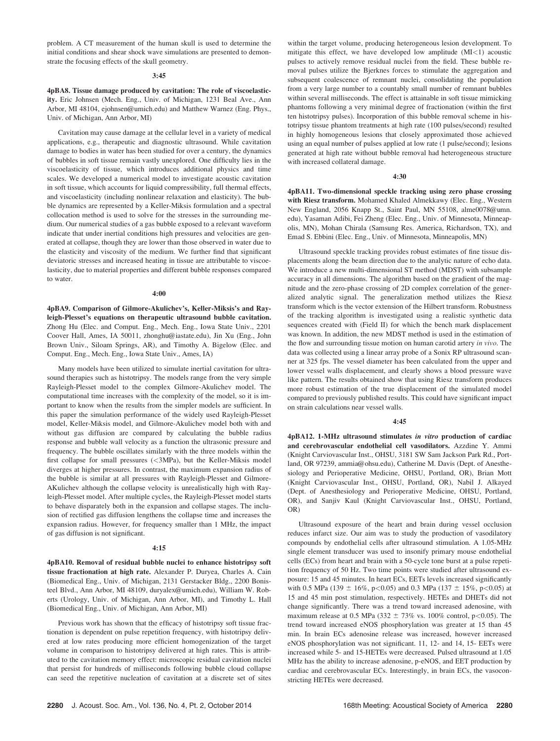problem. A CT measurement of the human skull is used to determine the initial conditions and shear shock wave simulations are presented to demonstrate the focusing effects of the skull geometry.

#### 3:45

4pBA8. Tissue damage produced by cavitation: The role of viscoelasticity. Eric Johnsen (Mech. Eng., Univ. of Michigan, 1231 Beal Ave., Ann Arbor, MI 48104, ejohnsen@umich.edu) and Matthew Warnez (Eng. Phys., Univ. of Michigan, Ann Arbor, MI)

Cavitation may cause damage at the cellular level in a variety of medical applications, e.g., therapeutic and diagnostic ultrasound. While cavitation damage to bodies in water has been studied for over a century, the dynamics of bubbles in soft tissue remain vastly unexplored. One difficulty lies in the viscoelasticity of tissue, which introduces additional physics and time scales. We developed a numerical model to investigate acoustic cavitation in soft tissue, which accounts for liquid compressibility, full thermal effects, and viscoelasticity (including nonlinear relaxation and elasticity). The bubble dynamics are represented by a Keller-Miksis formulation and a spectral collocation method is used to solve for the stresses in the surrounding medium. Our numerical studies of a gas bubble exposed to a relevant waveform indicate that under inertial conditions high pressures and velocities are generated at collapse, though they are lower than those observed in water due to the elasticity and viscosity of the medium. We further find that significant deviatoric stresses and increased heating in tissue are attributable to viscoelasticity, due to material properties and different bubble responses compared to water.

#### 4:00

4pBA9. Comparison of Gilmore-Akulichev's, Keller-Miksis's and Rayleigh-Plesset's equations on therapeutic ultrasound bubble cavitation. Zhong Hu (Elec. and Comput. Eng., Mech. Eng., Iowa State Univ., 2201 Coover Hall, Ames, IA 50011, zhonghu@iastate.edu), Jin Xu (Eng., John Brown Univ., Siloam Springs, AR), and Timothy A. Bigelow (Elec. and Comput. Eng., Mech. Eng., Iowa State Univ., Ames, IA)

Many models have been utilized to simulate inertial cavitation for ultrasound therapies such as histotripsy. The models range from the very simple Rayleigh-Plesset model to the complex Gilmore-Akulichev model. The computational time increases with the complexity of the model, so it is important to know when the results from the simpler models are sufficient. In this paper the simulation performance of the widely used Rayleigh-Plesset model, Keller-Miksis model, and Gilmore-Akulichev model both with and without gas diffusion are compared by calculating the bubble radius response and bubble wall velocity as a function the ultrasonic pressure and frequency. The bubble oscillates similarly with the three models within the first collapse for small pressures (<3MPa), but the Keller-Miksis model diverges at higher pressures. In contrast, the maximum expansion radius of the bubble is similar at all pressures with Rayleigh-Plesset and Gilmore-AKulichev although the collapse velocity is unrealistically high with Rayleigh-Plesset model. After multiple cycles, the Rayleigh-Plesset model starts to behave disparately both in the expansion and collapse stages. The inclusion of rectified gas diffusion lengthens the collapse time and increases the expansion radius. However, for frequency smaller than 1 MHz, the impact of gas diffusion is not significant.

#### 4:15

4pBA10. Removal of residual bubble nuclei to enhance histotripsy soft tissue fractionation at high rate. Alexander P. Duryea, Charles A. Cain (Biomedical Eng., Univ. of Michigan, 2131 Gerstacker Bldg., 2200 Bonisteel Blvd., Ann Arbor, MI 48109, duryalex@umich.edu), William W. Roberts (Urology, Univ. of Michigan, Ann Arbor, MI), and Timothy L. Hall (Biomedical Eng., Univ. of Michigan, Ann Arbor, MI)

Previous work has shown that the efficacy of histotripsy soft tissue fractionation is dependent on pulse repetition frequency, with histotripsy delivered at low rates producing more efficient homogenization of the target volume in comparison to histotripsy delivered at high rates. This is attributed to the cavitation memory effect: microscopic residual cavitation nuclei that persist for hundreds of milliseconds following bubble cloud collapse can seed the repetitive nucleation of cavitation at a discrete set of sites within the target volume, producing heterogeneous lesion development. To mitigate this effect, we have developed low amplitude  $(MI<1)$  acoustic pulses to actively remove residual nuclei from the field. These bubble removal pulses utilize the Bjerknes forces to stimulate the aggregation and subsequent coalescence of remnant nuclei, consolidating the population from a very large number to a countably small number of remnant bubbles within several milliseconds. The effect is attainable in soft tissue mimicking phantoms following a very minimal degree of fractionation (within the first ten histotripsy pulses). Incorporation of this bubble removal scheme in histotripsy tissue phantom treatments at high rate (100 pulses/second) resulted in highly homogeneous lesions that closely approximated those achieved using an equal number of pulses applied at low rate (1 pulse/second); lesions generated at high rate without bubble removal had heterogeneous structure with increased collateral damage.

## 4:30

4pBA11. Two-dimensional speckle tracking using zero phase crossing with Riesz transform. Mohamed Khaled Almekkawy (Elec. Eng., Western New England, 2056 Knapp St., Saint Paul, MN 55108, alme0078@umn. edu), Yasaman Adibi, Fei Zheng (Elec. Eng., Univ. of Minnesota, Minneapolis, MN), Mohan Chirala (Samsung Res. America, Richardson, TX), and Emad S. Ebbini (Elec. Eng., Univ. of Minnesota, Minneapolis, MN)

Ultrasound speckle tracking provides robust estimates of fine tissue displacements along the beam direction due to the analytic nature of echo data. We introduce a new multi-dimensional ST method (MDST) with subsample accuracy in all dimensions. The algorithm based on the gradient of the magnitude and the zero-phase crossing of 2D complex correlation of the generalized analytic signal. The generalization method utilizes the Riesz transform which is the vector extension of the Hilbert transform. Robustness of the tracking algorithm is investigated using a realistic synthetic data sequences created with (Field II) for which the bench mark displacement was known. In addition, the new MDST method is used in the estimation of the flow and surrounding tissue motion on human carotid artery in vivo. The data was collected using a linear array probe of a Sonix RP ultrasound scanner at 325 fps. The vessel diameter has been calculated from the upper and lower vessel walls displacement, and clearly shows a blood pressure wave like pattern. The results obtained show that using Riesz transform produces more robust estimation of the true displacement of the simulated model compared to previously published results. This could have significant impact on strain calculations near vessel walls.

#### 4:45

4pBA12. 1-MHz ultrasound stimulates in vitro production of cardiac and cerebrovascular endothelial cell vasodilators. Azzdine Y. Ammi (Knight Carviovascular Inst., OHSU, 3181 SW Sam Jackson Park Rd., Portland, OR 97239, ammia@ohsu.edu), Catherine M. Davis (Dept. of Anesthesiology and Perioperative Medicine, OHSU, Portland, OR), Brian Mott (Knight Carviovascular Inst., OHSU, Portland, OR), Nabil J. Alkayed (Dept. of Anesthesiology and Perioperative Medicine, OHSU, Portland, OR), and Sanjiv Kaul (Knight Carviovascular Inst., OHSU, Portland, OR)

Ultrasound exposure of the heart and brain during vessel occlusion reduces infarct size. Our aim was to study the production of vasodilatory compounds by endothelial cells after ultrasound stimulation. A 1.05-MHz single element transducer was used to insonify primary mouse endothelial cells (ECs) from heart and brain with a 50-cycle tone burst at a pulse repetition frequency of 50 Hz. Two time points were studied after ultrasound exposure: 15 and 45 minutes. In heart ECs, EETs levels increased significantly with 0.5 MPa (139  $\pm$  16%, p<0.05) and 0.3 MPa (137  $\pm$  15%, p<0.05) at 15 and 45 min post stimulation, respectively. HETEs and DHETs did not change significantly. There was a trend toward increased adenosine, with maximum release at 0.5 MPa (332  $\pm$  73% vs. 100% control, p<0.05). The trend toward increased eNOS phosphorylation was greater at 15 than 45 min. In brain ECs adenosine release was increased, however increased eNOS phosphorylation was not significant. 11, 12- and 14, 15- EETs were increased while 5- and 15-HETEs were decreased. Pulsed ultrasound at 1.05 MHz has the ability to increase adenosine, p-eNOS, and EET production by cardiac and cerebrovascular ECs. Interestingly, in brain ECs, the vasoconstricting HETEs were decreased.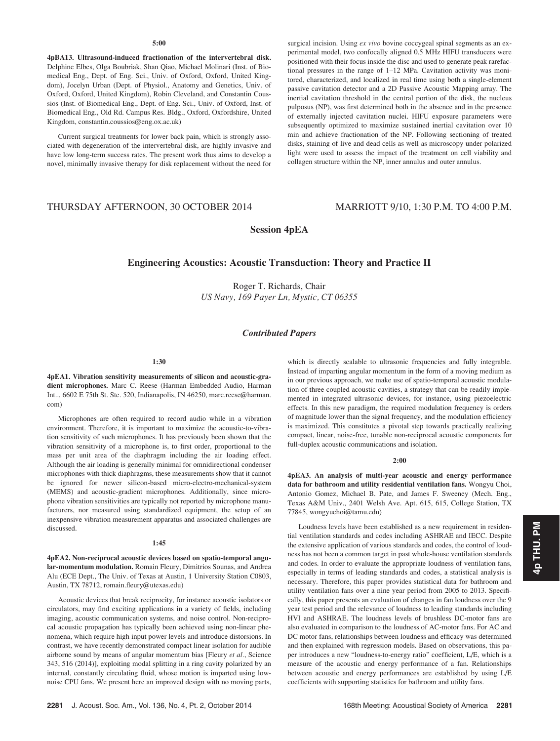## 5:00

4pBA13. Ultrasound-induced fractionation of the intervertebral disk. Delphine Elbes, Olga Boubriak, Shan Qiao, Michael Molinari (Inst. of Biomedical Eng., Dept. of Eng. Sci., Univ. of Oxford, Oxford, United Kingdom), Jocelyn Urban (Dept. of Physiol., Anatomy and Genetics, Univ. of Oxford, Oxford, United Kingdom), Robin Cleveland, and Constantin Coussios (Inst. of Biomedical Eng., Dept. of Eng. Sci., Univ. of Oxford, Inst. of Biomedical Eng., Old Rd. Campus Res. Bldg., Oxford, Oxfordshire, United Kingdom, constantin.coussios@eng.ox.ac.uk)

Current surgical treatments for lower back pain, which is strongly associated with degeneration of the intervertebral disk, are highly invasive and have low long-term success rates. The present work thus aims to develop a novel, minimally invasive therapy for disk replacement without the need for surgical incision. Using ex vivo bovine coccygeal spinal segments as an experimental model, two confocally aligned 0.5 MHz HIFU transducers were positioned with their focus inside the disc and used to generate peak rarefactional pressures in the range of 1–12 MPa. Cavitation activity was monitored, characterized, and localized in real time using both a single-element passive cavitation detector and a 2D Passive Acoustic Mapping array. The inertial cavitation threshold in the central portion of the disk, the nucleus pulposus (NP), was first determined both in the absence and in the presence of externally injected cavitation nuclei. HIFU exposure parameters were subsequently optimized to maximize sustained inertial cavitation over 10 min and achieve fractionation of the NP. Following sectioning of treated disks, staining of live and dead cells as well as microscopy under polarized light were used to assess the impact of the treatment on cell viability and collagen structure within the NP, inner annulus and outer annulus.

# THURSDAY AFTERNOON, 30 OCTOBER 2014 MARRIOTT 9/10, 1:30 P.M. TO 4:00 P.M.

Session 4pEA

## Engineering Acoustics: Acoustic Transduction: Theory and Practice II

Roger T. Richards, Chair US Navy, 169 Payer Ln, Mystic, CT 06355

## Contributed Papers

### 1:30

4pEA1. Vibration sensitivity measurements of silicon and acoustic-gradient microphones. Marc C. Reese (Harman Embedded Audio, Harman Int.., 6602 E 75th St. Ste. 520, Indianapolis, IN 46250, marc.reese@harman. com)

Microphones are often required to record audio while in a vibration environment. Therefore, it is important to maximize the acoustic-to-vibration sensitivity of such microphones. It has previously been shown that the vibration sensitivity of a microphone is, to first order, proportional to the mass per unit area of the diaphragm including the air loading effect. Although the air loading is generally minimal for omnidirectional condenser microphones with thick diaphragms, these measurements show that it cannot be ignored for newer silicon-based micro-electro-mechanical-system (MEMS) and acoustic-gradient microphones. Additionally, since microphone vibration sensitivities are typically not reported by microphone manufacturers, nor measured using standardized equipment, the setup of an inexpensive vibration measurement apparatus and associated challenges are discussed.

#### 1:45

4pEA2. Non-reciprocal acoustic devices based on spatio-temporal angular-momentum modulation. Romain Fleury, Dimitrios Sounas, and Andrea Alu (ECE Dept., The Univ. of Texas at Austin, 1 University Station C0803, Austin, TX 78712, romain.fleury@utexas.edu)

Acoustic devices that break reciprocity, for instance acoustic isolators or circulators, may find exciting applications in a variety of fields, including imaging, acoustic communication systems, and noise control. Non-reciprocal acoustic propagation has typically been achieved using non-linear phenomena, which require high input power levels and introduce distorsions. In contrast, we have recently demonstrated compact linear isolation for audible airborne sound by means of angular momentum bias [Fleury et al., Science 343, 516 (2014)], exploiting modal splitting in a ring cavity polarized by an internal, constantly circulating fluid, whose motion is imparted using lownoise CPU fans. We present here an improved design with no moving parts, which is directly scalable to ultrasonic frequencies and fully integrable. Instead of imparting angular momentum in the form of a moving medium as in our previous approach, we make use of spatio-temporal acoustic modulation of three coupled acoustic cavities, a strategy that can be readily implemented in integrated ultrasonic devices, for instance, using piezoelectric effects. In this new paradigm, the required modulation frequency is orders of magnitude lower than the signal frequency, and the modulation efficiency is maximized. This constitutes a pivotal step towards practically realizing compact, linear, noise-free, tunable non-reciprocal acoustic components for full-duplex acoustic communications and isolation.

### 2:00

4pEA3. An analysis of multi-year acoustic and energy performance data for bathroom and utility residential ventilation fans. Wongyu Choi, Antonio Gomez, Michael B. Pate, and James F. Sweeney (Mech. Eng., Texas A&M Univ., 2401 Welsh Ave. Apt. 615, 615, College Station, TX 77845, wongyuchoi@tamu.edu)

Loudness levels have been established as a new requirement in residential ventilation standards and codes including ASHRAE and IECC. Despite the extensive application of various standards and codes, the control of loudness has not been a common target in past whole-house ventilation standards and codes. In order to evaluate the appropriate loudness of ventilation fans, especially in terms of leading standards and codes, a statistical analysis is necessary. Therefore, this paper provides statistical data for bathroom and utility ventilation fans over a nine year period from 2005 to 2013. Specifically, this paper presents an evaluation of changes in fan loudness over the 9 year test period and the relevance of loudness to leading standards including HVI and ASHRAE. The loudness levels of brushless DC-motor fans are also evaluated in comparison to the loudness of AC-motor fans. For AC and DC motor fans, relationships between loudness and efficacy was determined and then explained with regression models. Based on observations, this paper introduces a new "loudness-to-energy ratio" coefficient, L/E, which is a measure of the acoustic and energy performance of a fan. Relationships between acoustic and energy performances are established by using L/E coefficients with supporting statistics for bathroom and utility fans.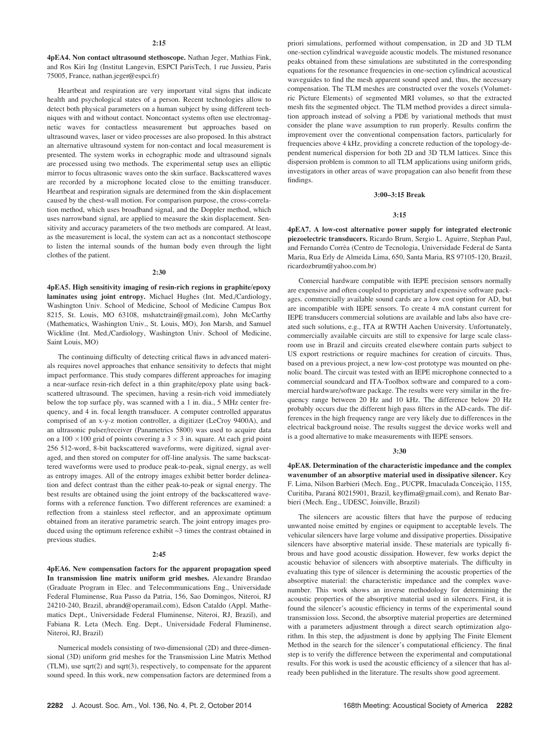4pEA4. Non contact ultrasound stethoscope. Nathan Jeger, Mathias Fink, and Ros Kiri Ing (Institut Langevin, ESPCI ParisTech, 1 rue Jussieu, Paris 75005, France, nathan.jeger@espci.fr)

Heartbeat and respiration are very important vital signs that indicate health and psychological states of a person. Recent technologies allow to detect both physical parameters on a human subject by using different techniques with and without contact. Noncontact systems often use electromagnetic waves for contactless measurement but approaches based on ultrasound waves, laser or video processes are also proposed. In this abstract an alternative ultrasound system for non-contact and local measurement is presented. The system works in echographic mode and ultrasound signals are processed using two methods. The experimental setup uses an elliptic mirror to focus ultrasonic waves onto the skin surface. Backscattered waves are recorded by a microphone located close to the emitting transducer. Heartbeat and respiration signals are determined from the skin displacement caused by the chest-wall motion. For comparison purpose, the cross-correlation method, which uses broadband signal, and the Doppler method, which uses narrowband signal, are applied to measure the skin displacement. Sensitivity and accuracy parameters of the two methods are compared. At least, as the measurement is local, the system can act as a noncontact stethoscope to listen the internal sounds of the human body even through the light clothes of the patient.

#### 2:30

4pEA5. High sensitivity imaging of resin-rich regions in graphite/epoxy laminates using joint entropy. Michael Hughes (Int. Med./Cardiology, Washington Univ. School of Medicine, School of Medicine Campus Box 8215, St. Louis, MO 63108, mshatctrain@gmail.com), John McCarthy (Mathematics, Washington Univ., St. Louis, MO), Jon Marsh, and Samuel Wickline (Int. Med./Cardiology, Washington Univ. School of Medicine, Saint Louis, MO)

The continuing difficulty of detecting critical flaws in advanced materials requires novel approaches that enhance sensitivity to defects that might impact performance. This study compares different approaches for imaging a near-surface resin-rich defect in a thin graphite/epoxy plate using backscattered ultrasound. The specimen, having a resin-rich void immediately below the top surface ply, was scanned with a 1 in. dia., 5 MHz center frequency, and 4 in. focal length transducer. A computer controlled apparatus comprised of an x-y-z motion controller, a digitizer (LeCroy 9400A), and an ultrasonic pulser/receiver (Panametrics 5800) was used to acquire data on a 100  $\times$ 100 grid of points covering a 3  $\times$  3 in. square. At each grid point 256 512-word, 8-bit backscattered waveforms, were digitized, signal averaged, and then stored on computer for off-line analysis. The same backscattered waveforms were used to produce peak-to-peak, signal energy, as well as entropy images. All of the entropy images exhibit better border delineation and defect contrast than the either peak-to-peak or signal energy. The best results are obtained using the joint entropy of the backscattered waveforms with a reference function. Two different references are examined: a reflection from a stainless steel reflector, and an approximate optimum obtained from an iterative parametric search. The joint entropy images produced using the optimum reference exhibit ~3 times the contrast obtained in previous studies.

#### 2:45

4pEA6. New compensation factors for the apparent propagation speed In transmission line matrix uniform grid meshes. Alexandre Brandao (Graduate Program in Elec. and Telecommunications Eng., Universidade Federal Fluminense, Rua Passo da Patria, 156, Sao Domingos, Niteroi, RJ 24210-240, Brazil, abrand@operamail.com), Edson Cataldo (Appl. Mathematics Dept., Universidade Federal Fluminense, Niteroi, RJ, Brazil), and Fabiana R. Leta (Mech. Eng. Dept., Universidade Federal Fluminense, Niteroi, RJ, Brazil)

Numerical models consisting of two-dimensional (2D) and three-dimensional (3D) uniform grid meshes for the Transmission Line Matrix Method (TLM), use sqrt(2) and sqrt(3), respectively, to compensate for the apparent sound speed. In this work, new compensation factors are determined from a priori simulations, performed without compensation, in 2D and 3D TLM one-section cylindrical waveguide acoustic models. The mistuned resonance peaks obtained from these simulations are substituted in the corresponding equations for the resonance frequencies in one-section cylindrical acoustical waveguides to find the mesh apparent sound speed and, thus, the necessary compensation. The TLM meshes are constructed over the voxels (Volumetric Picture Elements) of segmented MRI volumes, so that the extracted mesh fits the segmented object. The TLM method provides a direct simulation approach instead of solving a PDE by variational methods that must consider the plane wave assumption to run properly. Results confirm the improvement over the conventional compensation factors, particularly for frequencies above 4 kHz, providing a concrete reduction of the topology-dependent numerical dispersion for both 2D and 3D TLM lattices. Since this dispersion problem is common to all TLM applications using uniform grids, investigators in other areas of wave propagation can also benefit from these findings.

#### 3:00–3:15 Break

#### 3:15

4pEA7. A low-cost alternative power supply for integrated electronic piezoelectric transducers. Ricardo Brum, Sergio L. Aguirre, Stephan Paul, and Fernando Corrêa (Centro de Tecnologia, Universidade Federal de Santa Maria, Rua Erly de Almeida Lima, 650, Santa Maria, RS 97105-120, Brazil, ricardozbrum@yahoo.com.br)

Comercial hardware compatible with IEPE precision sensors normally are expensive and often coupled to proprietary and expensive software packages. commercially available sound cards are a low cost option for AD, but are incompatible with IEPE sensors. To create 4 mA constant current for IEPE transducers commercial solutions are available and labs also have created such solutions, e.g., ITA at RWTH Aachen University. Unfortunately, commercially available circuits are still to expensive for large scale classroom use in Brazil and circuits created elsewhere contain parts subject to US export restrictions or require machines for creation of circuits. Thus, based on a previous project, a new low-cost prototype was mounted on phenolic board. The circuit was tested with an IEPE microphone connected to a commercial soundcard and ITA-Toolbox software and compared to a commercial hardware/software package. The results were very similar in the frequency range between 20 Hz and 10 kHz. The difference below 20 Hz probably occurs due the different high pass filters in the AD-cards. The differences in the high frequency range are very likely due to differences in the electrical background noise. The results suggest the device works well and is a good alternative to make measurements with IEPE sensors.

#### 3:30

4pEA8. Determination of the characteristic impedance and the complex wavenumber of an absorptive material used in dissipative silencer. Key F. Lima, Nilson Barbieri (Mech. Eng., PUCPR, Imaculada Conceição, 1155, Curitiba, Paraná 80215901, Brazil, keyflima@gmail.com), and Renato Barbieri (Mech. Eng., UDESC, Joinville, Brazil)

The silencers are acoustic filters that have the purpose of reducing unwanted noise emitted by engines or equipment to acceptable levels. The vehicular silencers have large volume and dissipative properties. Dissipative silencers have absorptive material inside. These materials are typically fibrous and have good acoustic dissipation. However, few works depict the acoustic behavior of silencers with absorptive materials. The difficulty in evaluating this type of silencer is determining the acoustic properties of the absorptive material: the characteristic impedance and the complex wavenumber. This work shows an inverse methodology for determining the acoustic properties of the absorptive material used in silencers. First, it is found the silencer's acoustic efficiency in terms of the experimental sound transmission loss. Second, the absorptive material properties are determined with a parameters adjustment through a direct search optimization algorithm. In this step, the adjustment is done by applying The Finite Element Method in the search for the silencer's computational efficiency. The final step is to verify the difference between the experimental and computational results. For this work is used the acoustic efficiency of a silencer that has already been published in the literature. The results show good agreement.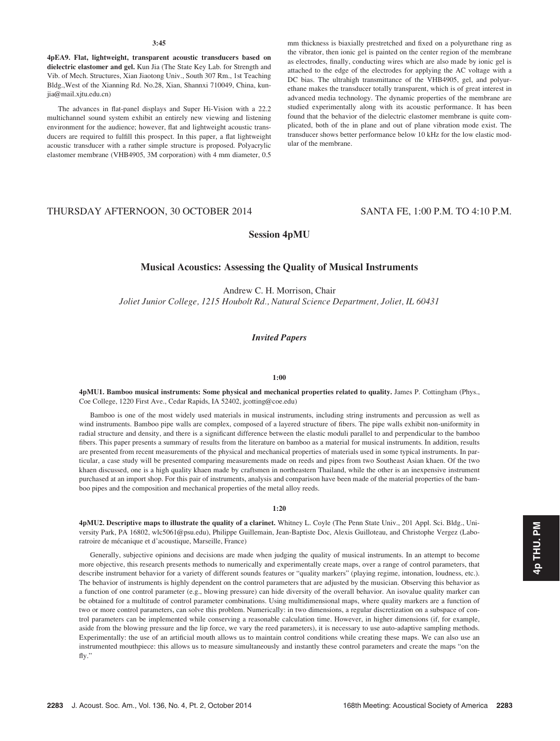#### 3:45

4pEA9. Flat, lightweight, transparent acoustic transducers based on dielectric elastomer and gel. Kun Jia (The State Key Lab. for Strength and Vib. of Mech. Structures, Xian Jiaotong Univ., South 307 Rm., 1st Teaching Bldg.,West of the Xianning Rd. No.28, Xian, Shannxi 710049, China, kunjia@mail.xjtu.edu.cn)

The advances in flat-panel displays and Super Hi-Vision with a 22.2 multichannel sound system exhibit an entirely new viewing and listening environment for the audience; however, flat and lightweight acoustic transducers are required to fulfill this prospect. In this paper, a flat lightweight acoustic transducer with a rather simple structure is proposed. Polyacrylic elastomer membrane (VHB4905, 3M corporation) with 4 mm diameter, 0.5 mm thickness is biaxially prestretched and fixed on a polyurethane ring as the vibrator, then ionic gel is painted on the center region of the membrane as electrodes, finally, conducting wires which are also made by ionic gel is attached to the edge of the electrodes for applying the AC voltage with a DC bias. The ultrahigh transmittance of the VHB4905, gel, and polyurethane makes the transducer totally transparent, which is of great interest in advanced media technology. The dynamic properties of the membrane are studied experimentally along with its acoustic performance. It has been found that the behavior of the dielectric elastomer membrane is quite complicated, both of the in plane and out of plane vibration mode exist. The transducer shows better performance below 10 kHz for the low elastic modular of the membrane.

# THURSDAY AFTERNOON, 30 OCTOBER 2014 SANTA FE, 1:00 P.M. TO 4:10 P.M.

## Session 4pMU

# Musical Acoustics: Assessing the Quality of Musical Instruments

Andrew C. H. Morrison, Chair Joliet Junior College, 1215 Houbolt Rd., Natural Science Department, Joliet, IL 60431

## Invited Papers

#### 1:00

4pMU1. Bamboo musical instruments: Some physical and mechanical properties related to quality. James P. Cottingham (Phys., Coe College, 1220 First Ave., Cedar Rapids, IA 52402, jcotting@coe.edu)

Bamboo is one of the most widely used materials in musical instruments, including string instruments and percussion as well as wind instruments. Bamboo pipe walls are complex, composed of a layered structure of fibers. The pipe walls exhibit non-uniformity in radial structure and density, and there is a significant difference between the elastic moduli parallel to and perpendicular to the bamboo fibers. This paper presents a summary of results from the literature on bamboo as a material for musical instruments. In addition, results are presented from recent measurements of the physical and mechanical properties of materials used in some typical instruments. In particular, a case study will be presented comparing measurements made on reeds and pipes from two Southeast Asian khaen. Of the two khaen discussed, one is a high quality khaen made by craftsmen in northeastern Thailand, while the other is an inexpensive instrument purchased at an import shop. For this pair of instruments, analysis and comparison have been made of the material properties of the bamboo pipes and the composition and mechanical properties of the metal alloy reeds.

#### 1:20

4pMU2. Descriptive maps to illustrate the quality of a clarinet. Whitney L. Coyle (The Penn State Univ., 201 Appl. Sci. Bldg., University Park, PA 16802, wlc5061@psu.edu), Philippe Guillemain, Jean-Baptiste Doc, Alexis Guilloteau, and Christophe Vergez (Laboratroire de mécanique et d'acoustique, Marseille, France)

Generally, subjective opinions and decisions are made when judging the quality of musical instruments. In an attempt to become more objective, this research presents methods to numerically and experimentally create maps, over a range of control parameters, that describe instrument behavior for a variety of different sounds features or "quality markers" (playing regime, intonation, loudness, etc.). The behavior of instruments is highly dependent on the control parameters that are adjusted by the musician. Observing this behavior as a function of one control parameter (e.g., blowing pressure) can hide diversity of the overall behavior. An isovalue quality marker can be obtained for a multitude of control parameter combinations. Using multidimensional maps, where quality markers are a function of two or more control parameters, can solve this problem. Numerically: in two dimensions, a regular discretization on a subspace of control parameters can be implemented while conserving a reasonable calculation time. However, in higher dimensions (if, for example, aside from the blowing pressure and the lip force, we vary the reed parameters), it is necessary to use auto-adaptive sampling methods. Experimentally: the use of an artificial mouth allows us to maintain control conditions while creating these maps. We can also use an instrumented mouthpiece: this allows us to measure simultaneously and instantly these control parameters and create the maps "on the fly."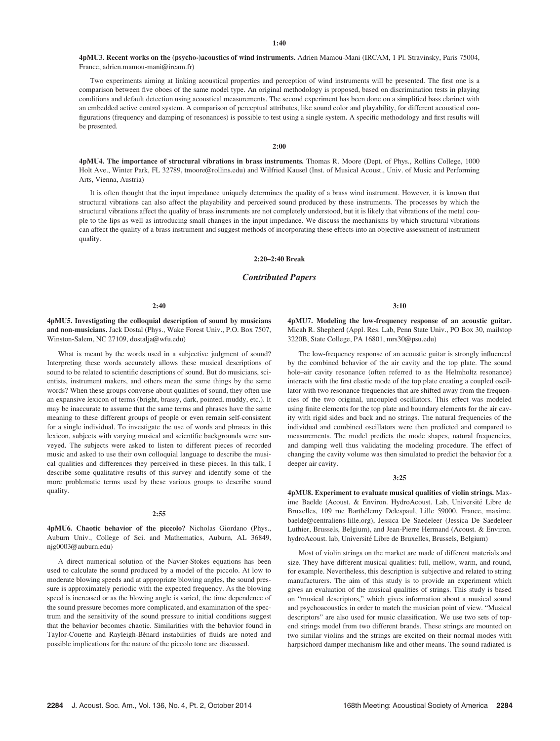4pMU3. Recent works on the (psycho-)acoustics of wind instruments. Adrien Mamou-Mani (IRCAM, 1 Pl. Stravinsky, Paris 75004, France, adrien.mamou-mani@ircam.fr)

Two experiments aiming at linking acoustical properties and perception of wind instruments will be presented. The first one is a comparison between five oboes of the same model type. An original methodology is proposed, based on discrimination tests in playing conditions and default detection using acoustical measurements. The second experiment has been done on a simplified bass clarinet with an embedded active control system. A comparison of perceptual attributes, like sound color and playability, for different acoustical configurations (frequency and damping of resonances) is possible to test using a single system. A specific methodology and first results will be presented.

4pMU4. The importance of structural vibrations in brass instruments. Thomas R. Moore (Dept. of Phys., Rollins College, 1000 Holt Ave., Winter Park, FL 32789, tmoore@rollins.edu) and Wilfried Kausel (Inst. of Musical Acoust., Univ. of Music and Performing Arts, Vienna, Austria)

2:00

It is often thought that the input impedance uniquely determines the quality of a brass wind instrument. However, it is known that structural vibrations can also affect the playability and perceived sound produced by these instruments. The processes by which the structural vibrations affect the quality of brass instruments are not completely understood, but it is likely that vibrations of the metal couple to the lips as well as introducing small changes in the input impedance. We discuss the mechanisms by which structural vibrations can affect the quality of a brass instrument and suggest methods of incorporating these effects into an objective assessment of instrument quality.

#### 2:20–2:40 Break

## Contributed Papers

4pMU5. Investigating the colloquial description of sound by musicians and non-musicians. Jack Dostal (Phys., Wake Forest Univ., P.O. Box 7507, Winston-Salem, NC 27109, dostalja@wfu.edu)

What is meant by the words used in a subjective judgment of sound? Interpreting these words accurately allows these musical descriptions of sound to be related to scientific descriptions of sound. But do musicians, scientists, instrument makers, and others mean the same things by the same words? When these groups converse about qualities of sound, they often use an expansive lexicon of terms (bright, brassy, dark, pointed, muddy, etc.). It may be inaccurate to assume that the same terms and phrases have the same meaning to these different groups of people or even remain self-consistent for a single individual. To investigate the use of words and phrases in this lexicon, subjects with varying musical and scientific backgrounds were surveyed. The subjects were asked to listen to different pieces of recorded music and asked to use their own colloquial language to describe the musical qualities and differences they perceived in these pieces. In this talk, I describe some qualitative results of this survey and identify some of the more problematic terms used by these various groups to describe sound quality.

#### 2:55

4pMU6. Chaotic behavior of the piccolo? Nicholas Giordano (Phys., Auburn Univ., College of Sci. and Mathematics, Auburn, AL 36849, njg0003@auburn.edu)

A direct numerical solution of the Navier-Stokes equations has been used to calculate the sound produced by a model of the piccolo. At low to moderate blowing speeds and at appropriate blowing angles, the sound pressure is approximately periodic with the expected frequency. As the blowing speed is increased or as the blowing angle is varied, the time dependence of the sound pressure becomes more complicated, and examination of the spectrum and the sensitivity of the sound pressure to initial conditions suggest that the behavior becomes chaotic. Similarities with the behavior found in Taylor-Couette and Rayleigh-Bènard instabilities of fluids are noted and possible implications for the nature of the piccolo tone are discussed.

3:10

4pMU7. Modeling the low-frequency response of an acoustic guitar. Micah R. Shepherd (Appl. Res. Lab, Penn State Univ., PO Box 30, mailstop 3220B, State College, PA 16801, mrs30@psu.edu)

The low-frequency response of an acoustic guitar is strongly influenced by the combined behavior of the air cavity and the top plate. The sound hole–air cavity resonance (often referred to as the Helmholtz resonance) interacts with the first elastic mode of the top plate creating a coupled oscillator with two resonance frequencies that are shifted away from the frequencies of the two original, uncoupled oscillators. This effect was modeled using finite elements for the top plate and boundary elements for the air cavity with rigid sides and back and no strings. The natural frequencies of the individual and combined oscillators were then predicted and compared to measurements. The model predicts the mode shapes, natural frequencies, and damping well thus validating the modeling procedure. The effect of changing the cavity volume was then simulated to predict the behavior for a deeper air cavity.

#### 3:25

4pMU8. Experiment to evaluate musical qualities of violin strings. Maxime Baelde (Acoust. & Environ. HydroAcoust. Lab, Université Libre de Bruxelles, 109 rue Barthélemy Delespaul, Lille 59000, France, maxime. baelde@centraliens-lille.org), Jessica De Saedeleer (Jessica De Saedeleer Luthier, Brussels, Belgium), and Jean-Pierre Hermand (Acoust. & Environ. hydroAcoust. lab, Université Libre de Bruxelles, Brussels, Belgium)

Most of violin strings on the market are made of different materials and size. They have different musical qualities: full, mellow, warm, and round, for example. Nevertheless, this description is subjective and related to string manufacturers. The aim of this study is to provide an experiment which gives an evaluation of the musical qualities of strings. This study is based on "musical descriptors," which gives information about a musical sound and psychoacoustics in order to match the musician point of view. "Musical descriptors" are also used for music classification. We use two sets of topend strings model from two different brands. These strings are mounted on two similar violins and the strings are excited on their normal modes with harpsichord damper mechanism like and other means. The sound radiated is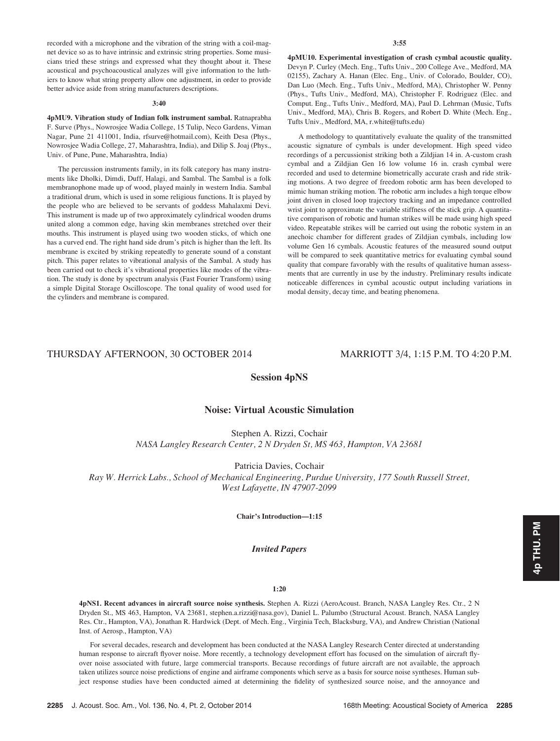recorded with a microphone and the vibration of the string with a coil-magnet device so as to have intrinsic and extrinsic string properties. Some musicians tried these strings and expressed what they thought about it. These acoustical and psychoacoustical analyzes will give information to the luthiers to know what string property allow one adjustment, in order to provide better advice aside from string manufacturers descriptions.

## 3:40

4pMU9. Vibration study of Indian folk instrument sambal. Ratnaprabha F. Surve (Phys., Nowrosjee Wadia College, 15 Tulip, Neco Gardens, Viman Nagar, Pune 21 411001, India, rfsurve@hotmail.com), Keith Desa (Phys., Nowrosjee Wadia College, 27, Maharashtra, India), and Dilip S. Joaj (Phys., Univ. of Pune, Pune, Maharashtra, India)

The percussion instruments family, in its folk category has many instruments like Dholki, Dimdi, Duff, Halagi, and Sambal. The Sambal is a folk membranophone made up of wood, played mainly in western India. Sambal a traditional drum, which is used in some religious functions. It is played by the people who are believed to be servants of goddess Mahalaxmi Devi. This instrument is made up of two approximately cylindrical wooden drums united along a common edge, having skin membranes stretched over their mouths. This instrument is played using two wooden sticks, of which one has a curved end. The right hand side drum's pitch is higher than the left. Its membrane is excited by striking repeatedly to generate sound of a constant pitch. This paper relates to vibrational analysis of the Sambal. A study has been carried out to check it's vibrational properties like modes of the vibration. The study is done by spectrum analysis (Fast Fourier Transform) using a simple Digital Storage Oscilloscope. The tonal quality of wood used for the cylinders and membrane is compared.

4pMU10. Experimental investigation of crash cymbal acoustic quality. Devyn P. Curley (Mech. Eng., Tufts Univ., 200 College Ave., Medford, MA 02155), Zachary A. Hanan (Elec. Eng., Univ. of Colorado, Boulder, CO), Dan Luo (Mech. Eng., Tufts Univ., Medford, MA), Christopher W. Penny (Phys., Tufts Univ., Medford, MA), Christopher F. Rodriguez (Elec. and Comput. Eng., Tufts Univ., Medford, MA), Paul D. Lehrman (Music, Tufts Univ., Medford, MA), Chris B. Rogers, and Robert D. White (Mech. Eng., Tufts Univ., Medford, MA, r.white@tufts.edu)

A methodology to quantitatively evaluate the quality of the transmitted acoustic signature of cymbals is under development. High speed video recordings of a percussionist striking both a Zildjian 14 in. A-custom crash cymbal and a Zildjian Gen 16 low volume 16 in. crash cymbal were recorded and used to determine biometrically accurate crash and ride striking motions. A two degree of freedom robotic arm has been developed to mimic human striking motion. The robotic arm includes a high torque elbow joint driven in closed loop trajectory tracking and an impedance controlled wrist joint to approximate the variable stiffness of the stick grip. A quantitative comparison of robotic and human strikes will be made using high speed video. Repeatable strikes will be carried out using the robotic system in an anechoic chamber for different grades of Zildjian cymbals, including low volume Gen 16 cymbals. Acoustic features of the measured sound output will be compared to seek quantitative metrics for evaluating cymbal sound quality that compare favorably with the results of qualitative human assessments that are currently in use by the industry. Preliminary results indicate noticeable differences in cymbal acoustic output including variations in modal density, decay time, and beating phenomena.

# THURSDAY AFTERNOON, 30 OCTOBER 2014 MARRIOTT 3/4, 1:15 P.M. TO 4:20 P.M.

# Session 4pNS

## Noise: Virtual Acoustic Simulation

Stephen A. Rizzi, Cochair NASA Langley Research Center, 2 N Dryden St, MS 463, Hampton, VA 23681

Patricia Davies, Cochair Ray W. Herrick Labs., School of Mechanical Engineering, Purdue University, 177 South Russell Street, West Lafayette, IN 47907-2099

Chair's Introduction—1:15

## Invited Papers

## 1:20

4pNS1. Recent advances in aircraft source noise synthesis. Stephen A. Rizzi (AeroAcoust. Branch, NASA Langley Res. Ctr., 2 N Dryden St., MS 463, Hampton, VA 23681, stephen.a.rizzi@nasa.gov), Daniel L. Palumbo (Structural Acoust. Branch, NASA Langley Res. Ctr., Hampton, VA), Jonathan R. Hardwick (Dept. of Mech. Eng., Virginia Tech, Blacksburg, VA), and Andrew Christian (National Inst. of Aerosp., Hampton, VA)

For several decades, research and development has been conducted at the NASA Langley Research Center directed at understanding human response to aircraft flyover noise. More recently, a technology development effort has focused on the simulation of aircraft flyover noise associated with future, large commercial transports. Because recordings of future aircraft are not available, the approach taken utilizes source noise predictions of engine and airframe components which serve as a basis for source noise syntheses. Human subject response studies have been conducted aimed at determining the fidelity of synthesized source noise, and the annoyance and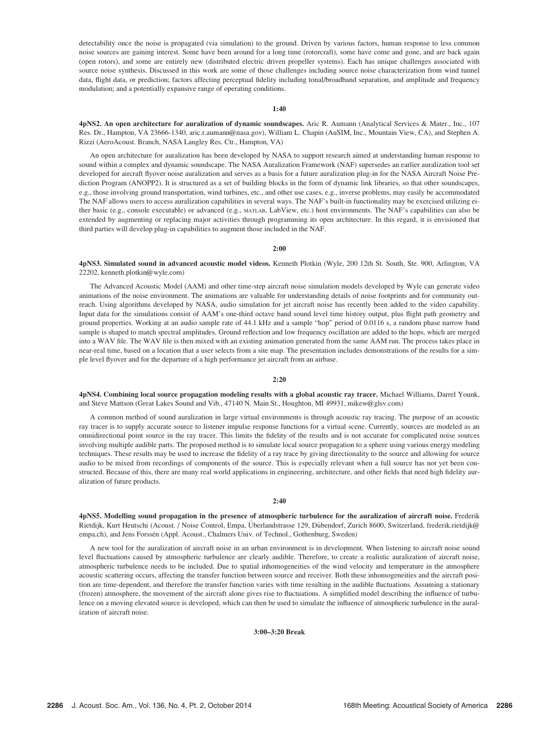detectability once the noise is propagated (via simulation) to the ground. Driven by various factors, human response to less common noise sources are gaining interest. Some have been around for a long time (rotorcraft), some have come and gone, and are back again (open rotors), and some are entirely new (distributed electric driven propeller systems). Each has unique challenges associated with source noise synthesis. Discussed in this work are some of those challenges including source noise characterization from wind tunnel data, flight data, or prediction; factors affecting perceptual fidelity including tonal/broadband separation, and amplitude and frequency modulation; and a potentially expansive range of operating conditions.

## 1:40

4pNS2. An open architecture for auralization of dynamic soundscapes. Aric R. Aumann (Analytical Services & Mater., Inc., 107 Res. Dr., Hampton, VA 23666-1340, aric.r.aumann@nasa.gov), William L. Chapin (AuSIM, Inc., Mountain View, CA), and Stephen A. Rizzi (AeroAcoust. Branch, NASA Langley Res. Ctr., Hampton, VA)

An open architecture for auralization has been developed by NASA to support research aimed at understanding human response to sound within a complex and dynamic soundscape. The NASA Auralization Framework (NAF) supersedes an earlier auralization tool set developed for aircraft flyover noise auralization and serves as a basis for a future auralization plug-in for the NASA Aircraft Noise Prediction Program (ANOPP2). It is structured as a set of building blocks in the form of dynamic link libraries, so that other soundscapes, e.g., those involving ground transportation, wind turbines, etc., and other use cases, e.g., inverse problems, may easily be accommodated The NAF allows users to access auralization capabilities in several ways. The NAF's built-in functionality may be exercised utilizing either basic (e.g., console executable) or advanced (e.g., MATLAB, LabView, etc.) host environments. The NAF's capabilities can also be extended by augmenting or replacing major activities through programming its open architecture. In this regard, it is envisioned that third parties will develop plug-in capabilities to augment those included in the NAF.

#### $2:00$

4pNS3. Simulated sound in advanced acoustic model videos. Kenneth Plotkin (Wyle, 200 12th St. South, Ste. 900, Arlington, VA 22202, kenneth.plotkin@wyle.com)

The Advanced Acoustic Model (AAM) and other time-step aircraft noise simulation models developed by Wyle can generate video animations of the noise environment. The animations are valuable for understanding details of noise footprints and for community outreach. Using algorithms developed by NASA, audio simulation for jet aircraft noise has recently been added to the video capability. Input data for the simulations consist of AAM's one-third octave band sound level time history output, plus flight path geometry and ground properties. Working at an audio sample rate of 44.1 kHz and a sample "hop" period of 0.0116 s, a random phase narrow band sample is shaped to match spectral amplitudes. Ground reflection and low frequency oscillation are added to the hops, which are merged into a WAV file. The WAV file is then mixed with an existing animation generated from the same AAM run. The process takes place in near-real time, based on a location that a user selects from a site map. The presentation includes demonstrations of the results for a simple level flyover and for the departure of a high performance jet aircraft from an airbase.

#### 2:20

4pNS4. Combining local source propagation modeling results with a global acoustic ray tracer. Michael Williams, Darrel Younk, and Steve Mattson (Great Lakes Sound and Vib., 47140 N. Main St., Houghton, MI 49931, mikew@glsv.com)

A common method of sound auralization in large virtual environments is through acoustic ray tracing. The purpose of an acoustic ray tracer is to supply accurate source to listener impulse response functions for a virtual scene. Currently, sources are modeled as an omnidirectional point source in the ray tracer. This limits the fidelity of the results and is not accurate for complicated noise sources involving multiple audible parts. The proposed method is to simulate local source propagation to a sphere using various energy modeling techniques. These results may be used to increase the fidelity of a ray trace by giving directionality to the source and allowing for source audio to be mixed from recordings of components of the source. This is especially relevant when a full source has not yet been constructed. Because of this, there are many real world applications in engineering, architecture, and other fields that need high fidelity auralization of future products.

#### 2:40

4pNS5. Modelling sound propagation in the presence of atmospheric turbulence for the auralization of aircraft noise. Frederik Rietdijk, Kurt Heutschi (Acoust. / Noise Control, Empa, Überlandstrasse 129, Dübendorf, Zurich 8600, Switzerland, frederik.rietdijk@ empa.ch), and Jens Forssén (Appl. Acoust., Chalmers Univ. of Technol., Gothenburg, Sweden)

A new tool for the auralization of aircraft noise in an urban environment is in development. When listening to aircraft noise sound level fluctuations caused by atmospheric turbulence are clearly audible. Therefore, to create a realistic auralization of aircraft noise, atmospheric turbulence needs to be included. Due to spatial inhomogeneities of the wind velocity and temperature in the atmosphere acoustic scattering occurs, affecting the transfer function between source and receiver. Both these inhomogeneities and the aircraft position are time-dependent, and therefore the transfer function varies with time resulting in the audible fluctuations. Assuming a stationary (frozen) atmosphere, the movement of the aircraft alone gives rise to fluctuations. A simplified model describing the influence of turbulence on a moving elevated source is developed, which can then be used to simulate the influence of atmospheric turbulence in the auralization of aircraft noise.

3:00–3:20 Break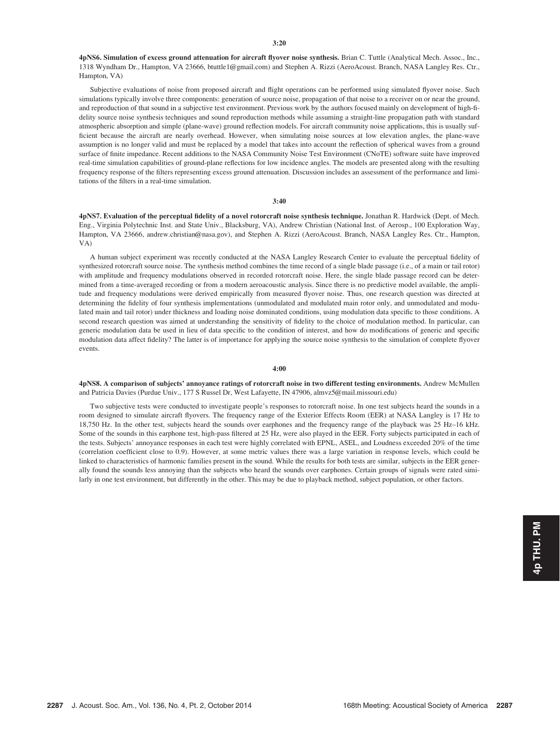4pNS6. Simulation of excess ground attenuation for aircraft flyover noise synthesis. Brian C. Tuttle (Analytical Mech. Assoc., Inc., 1318 Wyndham Dr., Hampton, VA 23666, btuttle1@gmail.com) and Stephen A. Rizzi (AeroAcoust. Branch, NASA Langley Res. Ctr., Hampton, VA)

Subjective evaluations of noise from proposed aircraft and flight operations can be performed using simulated flyover noise. Such simulations typically involve three components: generation of source noise, propagation of that noise to a receiver on or near the ground, and reproduction of that sound in a subjective test environment. Previous work by the authors focused mainly on development of high-fidelity source noise synthesis techniques and sound reproduction methods while assuming a straight-line propagation path with standard atmospheric absorption and simple (plane-wave) ground reflection models. For aircraft community noise applications, this is usually sufficient because the aircraft are nearly overhead. However, when simulating noise sources at low elevation angles, the plane-wave assumption is no longer valid and must be replaced by a model that takes into account the reflection of spherical waves from a ground surface of finite impedance. Recent additions to the NASA Community Noise Test Environment (CNoTE) software suite have improved real-time simulation capabilities of ground-plane reflections for low incidence angles. The models are presented along with the resulting frequency response of the filters representing excess ground attenuation. Discussion includes an assessment of the performance and limitations of the filters in a real-time simulation.

#### 3:40

4pNS7. Evaluation of the perceptual fidelity of a novel rotorcraft noise synthesis technique. Jonathan R. Hardwick (Dept. of Mech. Eng., Virginia Polytechnic Inst. and State Univ., Blacksburg, VA), Andrew Christian (National Inst. of Aerosp., 100 Exploration Way, Hampton, VA 23666, andrew.christian@nasa.gov), and Stephen A. Rizzi (AeroAcoust. Branch, NASA Langley Res. Ctr., Hampton, VA)

A human subject experiment was recently conducted at the NASA Langley Research Center to evaluate the perceptual fidelity of synthesized rotorcraft source noise. The synthesis method combines the time record of a single blade passage (i.e., of a main or tail rotor) with amplitude and frequency modulations observed in recorded rotorcraft noise. Here, the single blade passage record can be determined from a time-averaged recording or from a modern aeroacoustic analysis. Since there is no predictive model available, the amplitude and frequency modulations were derived empirically from measured flyover noise. Thus, one research question was directed at determining the fidelity of four synthesis implementations (unmodulated and modulated main rotor only, and unmodulated and modulated main and tail rotor) under thickness and loading noise dominated conditions, using modulation data specific to those conditions. A second research question was aimed at understanding the sensitivity of fidelity to the choice of modulation method. In particular, can generic modulation data be used in lieu of data specific to the condition of interest, and how do modifications of generic and specific modulation data affect fidelity? The latter is of importance for applying the source noise synthesis to the simulation of complete flyover events.

## 4:00

4pNS8. A comparison of subjects' annoyance ratings of rotorcraft noise in two different testing environments. Andrew McMullen and Patricia Davies (Purdue Univ., 177 S Russel Dr, West Lafayette, IN 47906, almvz5@mail.missouri.edu)

Two subjective tests were conducted to investigate people's responses to rotorcraft noise. In one test subjects heard the sounds in a room designed to simulate aircraft flyovers. The frequency range of the Exterior Effects Room (EER) at NASA Langley is 17 Hz to 18,750 Hz. In the other test, subjects heard the sounds over earphones and the frequency range of the playback was 25 Hz–16 kHz. Some of the sounds in this earphone test, high-pass filtered at 25 Hz, were also played in the EER. Forty subjects participated in each of the tests. Subjects' annoyance responses in each test were highly correlated with EPNL, ASEL, and Loudness exceeded 20% of the time (correlation coefficient close to 0.9). However, at some metric values there was a large variation in response levels, which could be linked to characteristics of harmonic families present in the sound. While the results for both tests are similar, subjects in the EER generally found the sounds less annoying than the subjects who heard the sounds over earphones. Certain groups of signals were rated similarly in one test environment, but differently in the other. This may be due to playback method, subject population, or other factors.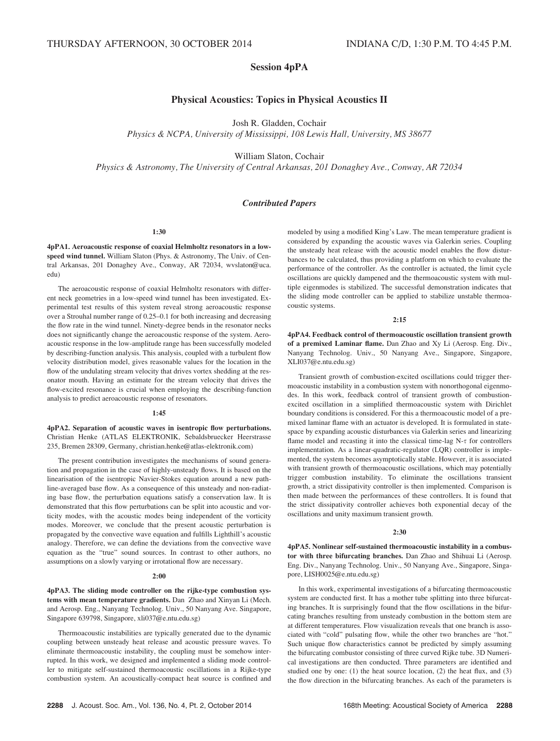# Session 4pPA

# Physical Acoustics: Topics in Physical Acoustics II

Josh R. Gladden, Cochair

Physics & NCPA, University of Mississippi, 108 Lewis Hall, University, MS 38677

William Slaton, Cochair

Physics & Astronomy, The University of Central Arkansas, 201 Donaghey Ave., Conway, AR 72034

## Contributed Papers

## 1:30

4pPA1. Aeroacoustic response of coaxial Helmholtz resonators in a lowspeed wind tunnel. William Slaton (Phys. & Astronomy, The Univ. of Central Arkansas, 201 Donaghey Ave., Conway, AR 72034, wvslaton@uca. edu)

The aeroacoustic response of coaxial Helmholtz resonators with different neck geometries in a low-speed wind tunnel has been investigated. Experimental test results of this system reveal strong aeroacoustic response over a Strouhal number range of 0.25–0.1 for both increasing and decreasing the flow rate in the wind tunnel. Ninety-degree bends in the resonator necks does not significantly change the aeroacoustic response of the system. Aeroacoustic response in the low-amplitude range has been successfully modeled by describing-function analysis. This analysis, coupled with a turbulent flow velocity distribution model, gives reasonable values for the location in the flow of the undulating stream velocity that drives vortex shedding at the resonator mouth. Having an estimate for the stream velocity that drives the flow-excited resonance is crucial when employing the describing-function analysis to predict aeroacoustic response of resonators.

#### 1:45

4pPA2. Separation of acoustic waves in isentropic flow perturbations. Christian Henke (ATLAS ELEKTRONIK, Sebaldsbruecker Heerstrasse 235, Bremen 28309, Germany, christian.henke@atlas-elektronik.com)

The present contribution investigates the mechanisms of sound generation and propagation in the case of highly-unsteady flows. It is based on the linearisation of the isentropic Navier-Stokes equation around a new pathline-averaged base flow. As a consequence of this unsteady and non-radiating base flow, the perturbation equations satisfy a conservation law. It is demonstrated that this flow perturbations can be split into acoustic and vorticity modes, with the acoustic modes being independent of the vorticity modes. Moreover, we conclude that the present acoustic perturbation is propagated by the convective wave equation and fulfills Lighthill's acoustic analogy. Therefore, we can define the deviations from the convective wave equation as the "true" sound sources. In contrast to other authors, no assumptions on a slowly varying or irrotational flow are necessary.

#### 2:00

4pPA3. The sliding mode controller on the rijke-type combustion systems with mean temperature gradients. Dan Zhao and Xinyan Li (Mech. and Aerosp. Eng., Nanyang Technolog. Univ., 50 Nanyang Ave. Singapore, Singapore 639798, Singapore, xli037@e.ntu.edu.sg)

Thermoacoustic instabilities are typically generated due to the dynamic coupling between unsteady heat release and acoustic pressure waves. To eliminate thermoacoustic instability, the coupling must be somehow interrupted. In this work, we designed and implemented a sliding mode controller to mitigate self-sustained thermoacoustic oscillations in a Rijke-type combustion system. An acoustically-compact heat source is confined and modeled by using a modified King's Law. The mean temperature gradient is considered by expanding the acoustic waves via Galerkin series. Coupling the unsteady heat release with the acoustic model enables the flow disturbances to be calculated, thus providing a platform on which to evaluate the performance of the controller. As the controller is actuated, the limit cycle oscillations are quickly dampened and the thermoacoustic system with multiple eigenmodes is stabilized. The successful demonstration indicates that the sliding mode controller can be applied to stabilize unstable thermoacoustic systems.

#### 2:15

4pPA4. Feedback control of thermoacoustic oscillation transient growth of a premixed Laminar flame. Dan Zhao and Xy Li (Aerosp. Eng. Div., Nanyang Technolog. Univ., 50 Nanyang Ave., Singapore, Singapore, XLI037@e.ntu.edu.sg)

Transient growth of combustion-excited oscillations could trigger thermoacoustic instability in a combustion system with nonorthogonal eigenmodes. In this work, feedback control of transient growth of combustionexcited oscillation in a simplified thermoacoustic system with Dirichlet boundary conditions is considered. For this a thermoacoustic model of a premixed laminar flame with an actuator is developed. It is formulated in statespace by expanding acoustic disturbances via Galerkin series and linearizing flame model and recasting it into the classical time-lag  $N-\tau$  for controllers implementation. As a linear-quadratic-regulator (LQR) controller is implemented, the system becomes asymptotically stable. However, it is associated with transient growth of thermoacoustic oscillations, which may potentially trigger combustion instability. To eliminate the oscillations transient growth, a strict dissipativity controller is then implemented. Comparison is then made between the performances of these controllers. It is found that the strict dissipativity controller achieves both exponential decay of the oscillations and unity maximum transient growth.

#### 2:30

4pPA5. Nonlinear self-sustained thermoacoustic instability in a combustor with three bifurcating branches. Dan Zhao and Shihuai Li (Aerosp. Eng. Div., Nanyang Technolog. Univ., 50 Nanyang Ave., Singapore, Singapore, LISH0025@e.ntu.edu.sg)

In this work, experimental investigations of a bifurcating thermoacoustic system are conducted first. It has a mother tube splitting into three bifurcating branches. It is surprisingly found that the flow oscillations in the bifurcating branches resulting from unsteady combustion in the bottom stem are at different temperatures. Flow visualization reveals that one branch is associated with "cold" pulsating flow, while the other two branches are "hot." Such unique flow characteristics cannot be predicted by simply assuming the bifurcating combustor consisting of three curved Rijke tube. 3D Numerical investigations are then conducted. Three parameters are identified and studied one by one: (1) the heat source location, (2) the heat flux, and (3) the flow direction in the bifurcating branches. As each of the parameters is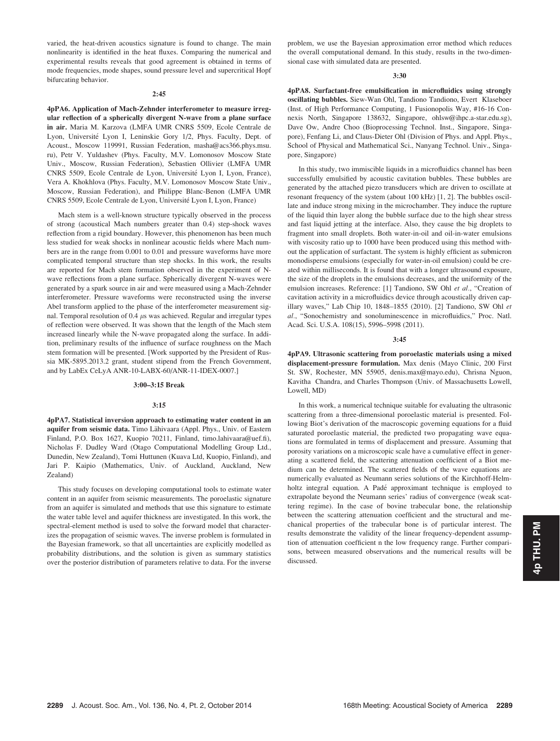varied, the heat-driven acoustics signature is found to change. The main nonlinearity is identified in the heat fluxes. Comparing the numerical and experimental results reveals that good agreement is obtained in terms of mode frequencies, mode shapes, sound pressure level and supercritical Hopf bifurcating behavior.

#### 2:45

4pPA6. Application of Mach-Zehnder interferometer to measure irregular reflection of a spherically divergent N-wave from a plane surface in air. Maria M. Karzova (LMFA UMR CNRS 5509, Ecole Centrale de Lyon, Université Lyon I, Leninskie Gory 1/2, Phys. Faculty, Dept. of Acoust., Moscow 119991, Russian Federation, masha@acs366.phys.msu. ru), Petr V. Yuldashev (Phys. Faculty, M.V. Lomonosov Moscow State Univ., Moscow, Russian Federation), Sebastien Ollivier (LMFA UMR CNRS 5509, Ecole Centrale de Lyon, Université Lyon I, Lyon, France), Vera A. Khokhlova (Phys. Faculty, M.V. Lomonosov Moscow State Univ., Moscow, Russian Federation), and Philippe Blanc-Benon (LMFA UMR CNRS 5509, Ecole Centrale de Lyon, Université Lyon I, Lyon, France)

Mach stem is a well-known structure typically observed in the process of strong (acoustical Mach numbers greater than 0.4) step-shock waves reflection from a rigid boundary. However, this phenomenon has been much less studied for weak shocks in nonlinear acoustic fields where Mach numbers are in the range from 0.001 to 0.01 and pressure waveforms have more complicated temporal structure than step shocks. In this work, the results are reported for Mach stem formation observed in the experiment of Nwave reflections from a plane surface. Spherically divergent N-waves were generated by a spark source in air and were measured using a Mach-Zehnder interferometer. Pressure waveforms were reconstructed using the inverse Abel transform applied to the phase of the interferometer measurement signal. Temporal resolution of 0.4  $\mu$ s was achieved. Regular and irregular types of reflection were observed. It was shown that the length of the Mach stem increased linearly while the N-wave propagated along the surface. In addition, preliminary results of the influence of surface roughness on the Mach stem formation will be presented. [Work supported by the President of Russia MK-5895.2013.2 grant, student stipend from the French Government, and by LabEx CeLyA ANR-10-LABX-60/ANR-11-IDEX-0007.]

## 3:00–3:15 Break

#### 3:15

4pPA7. Statistical inversion approach to estimating water content in an aquifer from seismic data. Timo Lähivaara (Appl. Phys., Univ. of Eastern Finland, P.O. Box 1627, Kuopio 70211, Finland, timo.lahivaara@uef.fi), Nicholas F. Dudley Ward (Otago Computational Modelling Group Ltd., Dunedin, New Zealand), Tomi Huttunen (Kuava Ltd, Kuopio, Finland), and Jari P. Kaipio (Mathematics, Univ. of Auckland, Auckland, New Zealand)

This study focuses on developing computational tools to estimate water content in an aquifer from seismic measurements. The poroelastic signature from an aquifer is simulated and methods that use this signature to estimate the water table level and aquifer thickness are investigated. In this work, the spectral-element method is used to solve the forward model that characterizes the propagation of seismic waves. The inverse problem is formulated in the Bayesian framework, so that all uncertainties are explicitly modelled as probability distributions, and the solution is given as summary statistics over the posterior distribution of parameters relative to data. For the inverse problem, we use the Bayesian approximation error method which reduces the overall computational demand. In this study, results in the two-dimensional case with simulated data are presented.

#### 3:30

4pPA8. Surfactant-free emulsification in microfluidics using strongly oscillating bubbles. Siew-Wan Ohl, Tandiono Tandiono, Evert Klaseboer (Inst. of High Performance Computing, 1 Fusionopolis Way, #16-16 Connexis North, Singapore 138632, Singapore, ohlsw@ihpc.a-star.edu.sg), Dave Ow, Andre Choo (Bioprocessing Technol. Inst., Singapore, Singapore), Fenfang Li, and Claus-Dieter Ohl (Division of Phys. and Appl. Phys., School of Physical and Mathematical Sci., Nanyang Technol. Univ., Singapore, Singapore)

In this study, two immiscible liquids in a microfluidics channel has been successfully emulsified by acoustic cavitation bubbles. These bubbles are generated by the attached piezo transducers which are driven to oscillate at resonant frequency of the system (about 100 kHz) [1, 2]. The bubbles oscillate and induce strong mixing in the microchamber. They induce the rupture of the liquid thin layer along the bubble surface due to the high shear stress and fast liquid jetting at the interface. Also, they cause the big droplets to fragment into small droplets. Both water-in-oil and oil-in-water emulsions with viscosity ratio up to 1000 have been produced using this method without the application of surfactant. The system is highly efficient as submicron monodisperse emulsions (especially for water-in-oil emulsion) could be created within milliseconds. It is found that with a longer ultrasound exposure, the size of the droplets in the emulsions decreases, and the uniformity of the emulsion increases. Reference: [1] Tandiono, SW Ohl et al., "Creation of cavitation activity in a microfluidics device through acoustically driven capillary waves," Lab Chip 10, 1848–1855 (2010). [2] Tandiono, SW Ohl et al., "Sonochemistry and sonoluminescence in microfluidics," Proc. Natl. Acad. Sci. U.S.A. 108(15), 5996–5998 (2011).

#### 3:45

4pPA9. Ultrasonic scattering from poroelastic materials using a mixed displacement-pressure formulation. Max denis (Mayo Clinic, 200 First St. SW, Rochester, MN 55905, denis.max@mayo.edu), Chrisna Nguon, Kavitha Chandra, and Charles Thompson (Univ. of Massachusetts Lowell, Lowell, MD)

In this work, a numerical technique suitable for evaluating the ultrasonic scattering from a three-dimensional poroelastic material is presented. Following Biot's derivation of the macroscopic governing equations for a fluid saturated poroelastic material, the predicted two propagating wave equations are formulated in terms of displacement and pressure. Assuming that porosity variations on a microscopic scale have a cumulative effect in generating a scattered field, the scattering attenuation coefficient of a Biot medium can be determined. The scattered fields of the wave equations are numerically evaluated as Neumann series solutions of the Kirchhoff-Helmholtz integral equation. A Padé approximant technique is employed to extrapolate beyond the Neumann series' radius of convergence (weak scattering regime). In the case of bovine trabecular bone, the relationship between the scattering attenuation coefficient and the structural and mechanical properties of the trabecular bone is of particular interest. The results demonstrate the validity of the linear frequency-dependent assumption of attenuation coefficient n the low frequency range. Further comparisons, between measured observations and the numerical results will be discussed.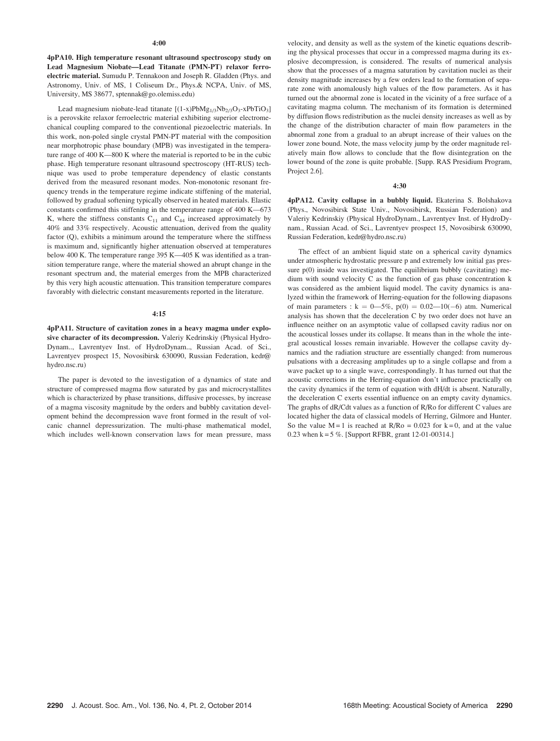4pPA10. High temperature resonant ultrasound spectroscopy study on Lead Magnesium Niobate—Lead Titanate (PMN-PT) relaxor ferroelectric material. Sumudu P. Tennakoon and Joseph R. Gladden (Phys. and Astronomy, Univ. of MS, 1 Coliseum Dr., Phys.& NCPA, Univ. of MS, University, MS 38677, sptennak@go.olemiss.edu)

Lead magnesium niobate-lead titanate  $[(1-x)PbMg_{1/3}Nb_{2/3}O_3-xPbTiO_3]$ is a perovskite relaxor ferroelectric material exhibiting superior electromechanical coupling compared to the conventional piezoelectric materials. In this work, non-poled single crystal PMN-PT material with the composition near morphotropic phase boundary (MPB) was investigated in the temperature range of 400 K—800 K where the material is reported to be in the cubic phase. High temperature resonant ultrasound spectroscopy (HT-RUS) technique was used to probe temperature dependency of elastic constants derived from the measured resonant modes. Non-monotonic resonant frequency trends in the temperature regime indicate stiffening of the material, followed by gradual softening typically observed in heated materials. Elastic constants confirmed this stiffening in the temperature range of 400 K—673 K, where the stiffness constants  $C_{11}$  and  $C_{44}$  increased approximately by 40% and 33% respectively. Acoustic attenuation, derived from the quality factor (Q), exhibits a minimum around the temperature where the stiffness is maximum and, significantly higher attenuation observed at temperatures below 400 K. The temperature range 395 K—405 K was identified as a transition temperature range, where the material showed an abrupt change in the resonant spectrum and, the material emerges from the MPB characterized by this very high acoustic attenuation. This transition temperature compares favorably with dielectric constant measurements reported in the literature.

#### 4:15

4pPA11. Structure of cavitation zones in a heavy magma under explosive character of its decompression. Valeriy Kedrinskiy (Physical Hydro-Dynam.., Lavrentyev Inst. of HydroDynam.., Russian Acad. of Sci., Lavrentyev prospect 15, Novosibirsk 630090, Russian Federation, kedr@ hydro.nsc.ru)

The paper is devoted to the investigation of a dynamics of state and structure of compressed magma flow saturated by gas and microcrystallites which is characterized by phase transitions, diffusive processes, by increase of a magma viscosity magnitude by the orders and bubbly cavitation development behind the decompression wave front formed in the result of volcanic channel depressurization. The multi-phase mathematical model, which includes well-known conservation laws for mean pressure, mass velocity, and density as well as the system of the kinetic equations describing the physical processes that occur in a compressed magma during its explosive decompression, is considered. The results of numerical analysis show that the processes of a magma saturation by cavitation nuclei as their density magnitude increases by a few orders lead to the formation of separate zone with anomalously high values of the flow parameters. As it has turned out the abnormal zone is located in the vicinity of a free surface of a cavitating magma column. The mechanism of its formation is determined by diffusion flows redistribution as the nuclei density increases as well as by the change of the distribution character of main flow parameters in the abnormal zone from a gradual to an abrupt increase of their values on the lower zone bound. Note, the mass velocity jump by the order magnitude relatively main flow allows to conclude that the flow disintegration on the lower bound of the zone is quite probable. [Supp. RAS Presidium Program, Project 2.6].

4:30

4pPA12. Cavity collapse in a bubbly liquid. Ekaterina S. Bolshakova (Phys., Novosibirsk State Univ., Novosibirsk, Russian Federation) and Valeriy Kedrinskiy (Physical HydroDynam., Lavrentyev Inst. of HydroDynam., Russian Acad. of Sci., Lavrentyev prospect 15, Novosibirsk 630090, Russian Federation, kedr@hydro.nsc.ru)

The effect of an ambient liquid state on a spherical cavity dynamics under atmospheric hydrostatic pressure p and extremely low initial gas pressure p(0) inside was investigated. The equilibrium bubbly (cavitating) medium with sound velocity C as the function of gas phase concentration k was considered as the ambient liquid model. The cavity dynamics is analyzed within the framework of Herring-equation for the following diapasons of main parameters :  $k = 0$ —5%,  $p(0) = 0.02$ —10(-6) atm. Numerical analysis has shown that the deceleration C by two order does not have an influence neither on an asymptotic value of collapsed cavity radius nor on the acoustical losses under its collapse. It means than in the whole the integral acoustical losses remain invariable. However the collapse cavity dynamics and the radiation structure are essentially changed: from numerous pulsations with a decreasing amplitudes up to a single collapse and from a wave packet up to a single wave, correspondingly. It has turned out that the acoustic corrections in the Herring-equation don't influence practically on the cavity dynamics if the term of equation with dH/dt is absent. Naturally, the deceleration C exerts essential influence on an empty cavity dynamics. The graphs of dR/Cdt values as a function of R/Ro for different C values are located higher the data of classical models of Herring, Gilmore and Hunter. So the value  $M = 1$  is reached at  $R/Ro = 0.023$  for  $k = 0$ , and at the value 0.23 when k = 5 %. [Support RFBR, grant 12-01-00314.]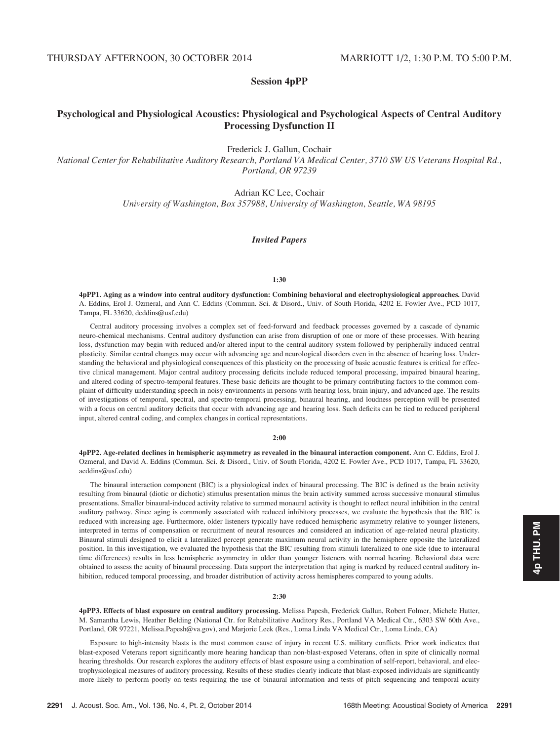# Session 4pPP

# Psychological and Physiological Acoustics: Physiological and Psychological Aspects of Central Auditory Processing Dysfunction II

Frederick J. Gallun, Cochair

National Center for Rehabilitative Auditory Research, Portland VA Medical Center, 3710 SW US Veterans Hospital Rd., Portland, OR 97239

Adrian KC Lee, Cochair

University of Washington, Box 357988, University of Washington, Seattle, WA 98195

## Invited Papers

## 1:30

4pPP1. Aging as a window into central auditory dysfunction: Combining behavioral and electrophysiological approaches. David A. Eddins, Erol J. Ozmeral, and Ann C. Eddins (Commun. Sci. & Disord., Univ. of South Florida, 4202 E. Fowler Ave., PCD 1017, Tampa, FL 33620, deddins@usf.edu)

Central auditory processing involves a complex set of feed-forward and feedback processes governed by a cascade of dynamic neuro-chemical mechanisms. Central auditory dysfunction can arise from disruption of one or more of these processes. With hearing loss, dysfunction may begin with reduced and/or altered input to the central auditory system followed by peripherally induced central plasticity. Similar central changes may occur with advancing age and neurological disorders even in the absence of hearing loss. Understanding the behavioral and physiological consequences of this plasticity on the processing of basic acoustic features is critical for effective clinical management. Major central auditory processing deficits include reduced temporal processing, impaired binaural hearing, and altered coding of spectro-temporal features. These basic deficits are thought to be primary contributing factors to the common complaint of difficulty understanding speech in noisy environments in persons with hearing loss, brain injury, and advanced age. The results of investigations of temporal, spectral, and spectro-temporal processing, binaural hearing, and loudness perception will be presented with a focus on central auditory deficits that occur with advancing age and hearing loss. Such deficits can be tied to reduced peripheral input, altered central coding, and complex changes in cortical representations.

## 2:00

4pPP2. Age-related declines in hemispheric asymmetry as revealed in the binaural interaction component. Ann C. Eddins, Erol J. Ozmeral, and David A. Eddins (Commun. Sci. & Disord., Univ. of South Florida, 4202 E. Fowler Ave., PCD 1017, Tampa, FL 33620, aeddins@usf.edu)

The binaural interaction component (BIC) is a physiological index of binaural processing. The BIC is defined as the brain activity resulting from binaural (diotic or dichotic) stimulus presentation minus the brain activity summed across successive monaural stimulus presentations. Smaller binaural-induced activity relative to summed monaural activity is thought to reflect neural inhibition in the central auditory pathway. Since aging is commonly associated with reduced inhibitory processes, we evaluate the hypothesis that the BIC is reduced with increasing age. Furthermore, older listeners typically have reduced hemispheric asymmetry relative to younger listeners, interpreted in terms of compensation or recruitment of neural resources and considered an indication of age-related neural plasticity. Binaural stimuli designed to elicit a lateralized percept generate maximum neural activity in the hemisphere opposite the lateralized position. In this investigation, we evaluated the hypothesis that the BIC resulting from stimuli lateralized to one side (due to interaural time differences) results in less hemispheric asymmetry in older than younger listeners with normal hearing. Behavioral data were obtained to assess the acuity of binaural processing. Data support the interpretation that aging is marked by reduced central auditory inhibition, reduced temporal processing, and broader distribution of activity across hemispheres compared to young adults.

#### 2:30

4pPP3. Effects of blast exposure on central auditory processing. Melissa Papesh, Frederick Gallun, Robert Folmer, Michele Hutter, M. Samantha Lewis, Heather Belding (National Ctr. for Rehabilitative Auditory Res., Portland VA Medical Ctr., 6303 SW 60th Ave., Portland, OR 97221, Melissa.Papesh@va.gov), and Marjorie Leek (Res., Loma Linda VA Medical Ctr., Loma Linda, CA)

Exposure to high-intensity blasts is the most common cause of injury in recent U.S. military conflicts. Prior work indicates that blast-exposed Veterans report significantly more hearing handicap than non-blast-exposed Veterans, often in spite of clinically normal hearing thresholds. Our research explores the auditory effects of blast exposure using a combination of self-report, behavioral, and electrophysiological measures of auditory processing. Results of these studies clearly indicate that blast-exposed individuals are significantly more likely to perform poorly on tests requiring the use of binaural information and tests of pitch sequencing and temporal acuity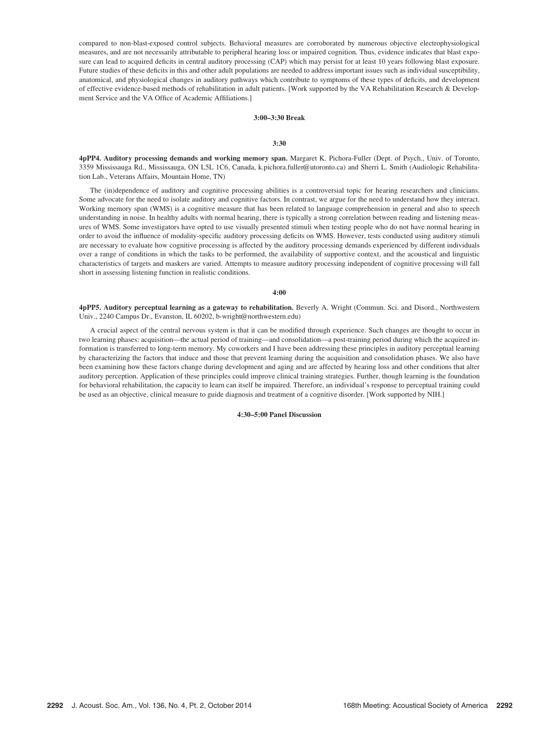compared to non-blast-exposed control subjects. Behavioral measures are corroborated by numerous objective electrophysiological measures, and are not necessarily attributable to peripheral hearing loss or impaired cognition. Thus, evidence indicates that blast exposure can lead to acquired deficits in central auditory processing (CAP) which may persist for at least 10 years following blast exposure. Future studies of these deficits in this and other adult populations are needed to address important issues such as individual susceptibility, anatomical, and physiological changes in auditory pathways which contribute to symptoms of these types of deficits, and development of effective evidence-based methods of rehabilitation in adult patients. [Work supported by the VA Rehabilitation Research & Development Service and the VA Office of Academic Affiliations.]

## 3:00–3:30 Break

#### 3:30

4pPP4. Auditory processing demands and working memory span. Margaret K. Pichora-Fuller (Dept. of Psych., Univ. of Toronto, 3359 Mississauga Rd., Mississauga, ON L5L 1C6, Canada, k.pichora.fuller@utoronto.ca) and Sherri L. Smith (Audiologic Rehabilitation Lab., Veterans Affairs, Mountain Home, TN)

The (in)dependence of auditory and cognitive processing abilities is a controversial topic for hearing researchers and clinicians. Some advocate for the need to isolate auditory and cognitive factors. In contrast, we argue for the need to understand how they interact. Working memory span (WMS) is a cognitive measure that has been related to language comprehension in general and also to speech understanding in noise. In healthy adults with normal hearing, there is typically a strong correlation between reading and listening measures of WMS. Some investigators have opted to use visually presented stimuli when testing people who do not have normal hearing in order to avoid the influence of modality-specific auditory processing deficits on WMS. However, tests conducted using auditory stimuli are necessary to evaluate how cognitive processing is affected by the auditory processing demands experienced by different individuals over a range of conditions in which the tasks to be performed, the availability of supportive context, and the acoustical and linguistic characteristics of targets and maskers are varied. Attempts to measure auditory processing independent of cognitive processing will fall short in assessing listening function in realistic conditions.

## 4:00

4pPP5. Auditory perceptual learning as a gateway to rehabilitation. Beverly A. Wright (Commun. Sci. and Disord., Northwestern Univ., 2240 Campus Dr., Evanston, IL 60202, b-wright@northwestern.edu)

A crucial aspect of the central nervous system is that it can be modified through experience. Such changes are thought to occur in two learning phases: acquisition—the actual period of training—and consolidation—a post-training period during which the acquired information is transferred to long-term memory. My coworkers and I have been addressing these principles in auditory perceptual learning by characterizing the factors that induce and those that prevent learning during the acquisition and consolidation phases. We also have been examining how these factors change during development and aging and are affected by hearing loss and other conditions that alter auditory perception. Application of these principles could improve clinical training strategies. Further, though learning is the foundation for behavioral rehabilitation, the capacity to learn can itself be impaired. Therefore, an individual's response to perceptual training could be used as an objective, clinical measure to guide diagnosis and treatment of a cognitive disorder. [Work supported by NIH.]

## 4:30–5:00 Panel Discussion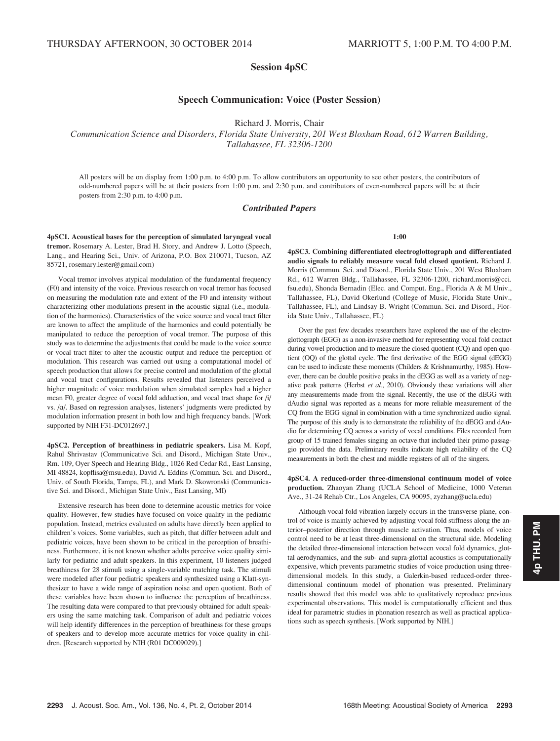# Session 4pSC

# Speech Communication: Voice (Poster Session)

Richard J. Morris, Chair

Communication Science and Disorders, Florida State University, 201 West Bloxham Road, 612 Warren Building, Tallahassee, FL 32306-1200

All posters will be on display from 1:00 p.m. to 4:00 p.m. To allow contributors an opportunity to see other posters, the contributors of odd-numbered papers will be at their posters from 1:00 p.m. and 2:30 p.m. and contributors of even-numbered papers will be at their posters from 2:30 p.m. to 4:00 p.m.

## Contributed Papers

4pSC1. Acoustical bases for the perception of simulated laryngeal vocal tremor. Rosemary A. Lester, Brad H. Story, and Andrew J. Lotto (Speech, Lang., and Hearing Sci., Univ. of Arizona, P.O. Box 210071, Tucson, AZ 85721, rosemary.lester@gmail.com)

Vocal tremor involves atypical modulation of the fundamental frequency (F0) and intensity of the voice. Previous research on vocal tremor has focused on measuring the modulation rate and extent of the F0 and intensity without characterizing other modulations present in the acoustic signal (i.e., modulation of the harmonics). Characteristics of the voice source and vocal tract filter are known to affect the amplitude of the harmonics and could potentially be manipulated to reduce the perception of vocal tremor. The purpose of this study was to determine the adjustments that could be made to the voice source or vocal tract filter to alter the acoustic output and reduce the perception of modulation. This research was carried out using a computational model of speech production that allows for precise control and modulation of the glottal and vocal tract configurations. Results revealed that listeners perceived a higher magnitude of voice modulation when simulated samples had a higher mean F0, greater degree of vocal fold adduction, and vocal tract shape for /i/ vs. /a/. Based on regression analyses, listeners' judgments were predicted by modulation information present in both low and high frequency bands. [Work supported by NIH F31-DC012697.]

4pSC2. Perception of breathiness in pediatric speakers. Lisa M. Kopf, Rahul Shrivastav (Communicative Sci. and Disord., Michigan State Univ., Rm. 109, Oyer Speech and Hearing Bldg., 1026 Red Cedar Rd., East Lansing, MI 48824, kopflisa@msu.edu), David A. Eddins (Commun. Sci. and Disord., Univ. of South Florida, Tampa, FL), and Mark D. Skowronski (Communicative Sci. and Disord., Michigan State Univ., East Lansing, MI)

Extensive research has been done to determine acoustic metrics for voice quality. However, few studies have focused on voice quality in the pediatric population. Instead, metrics evaluated on adults have directly been applied to children's voices. Some variables, such as pitch, that differ between adult and pediatric voices, have been shown to be critical in the perception of breathiness. Furthermore, it is not known whether adults perceive voice quality similarly for pediatric and adult speakers. In this experiment, 10 listeners judged breathiness for 28 stimuli using a single-variable matching task. The stimuli were modeled after four pediatric speakers and synthesized using a Klatt-synthesizer to have a wide range of aspiration noise and open quotient. Both of these variables have been shown to influence the perception of breathiness. The resulting data were compared to that previously obtained for adult speakers using the same matching task. Comparison of adult and pediatric voices will help identify differences in the perception of breathiness for these groups of speakers and to develop more accurate metrics for voice quality in children. [Research supported by NIH (R01 DC009029).]

1:00

4pSC3. Combining differentiated electroglottograph and differentiated audio signals to reliably measure vocal fold closed quotient. Richard J. Morris (Commun. Sci. and Disord., Florida State Univ., 201 West Bloxham Rd., 612 Warren Bldg., Tallahassee, FL 32306-1200, richard.morris@cci. fsu.edu), Shonda Bernadin (Elec. and Comput. Eng., Florida A & M Univ., Tallahassee, FL), David Okerlund (College of Music, Florida State Univ., Tallahassee, FL), and Lindsay B. Wright (Commun. Sci. and Disord., Florida State Univ., Tallahassee, FL)

Over the past few decades researchers have explored the use of the electroglottograph (EGG) as a non-invasive method for representing vocal fold contact during vowel production and to measure the closed quotient (CQ) and open quotient (OQ) of the glottal cycle. The first derivative of the EGG signal (dEGG) can be used to indicate these moments (Childers & Krishnamurthy, 1985). However, there can be double positive peaks in the dEGG as well as a variety of negative peak patterns (Herbst et al., 2010). Obviously these variations will alter any measurements made from the signal. Recently, the use of the dEGG with dAudio signal was reported as a means for more reliable measurement of the CQ from the EGG signal in combination with a time synchronized audio signal. The purpose of this study is to demonstrate the reliability of the dEGG and dAudio for determining CQ across a variety of vocal conditions. Files recorded from group of 15 trained females singing an octave that included their primo passaggio provided the data. Preliminary results indicate high reliability of the CQ measurements in both the chest and middle registers of all of the singers.

4pSC4. A reduced-order three-dimensional continuum model of voice production. Zhaoyan Zhang (UCLA School of Medicine, 1000 Veteran Ave., 31-24 Rehab Ctr., Los Angeles, CA 90095, zyzhang@ucla.edu)

Although vocal fold vibration largely occurs in the transverse plane, control of voice is mainly achieved by adjusting vocal fold stiffness along the anterior–posterior direction through muscle activation. Thus, models of voice control need to be at least three-dimensional on the structural side. Modeling the detailed three-dimensional interaction between vocal fold dynamics, glottal aerodynamics, and the sub- and supra-glottal acoustics is computationally expensive, which prevents parametric studies of voice production using threedimensional models. In this study, a Galerkin-based reduced-order threedimensional continuum model of phonation was presented. Preliminary results showed that this model was able to qualitatively reproduce previous experimental observations. This model is computationally efficient and thus ideal for parametric studies in phonation research as well as practical applications such as speech synthesis. [Work supported by NIH.]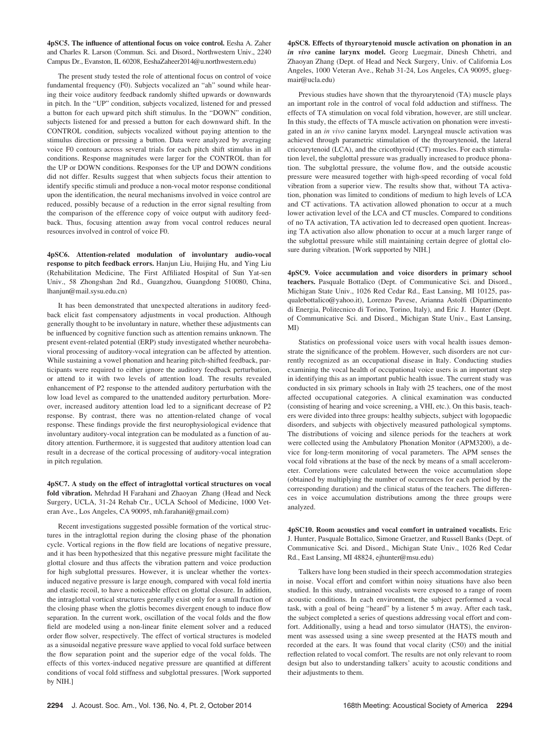4pSC5. The influence of attentional focus on voice control. Eesha A. Zaher and Charles R. Larson (Commun. Sci. and Disord., Northwestern Univ., 2240 Campus Dr., Evanston, IL 60208, EeshaZaheer2014@u.northwestern.edu)

The present study tested the role of attentional focus on control of voice fundamental frequency (F0). Subjects vocalized an "ah" sound while hearing their voice auditory feedback randomly shifted upwards or downwards in pitch. In the "UP" condition, subjects vocalized, listened for and pressed a button for each upward pitch shift stimulus. In the "DOWN" condition, subjects listened for and pressed a button for each downward shift. In the CONTROL condition, subjects vocalized without paying attention to the stimulus direction or pressing a button. Data were analyzed by averaging voice F0 contours across several trials for each pitch shift stimulus in all conditions. Response magnitudes were larger for the CONTROL than for the UP or DOWN conditions. Responses for the UP and DOWN conditions did not differ. Results suggest that when subjects focus their attention to identify specific stimuli and produce a non-vocal motor response conditional upon the identification, the neural mechanisms involved in voice control are reduced, possibly because of a reduction in the error signal resulting from the comparison of the efference copy of voice output with auditory feedback. Thus, focusing attention away from vocal control reduces neural resources involved in control of voice F0.

4pSC6. Attention-related modulation of involuntary audio-vocal response to pitch feedback errors. Hanjun Liu, Huijing Hu, and Ying Liu (Rehabilitation Medicine, The First Affiliated Hospital of Sun Yat-sen Univ., 58 Zhongshan 2nd Rd., Guangzhou, Guangdong 510080, China, lhanjun@mail.sysu.edu.cn)

It has been demonstrated that unexpected alterations in auditory feedback elicit fast compensatory adjustments in vocal production. Although generally thought to be involuntary in nature, whether these adjustments can be influenced by cognitive function such as attention remains unknown. The present event-related potential (ERP) study investigated whether neurobehavioral processing of auditory-vocal integration can be affected by attention. While sustaining a vowel phonation and hearing pitch-shifted feedback, participants were required to either ignore the auditory feedback perturbation, or attend to it with two levels of attention load. The results revealed enhancement of P2 response to the attended auditory perturbation with the low load level as compared to the unattended auditory perturbation. Moreover, increased auditory attention load led to a significant decrease of P2 response. By contrast, there was no attention-related change of vocal response. These findings provide the first neurophysiological evidence that involuntary auditory-vocal integration can be modulated as a function of auditory attention. Furthermore, it is suggested that auditory attention load can result in a decrease of the cortical processing of auditory-vocal integration in pitch regulation.

4pSC7. A study on the effect of intraglottal vortical structures on vocal fold vibration. Mehrdad H Farahani and Zhaoyan Zhang (Head and Neck Surgery, UCLA, 31-24 Rehab Ctr., UCLA School of Medicine, 1000 Veteran Ave., Los Angeles, CA 90095, mh.farahani@gmail.com)

Recent investigations suggested possible formation of the vortical structures in the intraglottal region during the closing phase of the phonation cycle. Vortical regions in the flow field are locations of negative pressure, and it has been hypothesized that this negative pressure might facilitate the glottal closure and thus affects the vibration pattern and voice production for high subglottal pressures. However, it is unclear whether the vortexinduced negative pressure is large enough, compared with vocal fold inertia and elastic recoil, to have a noticeable effect on glottal closure. In addition, the intraglottal vortical structures generally exist only for a small fraction of the closing phase when the glottis becomes divergent enough to induce flow separation. In the current work, oscillation of the vocal folds and the flow field are modeled using a non-linear finite element solver and a reduced order flow solver, respectively. The effect of vortical structures is modeled as a sinusoidal negative pressure wave applied to vocal fold surface between the flow separation point and the superior edge of the vocal folds. The effects of this vortex-induced negative pressure are quantified at different conditions of vocal fold stiffness and subglottal pressures. [Work supported by NIH.]

4pSC8. Effects of thyroarytenoid muscle activation on phonation in an in vivo canine larynx model. Georg Luegmair, Dinesh Chhetri, and Zhaoyan Zhang (Dept. of Head and Neck Surgery, Univ. of California Los Angeles, 1000 Veteran Ave., Rehab 31-24, Los Angeles, CA 90095, gluegmair@ucla.edu)

Previous studies have shown that the thyroarytenoid (TA) muscle plays an important role in the control of vocal fold adduction and stiffness. The effects of TA stimulation on vocal fold vibration, however, are still unclear. In this study, the effects of TA muscle activation on phonation were investigated in an in vivo canine larynx model. Laryngeal muscle activation was achieved through parametric stimulation of the thyroarytenoid, the lateral cricoarytenoid (LCA), and the cricothyroid (CT) muscles. For each stimulation level, the subglottal pressure was gradually increased to produce phonation. The subglottal pressure, the volume flow, and the outside acoustic pressure were measured together with high-speed recording of vocal fold vibration from a superior view. The results show that, without TA activation, phonation was limited to conditions of medium to high levels of LCA and CT activations. TA activation allowed phonation to occur at a much lower activation level of the LCA and CT muscles. Compared to conditions of no TA activation, TA activation led to decreased open quotient. Increasing TA activation also allow phonation to occur at a much larger range of the subglottal pressure while still maintaining certain degree of glottal closure during vibration. [Work supported by NIH.]

4pSC9. Voice accumulation and voice disorders in primary school teachers. Pasquale Bottalico (Dept. of Communicative Sci. and Disord., Michigan State Univ., 1026 Red Cedar Rd., East Lansing, MI 10125, pasqualebottalico@yahoo.it), Lorenzo Pavese, Arianna Astolfi (Dipartimento di Energia, Politecnico di Torino, Torino, Italy), and Eric J. Hunter (Dept. of Communicative Sci. and Disord., Michigan State Univ., East Lansing, MI)

Statistics on professional voice users with vocal health issues demonstrate the significance of the problem. However, such disorders are not currently recognized as an occupational disease in Italy. Conducting studies examining the vocal health of occupational voice users is an important step in identifying this as an important public health issue. The current study was conducted in six primary schools in Italy with 25 teachers, one of the most affected occupational categories. A clinical examination was conducted (consisting of hearing and voice screening, a VHI, etc.). On this basis, teachers were divided into three groups: healthy subjects, subject with logopaedic disorders, and subjects with objectively measured pathological symptoms. The distributions of voicing and silence periods for the teachers at work were collected using the Ambulatory Phonation Monitor (APM3200), a device for long-term monitoring of vocal parameters. The APM senses the vocal fold vibrations at the base of the neck by means of a small accelerometer. Correlations were calculated between the voice accumulation slope (obtained by multiplying the number of occurrences for each period by the corresponding duration) and the clinical status of the teachers. The differences in voice accumulation distributions among the three groups were analyzed.

4pSC10. Room acoustics and vocal comfort in untrained vocalists. Eric J. Hunter, Pasquale Bottalico, Simone Graetzer, and Russell Banks (Dept. of Communicative Sci. and Disord., Michigan State Univ., 1026 Red Cedar Rd., East Lansing, MI 48824, ejhunter@msu.edu)

Talkers have long been studied in their speech accommodation strategies in noise. Vocal effort and comfort within noisy situations have also been studied. In this study, untrained vocalists were exposed to a range of room acoustic conditions. In each environment, the subject performed a vocal task, with a goal of being "heard" by a listener 5 m away. After each task, the subject completed a series of questions addressing vocal effort and comfort. Additionally, using a head and torso simulator (HATS), the environment was assessed using a sine sweep presented at the HATS mouth and recorded at the ears. It was found that vocal clarity (C50) and the initial reflection related to vocal comfort. The results are not only relevant to room design but also to understanding talkers' acuity to acoustic conditions and their adjustments to them.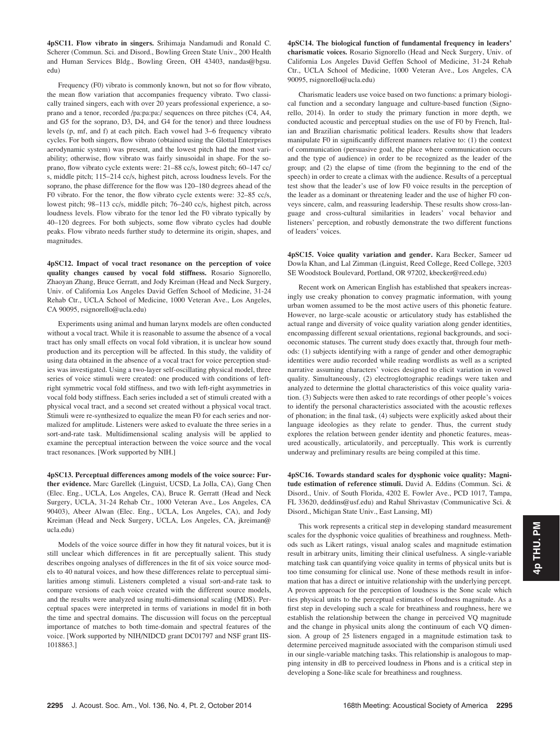4pSC11. Flow vibrato in singers. Srihimaja Nandamudi and Ronald C. Scherer (Commun. Sci. and Disord., Bowling Green State Univ., 200 Health and Human Services Bldg., Bowling Green, OH 43403, nandas@bgsu. edu)

Frequency (F0) vibrato is commonly known, but not so for flow vibrato, the mean flow variation that accompanies frequency vibrato. Two classically trained singers, each with over 20 years professional experience, a soprano and a tenor, recorded /pa:pa:pa:/ sequences on three pitches (C4, A4, and G5 for the soprano, D3, D4, and G4 for the tenor) and three loudness levels (p, mf, and f) at each pitch. Each vowel had 3–6 frequency vibrato cycles. For both singers, flow vibrato (obtained using the Glottal Enterprises aerodynamic system) was present, and the lowest pitch had the most variability; otherwise, flow vibrato was fairly sinusoidal in shape. For the soprano, flow vibrato cycle extents were: 21–88 cc/s, lowest pitch; 60–147 cc/ s, middle pitch; 115–214 cc/s, highest pitch, across loudness levels. For the soprano, the phase difference for the flow was 120–180 degrees ahead of the F0 vibrato. For the tenor, the flow vibrato cycle extents were: 32–85 cc/s, lowest pitch; 98–113 cc/s, middle pitch; 76–240 cc/s, highest pitch, across loudness levels. Flow vibrato for the tenor led the F0 vibrato typically by 40–120 degrees. For both subjects, some flow vibrato cycles had double peaks. Flow vibrato needs further study to determine its origin, shapes, and magnitudes.

4pSC12. Impact of vocal tract resonance on the perception of voice quality changes caused by vocal fold stiffness. Rosario Signorello, Zhaoyan Zhang, Bruce Gerratt, and Jody Kreiman (Head and Neck Surgery, Univ. of California Los Angeles David Geffen School of Medicine, 31-24 Rehab Ctr., UCLA School of Medicine, 1000 Veteran Ave., Los Angeles, CA 90095, rsignorello@ucla.edu)

Experiments using animal and human larynx models are often conducted without a vocal tract. While it is reasonable to assume the absence of a vocal tract has only small effects on vocal fold vibration, it is unclear how sound production and its perception will be affected. In this study, the validity of using data obtained in the absence of a vocal tract for voice perception studies was investigated. Using a two-layer self-oscillating physical model, three series of voice stimuli were created: one produced with conditions of leftright symmetric vocal fold stiffness, and two with left-right asymmetries in vocal fold body stiffness. Each series included a set of stimuli created with a physical vocal tract, and a second set created without a physical vocal tract. Stimuli were re-synthesized to equalize the mean F0 for each series and normalized for amplitude. Listeners were asked to evaluate the three series in a sort-and-rate task. Multidimensional scaling analysis will be applied to examine the perceptual interaction between the voice source and the vocal tract resonances. [Work supported by NIH.]

4pSC13. Perceptual differences among models of the voice source: Further evidence. Marc Garellek (Linguist, UCSD, La Jolla, CA), Gang Chen (Elec. Eng., UCLA, Los Angeles, CA), Bruce R. Gerratt (Head and Neck Surgery, UCLA, 31-24 Rehab Ctr., 1000 Veteran Ave., Los Angeles, CA 90403), Abeer Alwan (Elec. Eng., UCLA, Los Angeles, CA), and Jody Kreiman (Head and Neck Surgery, UCLA, Los Angeles, CA, jkreiman@ ucla.edu)

Models of the voice source differ in how they fit natural voices, but it is still unclear which differences in fit are perceptually salient. This study describes ongoing analyses of differences in the fit of six voice source models to 40 natural voices, and how these differences relate to perceptual similarities among stimuli. Listeners completed a visual sort-and-rate task to compare versions of each voice created with the different source models, and the results were analyzed using multi-dimensional scaling (MDS). Perceptual spaces were interpreted in terms of variations in model fit in both the time and spectral domains. The discussion will focus on the perceptual importance of matches to both time-domain and spectral features of the voice. [Work supported by NIH/NIDCD grant DC01797 and NSF grant IIS-1018863.]

4pSC14. The biological function of fundamental frequency in leaders' charismatic voices. Rosario Signorello (Head and Neck Surgery, Univ. of California Los Angeles David Geffen School of Medicine, 31-24 Rehab Ctr., UCLA School of Medicine, 1000 Veteran Ave., Los Angeles, CA 90095, rsignorello@ucla.edu)

Charismatic leaders use voice based on two functions: a primary biological function and a secondary language and culture-based function (Signorello, 2014). In order to study the primary function in more depth, we conducted acoustic and perceptual studies on the use of F0 by French, Italian and Brazilian charismatic political leaders. Results show that leaders manipulate F0 in significantly different manners relative to: (1) the context of communication (persuasive goal, the place where communication occurs and the type of audience) in order to be recognized as the leader of the group; and (2) the elapse of time (from the beginning to the end of the speech) in order to create a climax with the audience. Results of a perceptual test show that the leader's use of low F0 voice results in the perception of the leader as a dominant or threatening leader and the use of higher F0 conveys sincere, calm, and reassuring leadership. These results show cross-language and cross-cultural similarities in leaders' vocal behavior and listeners' perception, and robustly demonstrate the two different functions of leaders' voices.

4pSC15. Voice quality variation and gender. Kara Becker, Sameer ud Dowla Khan, and Lal Zimman (Linguist, Reed College, Reed College, 3203 SE Woodstock Boulevard, Portland, OR 97202, kbecker@reed.edu)

Recent work on American English has established that speakers increasingly use creaky phonation to convey pragmatic information, with young urban women assumed to be the most active users of this phonetic feature. However, no large-scale acoustic or articulatory study has established the actual range and diversity of voice quality variation along gender identities, encompassing different sexual orientations, regional backgrounds, and socioeconomic statuses. The current study does exactly that, through four methods: (1) subjects identifying with a range of gender and other demographic identities were audio recorded while reading wordlists as well as a scripted narrative assuming characters' voices designed to elicit variation in vowel quality. Simultaneously, (2) electroglottographic readings were taken and analyzed to determine the glottal characteristics of this voice quality variation. (3) Subjects were then asked to rate recordings of other people's voices to identify the personal characteristics associated with the acoustic reflexes of phonation; in the final task, (4) subjects were explicitly asked about their language ideologies as they relate to gender. Thus, the current study explores the relation between gender identity and phonetic features, measured acoustically, articulatorily, and perceptually. This work is currently underway and preliminary results are being compiled at this time.

4pSC16. Towards standard scales for dysphonic voice quality: Magnitude estimation of reference stimuli. David A. Eddins (Commun. Sci. & Disord., Univ. of South Florida, 4202 E. Fowler Ave., PCD 1017, Tampa, FL 33620, deddins@usf.edu) and Rahul Shrivastav (Communicative Sci. & Disord., Michigan State Univ., East Lansing, MI)

This work represents a critical step in developing standard measurement scales for the dysphonic voice qualities of breathiness and roughness. Methods such as Likert ratings, visual analog scales and magnitude estimation result in arbitrary units, limiting their clinical usefulness. A single-variable matching task can quantifying voice quality in terms of physical units but is too time consuming for clinical use. None of these methods result in information that has a direct or intuitive relationship with the underlying percept. A proven approach for the perception of loudness is the Sone scale which ties physical units to the perceptual estimates of loudness magnitude. As a first step in developing such a scale for breathiness and roughness, here we establish the relationship between the change in perceived VQ magnitude and the change in physical units along the continuum of each VQ dimension. A group of 25 listeners engaged in a magnitude estimation task to determine perceived magnitude associated with the comparison stimuli used in our single-variable matching tasks. This relationship is analogous to mapping intensity in dB to perceived loudness in Phons and is a critical step in developing a Sone-like scale for breathiness and roughness.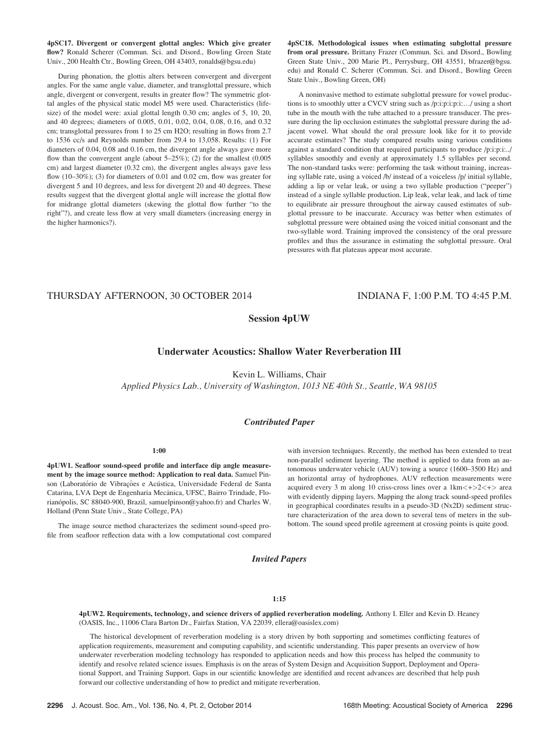4pSC17. Divergent or convergent glottal angles: Which give greater flow? Ronald Scherer (Commun. Sci. and Disord., Bowling Green State Univ., 200 Health Ctr., Bowling Green, OH 43403, ronalds@bgsu.edu)

During phonation, the glottis alters between convergent and divergent angles. For the same angle value, diameter, and transglottal pressure, which angle, divergent or convergent, results in greater flow? The symmetric glottal angles of the physical static model M5 were used. Characteristics (lifesize) of the model were: axial glottal length 0.30 cm; angles of 5, 10, 20, and 40 degrees; diameters of 0.005, 0.01, 0.02, 0.04, 0.08, 0.16, and 0.32 cm; transglottal pressures from 1 to 25 cm H2O; resulting in flows from 2.7 to 1536 cc/s and Reynolds number from 29.4 to 13,058. Results: (1) For diameters of 0.04, 0.08 and 0.16 cm, the divergent angle always gave more flow than the convergent angle (about  $5-25\%$ ); (2) for the smallest (0.005 cm) and largest diameter (0.32 cm), the divergent angles always gave less flow (10–30%); (3) for diameters of 0.01 and 0.02 cm, flow was greater for divergent 5 and 10 degrees, and less for divergent 20 and 40 degrees. These results suggest that the divergent glottal angle will increase the glottal flow for midrange glottal diameters (skewing the glottal flow further "to the right"?), and create less flow at very small diameters (increasing energy in the higher harmonics?).

4pSC18. Methodological issues when estimating subglottal pressure from oral pressure. Brittany Frazer (Commun. Sci. and Disord., Bowling Green State Univ., 200 Marie Pl., Perrysburg, OH 43551, bfrazer@bgsu. edu) and Ronald C. Scherer (Commun. Sci. and Disord., Bowling Green State Univ., Bowling Green, OH)

A noninvasive method to estimate subglottal pressure for vowel productions is to smoothly utter a CVCV string such as /p:i:p:i:p:i:…/ using a short tube in the mouth with the tube attached to a pressure transducer. The pressure during the lip occlusion estimates the subglottal pressure during the adjacent vowel. What should the oral pressure look like for it to provide accurate estimates? The study compared results using various conditions against a standard condition that required participants to produce /p:i:p:i:../ syllables smoothly and evenly at approximately 1.5 syllables per second. The non-standard tasks were: performing the task without training, increasing syllable rate, using a voiced /b/ instead of a voiceless /p/ initial syllable, adding a lip or velar leak, or using a two syllable production ("peeper") instead of a single syllable production. Lip leak, velar leak, and lack of time to equilibrate air pressure throughout the airway caused estimates of subglottal pressure to be inaccurate. Accuracy was better when estimates of subglottal pressure were obtained using the voiced initial consonant and the two-syllable word. Training improved the consistency of the oral pressure profiles and thus the assurance in estimating the subglottal pressure. Oral pressures with flat plateaus appear most accurate.

# THURSDAY AFTERNOON, 30 OCTOBER 2014 INDIANA F, 1:00 P.M. TO 4:45 P.M.

## Session 4pUW

## Underwater Acoustics: Shallow Water Reverberation III

Kevin L. Williams, Chair

Applied Physics Lab., University of Washington, 1013 NE 40th St., Seattle, WA 98105

## Contributed Paper

#### 1:00

4pUW1. Seafloor sound-speed profile and interface dip angle measurement by the image source method: Application to real data. Samuel Pinson (Laboratório de Vibrações e Acústica, Universidade Federal de Santa Catarina, LVA Dept de Engenharia Mecânica, UFSC, Bairro Trindade, Florianópolis, SC 88040-900, Brazil, samuelpinson@yahoo.fr) and Charles W. Holland (Penn State Univ., State College, PA)

The image source method characterizes the sediment sound-speed profile from seafloor reflection data with a low computational cost compared with inversion techniques. Recently, the method has been extended to treat non-parallel sediment layering. The method is applied to data from an autonomous underwater vehicle (AUV) towing a source (1600–3500 Hz) and an horizontal array of hydrophones. AUV reflection measurements were acquired every 3 m along 10 criss-cross lines over a  $1km < +>2 < +>$  area with evidently dipping layers. Mapping the along track sound-speed profiles in geographical coordinates results in a pseudo-3D (Nx2D) sediment structure characterization of the area down to several tens of meters in the subbottom. The sound speed profile agreement at crossing points is quite good.

Invited Papers

# 1:15

4pUW2. Requirements, technology, and science drivers of applied reverberation modeling. Anthony I. Eller and Kevin D. Heaney (OASIS, Inc., 11006 Clara Barton Dr., Fairfax Station, VA 22039, ellera@oasislex.com)

The historical development of reverberation modeling is a story driven by both supporting and sometimes conflicting features of application requirements, measurement and computing capability, and scientific understanding. This paper presents an overview of how underwater reverberation modeling technology has responded to application needs and how this process has helped the community to identify and resolve related science issues. Emphasis is on the areas of System Design and Acquisition Support, Deployment and Operational Support, and Training Support. Gaps in our scientific knowledge are identified and recent advances are described that help push forward our collective understanding of how to predict and mitigate reverberation.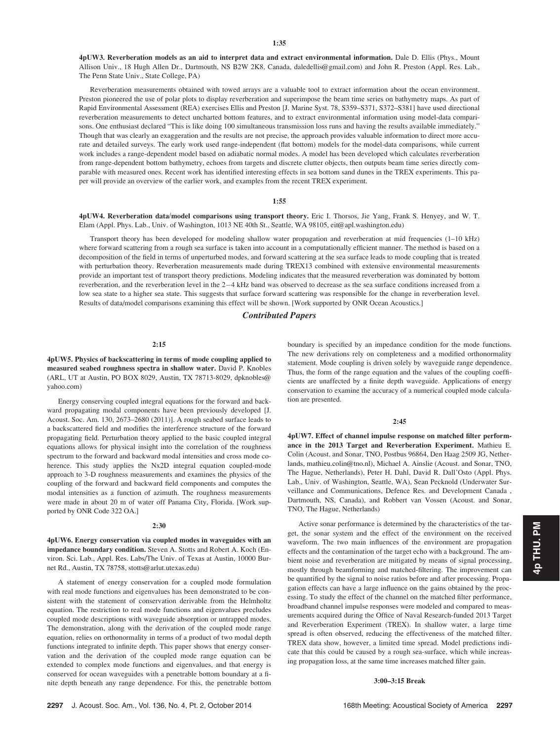4pUW3. Reverberation models as an aid to interpret data and extract environmental information. Dale D. Ellis (Phys., Mount Allison Univ., 18 Hugh Allen Dr., Dartmouth, NS B2W 2K8, Canada, daledellis@gmail.com) and John R. Preston (Appl. Res. Lab., The Penn State Univ., State College, PA)

Reverberation measurements obtained with towed arrays are a valuable tool to extract information about the ocean environment. Preston pioneered the use of polar plots to display reverberation and superimpose the beam time series on bathymetry maps. As part of Rapid Environmental Assessment (REA) exercises Ellis and Preston [J. Marine Syst. 78, S359–S371, S372–S381] have used directional reverberation measurements to detect uncharted bottom features, and to extract environmental information using model-data comparisons. One enthusiast declared "This is like doing 100 simultaneous transmission loss runs and having the results available immediately." Though that was clearly an exaggeration and the results are not precise, the approach provides valuable information to direct more accurate and detailed surveys. The early work used range-independent (flat bottom) models for the model-data comparisons, while current work includes a range-dependent model based on adiabatic normal modes. A model has been developed which calculates reverberation from range-dependent bottom bathymetry, echoes from targets and discrete clutter objects, then outputs beam time series directly comparable with measured ones. Recent work has identified interesting effects in sea bottom sand dunes in the TREX experiments. This paper will provide an overview of the earlier work, and examples from the recent TREX experiment.

#### 1:55

4pUW4. Reverberation data/model comparisons using transport theory. Eric I. Thorsos, Jie Yang, Frank S. Henyey, and W. T. Elam (Appl. Phys. Lab., Univ. of Washington, 1013 NE 40th St., Seattle, WA 98105, eit@apl.washington.edu)

Transport theory has been developed for modeling shallow water propagation and reverberation at mid frequencies (1–10 kHz) where forward scattering from a rough sea surface is taken into account in a computationally efficient manner. The method is based on a decomposition of the field in terms of unperturbed modes, and forward scattering at the sea surface leads to mode coupling that is treated with perturbation theory. Reverberation measurements made during TREX13 combined with extensive environmental measurements provide an important test of transport theory predictions. Modeling indicates that the measured reverberation was dominated by bottom reverberation, and the reverberation level in the 2-4 kHz band was observed to decrease as the sea surface conditions increased from a low sea state to a higher sea state. This suggests that surface forward scattering was responsible for the change in reverberation level. Results of data/model comparisons examining this effect will be shown. [Work supported by ONR Ocean Acoustics.]

## Contributed Papers

#### 2:15

4pUW5. Physics of backscattering in terms of mode coupling applied to measured seabed roughness spectra in shallow water. David P. Knobles (ARL, UT at Austin, PO BOX 8029, Austin, TX 78713-8029, dpknobles@ yahoo.com)

Energy conserving coupled integral equations for the forward and backward propagating modal components have been previously developed [J. Acoust. Soc. Am. 130, 2673–2680 (2011)]. A rough seabed surface leads to a backscattered field and modifies the interference structure of the forward propagating field. Perturbation theory applied to the basic coupled integral equations allows for physical insight into the correlation of the roughness spectrum to the forward and backward modal intensities and cross mode coherence. This study applies the Nx2D integral equation coupled-mode approach to 3-D roughness measurements and examines the physics of the coupling of the forward and backward field components and computes the modal intensities as a function of azimuth. The roughness measurements were made in about 20 m of water off Panama City, Florida. [Work supported by ONR Code 322 OA.]

#### 2:30

4pUW6. Energy conservation via coupled modes in waveguides with an impedance boundary condition. Steven A. Stotts and Robert A. Koch (Environ. Sci. Lab., Appl. Res. Labs/The Univ. of Texas at Austin, 10000 Burnet Rd., Austin, TX 78758, stotts@arlut.utexas.edu)

A statement of energy conservation for a coupled mode formulation with real mode functions and eigenvalues has been demonstrated to be consistent with the statement of conservation derivable from the Helmholtz equation. The restriction to real mode functions and eigenvalues precludes coupled mode descriptions with waveguide absorption or untrapped modes. The demonstration, along with the derivation of the coupled mode range equation, relies on orthonormality in terms of a product of two modal depth functions integrated to infinite depth. This paper shows that energy conservation and the derivation of the coupled mode range equation can be extended to complex mode functions and eigenvalues, and that energy is conserved for ocean waveguides with a penetrable bottom boundary at a finite depth beneath any range dependence. For this, the penetrable bottom boundary is specified by an impedance condition for the mode functions. The new derivations rely on completeness and a modified orthonormality statement. Mode coupling is driven solely by waveguide range dependence. Thus, the form of the range equation and the values of the coupling coefficients are unaffected by a finite depth waveguide. Applications of energy conservation to examine the accuracy of a numerical coupled mode calculation are presented.

#### 2:45

4pUW7. Effect of channel impulse response on matched filter performance in the 2013 Target and Reverberation Experiment. Mathieu E. Colin (Acoust. and Sonar, TNO, Postbus 96864, Den Haag 2509 JG, Netherlands, mathieu.colin@tno.nl), Michael A. Ainslie (Acoust. and Sonar, TNO, The Hague, Netherlands), Peter H. Dahl, David R. Dall'Osto (Appl. Phys. Lab., Univ. of Washington, Seattle, WA), Sean Pecknold (Underwater Surveillance and Communications, Defence Res. and Development Canada , Dartmouth, NS, Canada), and Robbert van Vossen (Acoust. and Sonar, TNO, The Hague, Netherlands)

Active sonar performance is determined by the characteristics of the target, the sonar system and the effect of the environment on the received waveform. The two main influences of the environment are propagation effects and the contamination of the target echo with a background. The ambient noise and reverberation are mitigated by means of signal processing, mostly through beamforming and matched-filtering. The improvement can be quantified by the signal to noise ratios before and after processing. Propagation effects can have a large influence on the gains obtained by the processing. To study the effect of the channel on the matched filter performance, broadband channel impulse responses were modeled and compared to measurements acquired during the Office of Naval Research-funded 2013 Target and Reverberation Experiment (TREX). In shallow water, a large time spread is often observed, reducing the effectiveness of the matched filter. TREX data show, however, a limited time spread. Model predictions indicate that this could be caused by a rough sea-surface, which while increasing propagation loss, at the same time increases matched filter gain.

#### 3:00–3:15 Break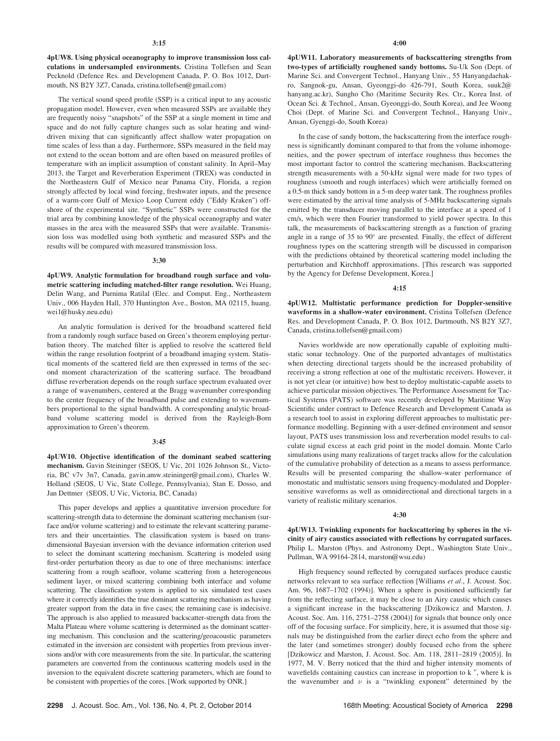4pUW8. Using physical oceanography to improve transmission loss calculations in undersampled environments. Cristina Tollefsen and Sean Pecknold (Defence Res. and Development Canada, P. O. Box 1012, Dartmouth, NS B2Y 3Z7, Canada, cristina.tollefsen@gmail.com)

The vertical sound speed profile (SSP) is a critical input to any acoustic propagation model. However, even when measured SSPs are available they are frequently noisy "snapshots" of the SSP at a single moment in time and space and do not fully capture changes such as solar heating and winddriven mixing that can significantly affect shallow water propagation on time scales of less than a day. Furthermore, SSPs measured in the field may not extend to the ocean bottom and are often based on measured profiles of temperature with an implicit assumption of constant salinity. In April–May 2013, the Target and Reverberation Experiment (TREX) was conducted in the Northeastern Gulf of Mexico near Panama City, Florida, a region strongly affected by local wind forcing, freshwater inputs, and the presence of a warm-core Gulf of Mexico Loop Current eddy ("Eddy Kraken") offshore of the experimental site. "Synthetic" SSPs were constructed for the trial area by combining knowledge of the physical oceanography and water masses in the area with the measured SSPs that were available. Transmission loss was modelled using both synthetic and measured SSPs and the results will be compared with measured transmission loss.

#### 3:30

4pUW9. Analytic formulation for broadband rough surface and volumetric scattering including matched-filter range resolution. Wei Huang, Delin Wang, and Purnima Ratilal (Elec. and Comput. Eng., Northeastern Univ., 006 Hayden Hall, 370 Huntington Ave., Boston, MA 02115, huang. wei1@husky.neu.edu)

An analytic formulation is derived for the broadband scattered field from a randomly rough surface based on Green's theorem employing perturbation theory. The matched filter is applied to resolve the scattered field within the range resolution footprint of a broadband imaging system. Statistical moments of the scattered field are then expressed in terms of the second moment characterization of the scattering surface. The broadband diffuse reverberation depends on the rough surface spectrum evaluated over a range of wavenumbers, centered at the Bragg wavenumber corresponding to the center frequency of the broadband pulse and extending to wavenumbers proportional to the signal bandwidth. A corresponding analytic broadband volume scattering model is derived from the Rayleigh-Born approximation to Green's theorem.

#### 3:45

4pUW10. Objective identification of the dominant seabed scattering mechanism. Gavin Steininger (SEOS, U Vic, 201 1026 Johnson St., Victoria, BC v7v 3n7, Canada, gavin.amw.steininger@gmail.com), Charles W. Holland (SEOS, U Vic, State College, Pennsylvania), Stan E. Dosso, and Jan Dettmer (SEOS, U Vic, Victoria, BC, Canada)

This paper develops and applies a quantitative inversion procedure for scattering-strength data to determine the dominant scattering mechanism (surface and/or volume scattering) and to estimate the relevant scattering parameters and their uncertainties. The classification system is based on transdimensional Bayesian inversion with the deviance information criterion used to select the dominant scattering mechanism. Scattering is modeled using first-order perturbation theory as due to one of three mechanisms: interface scattering from a rough seafloor, volume scattering from a heterogeneous sediment layer, or mixed scattering combining both interface and volume scattering. The classification system is applied to six simulated test cases where it correctly identifies the true dominant scattering mechanism as having greater support from the data in five cases; the remaining case is indecisive. The approach is also applied to measured backscatter-strength data from the Malta Plateau where volume scattering is determined as the dominant scattering mechanism. This conclusion and the scattering/geoacoustic parameters estimated in the inversion are consistent with properties from previous inversions and/or with core measurements from the site. In particular, the scattering parameters are converted from the continuous scattering models used in the inversion to the equivalent discrete scattering parameters, which are found to be consistent with properties of the cores. [Work supported by ONR.]

4pUW11. Laboratory measurements of backscattering strengths from two-types of artificially roughened sandy bottoms. Su-Uk Son (Dept. of Marine Sci. and Convergent Technol., Hanyang Univ., 55 Hanyangdaehakro, Sangnok-gu, Ansan, Gyeonggi-do 426-791, South Korea, suuk2@ hanyang.ac.kr), Sungho Cho (Maritime Security Res. Ctr., Korea Inst. of Ocean Sci. & Technol., Ansan, Gyeonggi-do, South Korea), and Jee Woong Choi (Dept. of Marine Sci. and Convergent Technol., Hanyang Univ., Ansan, Gyenggi-do, South Korea)

In the case of sandy bottom, the backscattering from the interface roughness is significantly dominant compared to that from the volume inhomogeneities, and the power spectrum of interface roughness thus becomes the most important factor to control the scattering mechanism. Backscattering strength measurements with a 50-kHz signal were made for two types of roughness (smooth and rough interfaces) which were artificially formed on a 0.5-m thick sandy bottom in a 5-m deep water tank. The roughness profiles were estimated by the arrival time analysis of 5-MHz backscattering signals emitted by the transducer moving parallel to the interface at a speed of 1 cm/s, which were then Fourier transformed to yield power spectra. In this talk, the measurements of backscattering strength as a function of grazing angle in a range of  $35$  to  $90^\circ$  are presented. Finally, the effect of different roughness types on the scattering strength will be discussed in comparison with the predictions obtained by theoretical scattering model including the perturbation and Kirchhoff approximations. [This research was supported by the Agency for Defense Development, Korea.]

#### 4:15

4pUW12. Multistatic performance prediction for Doppler-sensitive waveforms in a shallow-water environment. Cristina Tollefsen (Defence Res. and Development Canada, P. O. Box 1012, Dartmouth, NS B2Y 3Z7, Canada, cristina.tollefsen@gmail.com)

Navies worldwide are now operationally capable of exploiting multistatic sonar technology. One of the purported advantages of multistatics when detecting directional targets should be the increased probability of receiving a strong reflection at one of the multistatic receivers. However, it is not yet clear (or intuitive) how best to deploy multistatic-capable assets to achieve particular mission objectives. The Performance Assessment for Tactical Systems (PATS) software was recently developed by Maritime Way Scientific under contract to Defence Research and Development Canada as a research tool to assist in exploring different approaches to multistatic performance modelling. Beginning with a user-defined environment and sensor layout, PATS uses transmission loss and reverberation model results to calculate signal excess at each grid point in the model domain. Monte Carlo simulations using many realizations of target tracks allow for the calculation of the cumulative probability of detection as a means to assess performance. Results will be presented comparing the shallow-water performance of monostatic and multistatic sensors using frequency-modulated and Dopplersensitive waveforms as well as omnidirectional and directional targets in a variety of realistic military scenarios.

#### 4:30

4pUW13. Twinkling exponents for backscattering by spheres in the vicinity of airy caustics associated with reflections by corrugated surfaces. Philip L. Marston (Phys. and Astronomy Dept., Washington State Univ., Pullman, WA 99164-2814, marston@wsu.edu)

High frequency sound reflected by corrugated surfaces produce caustic networks relevant to sea surface reflection [Williams et al., J. Acoust. Soc. Am. 96, 1687–1702 (1994)]. When a sphere is positioned sufficiently far from the reflecting surface, it may be close to an Airy caustic which causes a significant increase in the backscattering [Dzikowicz and Marston, J. Acoust. Soc. Am. 116, 2751–2758 (2004)] for signals that bounce only once off of the focusing surface. For simplicity, here, it is assumed that those signals may be distinguished from the earlier direct echo from the sphere and the later (and sometimes stronger) doubly focused echo from the sphere [Dzikowicz and Marston, J. Acoust. Soc. Am. 118, 2811–2819 (2005)]. In 1977, M. V. Berry noticed that the third and higher intensity moments of wavefields containing caustics can increase in proportion to  $k^{\nu}$ , where k is the wavenumber and  $\nu$  is a "twinkling exponent" determined by the